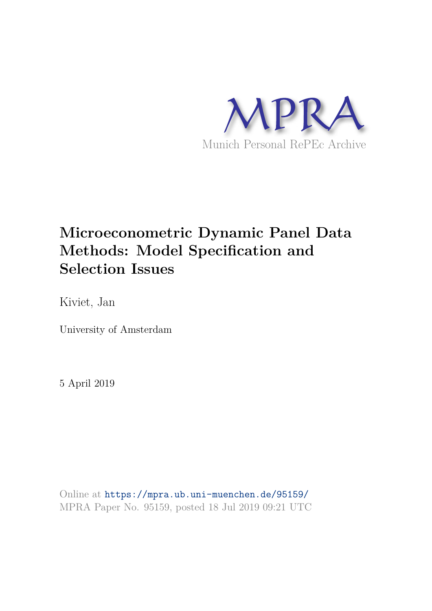

# **Microeconometric Dynamic Panel Data Methods: Model Specification and Selection Issues**

Kiviet, Jan

University of Amsterdam

5 April 2019

Online at https://mpra.ub.uni-muenchen.de/95159/ MPRA Paper No. 95159, posted 18 Jul 2019 09:21 UTC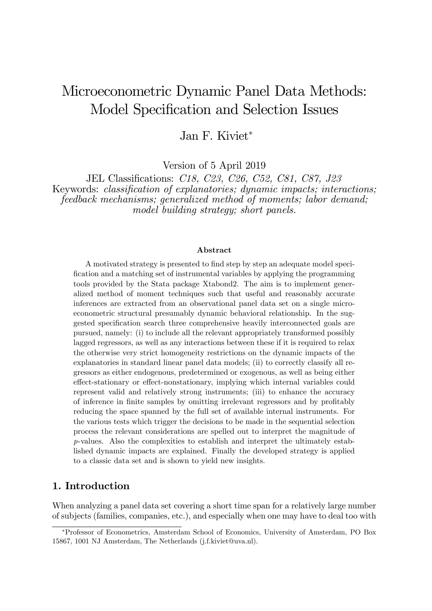## Microeconometric Dynamic Panel Data Methods: Model Specification and Selection Issues

Jan F. Kiviet

Version of 5 April 2019

JEL Classifications: C18, C23, C26, C52, C81, C87, J23 Keywords: *classification of explanatories*; *dynamic impacts*; *interactions*; feedback mechanisms; generalized method of moments; labor demand; model building strategy; short panels.

#### Abstract

A motivated strategy is presented to find step by step an adequate model speci-Öcation and a matching set of instrumental variables by applying the programming tools provided by the Stata package Xtabond2. The aim is to implement generalized method of moment techniques such that useful and reasonably accurate inferences are extracted from an observational panel data set on a single microeconometric structural presumably dynamic behavioral relationship. In the suggested specification search three comprehensive heavily interconnected goals are pursued, namely: (i) to include all the relevant appropriately transformed possibly lagged regressors, as well as any interactions between these if it is required to relax the otherwise very strict homogeneity restrictions on the dynamic impacts of the explanatories in standard linear panel data models; (ii) to correctly classify all regressors as either endogenous, predetermined or exogenous, as well as being either effect-stationary or effect-nonstationary, implying which internal variables could represent valid and relatively strong instruments; (iii) to enhance the accuracy of inference in finite samples by omitting irrelevant regressors and by profitably reducing the space spanned by the full set of available internal instruments. For the various tests which trigger the decisions to be made in the sequential selection process the relevant considerations are spelled out to interpret the magnitude of p-values. Also the complexities to establish and interpret the ultimately established dynamic impacts are explained. Finally the developed strategy is applied to a classic data set and is shown to yield new insights.

## 1. Introduction

When analyzing a panel data set covering a short time span for a relatively large number of subjects (families, companies, etc.), and especially when one may have to deal too with

Professor of Econometrics, Amsterdam School of Economics, University of Amsterdam, PO Box 15867, 1001 NJ Amsterdam, The Netherlands (j.f.kiviet@uva.nl).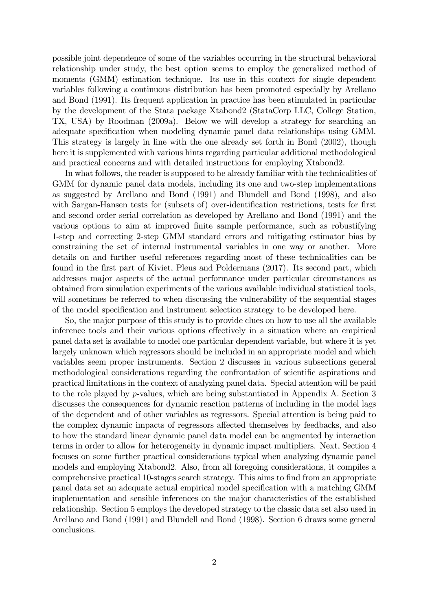possible joint dependence of some of the variables occurring in the structural behavioral relationship under study, the best option seems to employ the generalized method of moments (GMM) estimation technique. Its use in this context for single dependent variables following a continuous distribution has been promoted especially by Arellano and Bond (1991). Its frequent application in practice has been stimulated in particular by the development of the Stata package Xtabond2 (StataCorp LLC, College Station, TX, USA) by Roodman (2009a). Below we will develop a strategy for searching an adequate specification when modeling dynamic panel data relationships using GMM. This strategy is largely in line with the one already set forth in Bond (2002), though here it is supplemented with various hints regarding particular additional methodological and practical concerns and with detailed instructions for employing Xtabond2.

In what follows, the reader is supposed to be already familiar with the technicalities of GMM for dynamic panel data models, including its one and two-step implementations as suggested by Arellano and Bond (1991) and Blundell and Bond (1998), and also with Sargan-Hansen tests for (subsets of) over-identification restrictions, tests for first and second order serial correlation as developed by Arellano and Bond (1991) and the various options to aim at improved finite sample performance, such as robustifying 1-step and correcting 2-step GMM standard errors and mitigating estimator bias by constraining the set of internal instrumental variables in one way or another. More details on and further useful references regarding most of these technicalities can be found in the first part of Kiviet, Pleus and Poldermans (2017). Its second part, which addresses major aspects of the actual performance under particular circumstances as obtained from simulation experiments of the various available individual statistical tools, will sometimes be referred to when discussing the vulnerability of the sequential stages of the model specification and instrument selection strategy to be developed here.

So, the major purpose of this study is to provide clues on how to use all the available inference tools and their various options effectively in a situation where an empirical panel data set is available to model one particular dependent variable, but where it is yet largely unknown which regressors should be included in an appropriate model and which variables seem proper instruments. Section 2 discusses in various subsections general methodological considerations regarding the confrontation of scientific aspirations and practical limitations in the context of analyzing panel data. Special attention will be paid to the role played by p-values, which are being substantiated in Appendix A. Section 3 discusses the consequences for dynamic reaction patterns of including in the model lags of the dependent and of other variables as regressors. Special attention is being paid to the complex dynamic impacts of regressors affected themselves by feedbacks, and also to how the standard linear dynamic panel data model can be augmented by interaction terms in order to allow for heterogeneity in dynamic impact multipliers. Next, Section 4 focuses on some further practical considerations typical when analyzing dynamic panel models and employing Xtabond2. Also, from all foregoing considerations, it compiles a comprehensive practical 10-stages search strategy. This aims to find from an appropriate panel data set an adequate actual empirical model specification with a matching GMM implementation and sensible inferences on the major characteristics of the established relationship. Section 5 employs the developed strategy to the classic data set also used in Arellano and Bond (1991) and Blundell and Bond (1998). Section 6 draws some general conclusions.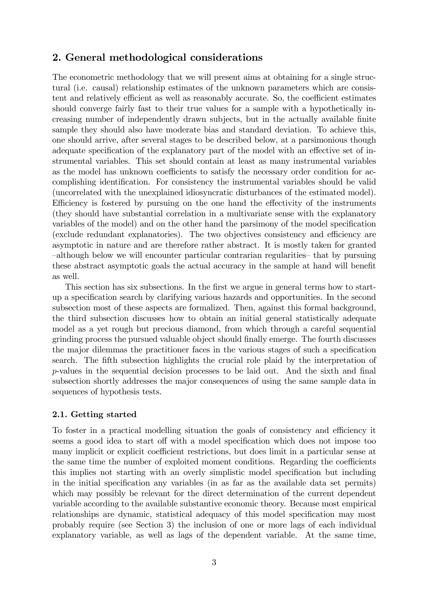## 2. General methodological considerations

The econometric methodology that we will present aims at obtaining for a single structural (i.e. causal) relationship estimates of the unknown parameters which are consistent and relatively efficient as well as reasonably accurate. So, the coefficient estimates should converge fairly fast to their true values for a sample with a hypothetically increasing number of independently drawn subjects, but in the actually available finite sample they should also have moderate bias and standard deviation. To achieve this, one should arrive, after several stages to be described below, at a parsimonious though adequate specification of the explanatory part of the model with an effective set of instrumental variables. This set should contain at least as many instrumental variables as the model has unknown coefficients to satisfy the necessary order condition for accomplishing identification. For consistency the instrumental variables should be valid (uncorrelated with the unexplained idiosyncratic disturbances of the estimated model). Efficiency is fostered by pursuing on the one hand the effectivity of the instruments (they should have substantial correlation in a multivariate sense with the explanatory variables of the model) and on the other hand the parsimony of the model specification (exclude redundant explanatories). The two objectives consistency and efficiency are asymptotic in nature and are therefore rather abstract. It is mostly taken for granted -although below we will encounter particular contrarian regularities - that by pursuing these abstract asymptotic goals the actual accuracy in the sample at hand will benefit as well.

This section has six subsections. In the first we argue in general terms how to startup a specification search by clarifying various hazards and opportunities. In the second subsection most of these aspects are formalized. Then, against this formal background, the third subsection discusses how to obtain an initial general statistically adequate model as a yet rough but precious diamond, from which through a careful sequential grinding process the pursued valuable object should finally emerge. The fourth discusses the major dilemmas the practitioner faces in the various stages of such a specification search. The fifth subsection highlights the crucial role plaid by the interpretation of  $p$ -values in the sequential decision processes to be laid out. And the sixth and final subsection shortly addresses the major consequences of using the same sample data in sequences of hypothesis tests.

#### 2.1. Getting started

To foster in a practical modelling situation the goals of consistency and efficiency it seems a good idea to start off with a model specification which does not impose too many implicit or explicit coefficient restrictions, but does limit in a particular sense at the same time the number of exploited moment conditions. Regarding the coefficients this implies not starting with an overly simplistic model specification but including in the initial specification any variables (in as far as the available data set permits) which may possibly be relevant for the direct determination of the current dependent variable according to the available substantive economic theory. Because most empirical relationships are dynamic, statistical adequacy of this model specification may most probably require (see Section 3) the inclusion of one or more lags of each individual explanatory variable, as well as lags of the dependent variable. At the same time,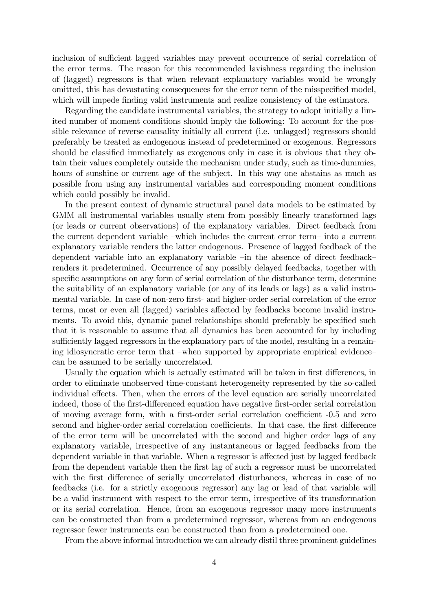inclusion of sufficient lagged variables may prevent occurrence of serial correlation of the error terms. The reason for this recommended lavishness regarding the inclusion of (lagged) regressors is that when relevant explanatory variables would be wrongly omitted, this has devastating consequences for the error term of the misspecified model, which will impede finding valid instruments and realize consistency of the estimators.

Regarding the candidate instrumental variables, the strategy to adopt initially a limited number of moment conditions should imply the following: To account for the possible relevance of reverse causality initially all current (i.e. unlagged) regressors should preferably be treated as endogenous instead of predetermined or exogenous. Regressors should be classified immediately as exogenous only in case it is obvious that they obtain their values completely outside the mechanism under study, such as time-dummies, hours of sunshine or current age of the subject. In this way one abstains as much as possible from using any instrumental variables and corresponding moment conditions which could possibly be invalid.

In the present context of dynamic structural panel data models to be estimated by GMM all instrumental variables usually stem from possibly linearly transformed lags (or leads or current observations) of the explanatory variables. Direct feedback from the current dependent variable –which includes the current error term– into a current explanatory variable renders the latter endogenous. Presence of lagged feedback of the dependent variable into an explanatory variable  $\overline{-}$ in the absence of direct feedback $\overline{-}$ renders it predetermined. Occurrence of any possibly delayed feedbacks, together with specific assumptions on any form of serial correlation of the disturbance term, determine the suitability of an explanatory variable (or any of its leads or lags) as a valid instrumental variable. In case of non-zero first- and higher-order serial correlation of the error terms, most or even all (lagged) variables affected by feedbacks become invalid instruments. To avoid this, dynamic panel relationships should preferably be specified such that it is reasonable to assume that all dynamics has been accounted for by including sufficiently lagged regressors in the explanatory part of the model, resulting in a remaining idiosyncratic error term that –when supported by appropriate empirical evidence– can be assumed to be serially uncorrelated.

Usually the equation which is actually estimated will be taken in first differences, in order to eliminate unobserved time-constant heterogeneity represented by the so-called individual effects. Then, when the errors of the level equation are serially uncorrelated indeed, those of the first-differenced equation have negative first-order serial correlation of moving average form, with a first-order serial correlation coefficient -0.5 and zero second and higher-order serial correlation coefficients. In that case, the first difference of the error term will be uncorrelated with the second and higher order lags of any explanatory variable, irrespective of any instantaneous or lagged feedbacks from the dependent variable in that variable. When a regressor is affected just by lagged feedback from the dependent variable then the first lag of such a regressor must be uncorrelated with the first difference of serially uncorrelated disturbances, whereas in case of no feedbacks (i.e. for a strictly exogenous regressor) any lag or lead of that variable will be a valid instrument with respect to the error term, irrespective of its transformation or its serial correlation. Hence, from an exogenous regressor many more instruments can be constructed than from a predetermined regressor, whereas from an endogenous regressor fewer instruments can be constructed than from a predetermined one.

From the above informal introduction we can already distil three prominent guidelines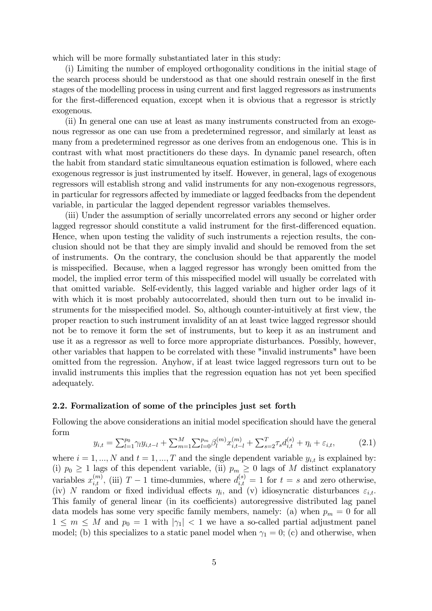which will be more formally substantiated later in this study:

(i) Limiting the number of employed orthogonality conditions in the initial stage of the search process should be understood as that one should restrain oneself in the first stages of the modelling process in using current and first lagged regressors as instruments for the first-differenced equation, except when it is obvious that a regressor is strictly exogenous.

(ii) In general one can use at least as many instruments constructed from an exogenous regressor as one can use from a predetermined regressor, and similarly at least as many from a predetermined regressor as one derives from an endogenous one. This is in contrast with what most practitioners do these days. In dynamic panel research, often the habit from standard static simultaneous equation estimation is followed, where each exogenous regressor is just instrumented by itself. However, in general, lags of exogenous regressors will establish strong and valid instruments for any non-exogenous regressors, in particular for regressors affected by immediate or lagged feedbacks from the dependent variable, in particular the lagged dependent regressor variables themselves.

(iii) Under the assumption of serially uncorrelated errors any second or higher order lagged regressor should constitute a valid instrument for the first-differenced equation. Hence, when upon testing the validity of such instruments a rejection results, the conclusion should not be that they are simply invalid and should be removed from the set of instruments. On the contrary, the conclusion should be that apparently the model is misspecified. Because, when a lagged regressor has wrongly been omitted from the model, the implied error term of this misspecified model will usually be correlated with that omitted variable. Self-evidently, this lagged variable and higher order lags of it with which it is most probably autocorrelated, should then turn out to be invalid instruments for the misspecified model. So, although counter-intuitively at first view, the proper reaction to such instrument invalidity of an at least twice lagged regressor should not be to remove it form the set of instruments, but to keep it as an instrument and use it as a regressor as well to force more appropriate disturbances. Possibly, however, other variables that happen to be correlated with these "invalid instruments" have been omitted from the regression. Anyhow, if at least twice lagged regressors turn out to be invalid instruments this implies that the regression equation has not yet been specified adequately.

#### 2.2. Formalization of some of the principles just set forth

Following the above considerations an initial model specification should have the general form

$$
y_{i,t} = \sum_{l=1}^{p_0} \gamma_l y_{i,t-l} + \sum_{m=1}^{M} \sum_{l=0}^{p_m} \beta_l^{(m)} x_{i,t-l}^{(m)} + \sum_{s=2}^{T} \tau_s d_{i,t}^{(s)} + \eta_i + \varepsilon_{i,t},\tag{2.1}
$$

where  $i = 1, ..., N$  and  $t = 1, ..., T$  and the single dependent variable  $y_{i,t}$  is explained by: (i)  $p_0 \geq 1$  lags of this dependent variable, (ii)  $p_m \geq 0$  lags of M distinct explanatory variables  $x_{i,t}^{(m)}$ , (iii)  $T-1$  time-dummies, where  $d_{i,t}^{(s)} = 1$  for  $t = s$  and zero otherwise, (iv) N random or fixed individual effects  $\eta_i$ , and (v) idiosyncratic disturbances  $\varepsilon_{i,t}$ . This family of general linear (in its coefficients) autoregressive distributed lag panel data models has some very specific family members, namely: (a) when  $p_m = 0$  for all  $1 \leq m \leq M$  and  $p_0 = 1$  with  $|\gamma_1| < 1$  we have a so-called partial adjustment panel model; (b) this specializes to a static panel model when  $\gamma_1 = 0$ ; (c) and otherwise, when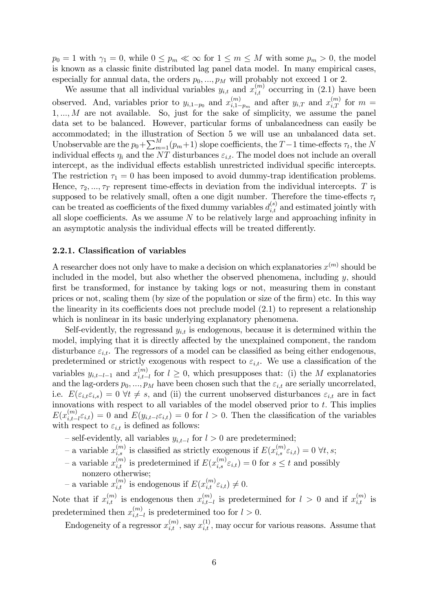$p_0 = 1$  with  $\gamma_1 = 0$ , while  $0 \le p_m \ll \infty$  for  $1 \le m \le M$  with some  $p_m > 0$ , the model is known as a classic finite distributed lag panel data model. In many empirical cases, especially for annual data, the orders  $p_0, ..., p_M$  will probably not exceed 1 or 2.

We assume that all individual variables  $y_{i,t}$  and  $x_{i,t}^{(m)}$  occurring in (2.1) have been observed. And, variables prior to  $y_{i,1-p_0}$  and  $x_{i,1-p_0}^{(m)}$  $\binom{m}{i,1-p_m}$  and after  $y_{i,T}$  and  $x_{i,T}^{(m)}$  for  $m =$  $1, \ldots, M$  are not available. So, just for the sake of simplicity, we assume the panel data set to be balanced. However, particular forms of unbalancedness can easily be accommodated; in the illustration of Section 5 we will use an unbalanced data set. Unobservable are the  $p_0 + \sum_{m=1}^{M} (p_m + 1)$  slope coefficients, the  $T - 1$  time-effects  $\tau_t$ , the N individual effects  $\eta_i$  and the NT disturbances  $\varepsilon_{i,t}$ . The model does not include an overall intercept, as the individual effects establish unrestricted individual specific intercepts. The restriction  $\tau_1 = 0$  has been imposed to avoid dummy-trap identification problems. Hence,  $\tau_2, ..., \tau_T$  represent time-effects in deviation from the individual intercepts. T is supposed to be relatively small, often a one digit number. Therefore the time-effects  $\tau_t$ can be treated as coefficients of the fixed dummy variables  $d_{i,t}^{(s)}$  and estimated jointly with all slope coefficients. As we assume  $N$  to be relatively large and approaching infinity in an asymptotic analysis the individual effects will be treated differently.

#### 2.2.1. Classification of variables

A researcher does not only have to make a decision on which explanatories  $x^{(m)}$  should be included in the model, but also whether the observed phenomena, including  $y$ , should first be transformed, for instance by taking logs or not, measuring them in constant prices or not, scaling them (by size of the population or size of the firm) etc. In this way the linearity in its coefficients does not preclude model  $(2.1)$  to represent a relationship which is nonlinear in its basic underlying explanatory phenomena.

Self-evidently, the regressand  $y_{i,t}$  is endogenous, because it is determined within the model, implying that it is directly affected by the unexplained component, the random disturbance  $\varepsilon_{i,t}$ . The regressors of a model can be classified as being either endogenous, predetermined or strictly exogenous with respect to  $\varepsilon_{i,t}$ . We use a classification of the variables  $y_{i,t-l-1}$  and  $x_{i,t-l}^{(m)}$  $\sum_{i,t-l}^{(m)}$  for  $l \geq 0$ , which presupposes that: (i) the M explanatories and the lag-orders  $p_0, ..., p_M$  have been chosen such that the  $\varepsilon_{i,t}$  are serially uncorrelated, i.e.  $E(\varepsilon_{i,t}\varepsilon_{i,s}) = 0$   $\forall t \neq s$ , and (ii) the current unobserved disturbances  $\varepsilon_{i,t}$  are in fact innovations with respect to all variables of the model observed prior to  $t$ . This implies  $E(x_{i,t-}^{(m)}$  $\binom{m}{i,t-l} \in \mathfrak{c}_{i,t}$  = 0 and  $E(y_{i,t-l} \varepsilon_{i,t}) = 0$  for  $l > 0$ . Then the classification of the variables with respect to  $\varepsilon_{i,t}$  is defined as follows:

- self-evidently, all variables  $y_{i,t-l}$  for  $l > 0$  are predetermined;
- a variable  $x_{i,s}^{(m)}$  is classified as strictly exogenous if  $E(x_{i,s}^{(m)}\varepsilon_{i,t}) = 0 \,\forall t, s;$
- a variable  $x_{i,t}^{(m)}$  is predetermined if  $E(x_{i,s}^{(m)}\varepsilon_{i,t}) = 0$  for  $s \leq t$  and possibly nonzero otherwise;
- a variable  $x_{i,t}^{(m)}$  is endogenous if  $E(x_{i,t}^{(m)}\varepsilon_{i,t}) \neq 0$ .

Note that if  $x_{i,t}^{(m)}$  is endogenous then  $x_{i,t-}^{(m)}$  $\binom{m}{i,t-l}$  is predetermined for  $l > 0$  and if  $x_{i,t}^{(m)}$  is predetermined then  $x_{i,t-}^{(m)}$  $\binom{m}{i,t-l}$  is predetermined too for  $l > 0$ .

Endogeneity of a regressor  $x_{i,t}^{(m)}$ , say  $x_{i,t}^{(1)}$ , may occur for various reasons. Assume that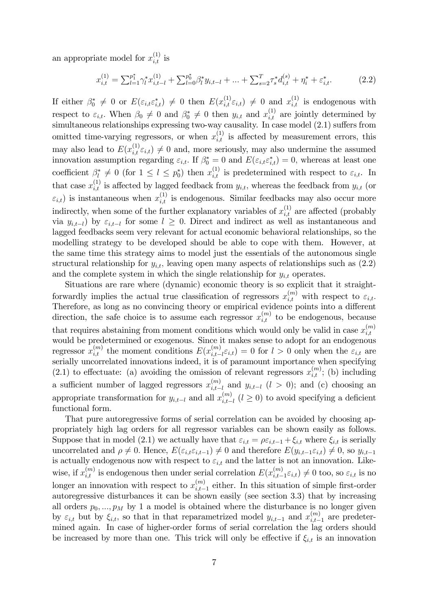an appropriate model for  $x_{i,t}^{(1)}$  is

$$
x_{i,t}^{(1)} = \sum_{l=1}^{p_1^*} \gamma_l^* x_{i,t-l}^{(1)} + \sum_{l=0}^{p_0^*} \beta_l^* y_{i,t-l} + \dots + \sum_{s=2}^T \tau_s^* d_{i,t}^{(s)} + \eta_i^* + \varepsilon_{i,t}^*.
$$
 (2.2)

If either  $\beta_0^* \neq 0$  or  $E(\varepsilon_{i,t} \varepsilon_{i,t}^*) \neq 0$  then  $E(x_{i,t}^{(1)} \varepsilon_{i,t}) \neq 0$  and  $x_{i,t}^{(1)}$  is endogenous with respect to  $\varepsilon_{i,t}$ . When  $\beta_0 \neq 0$  and  $\beta_0^* \neq 0$  then  $y_{i,t}$  and  $x_{i,t}^{(1)}$  are jointly determined by simultaneous relationships expressing two-way causality. In case model  $(2.1)$  suffers from omitted time-varying regressors, or when  $x_{i,t}^{(1)}$  is affected by measurement errors, this may also lead to  $E(x_{i,t}^{(1)}\varepsilon_{i,t}) \neq 0$  and, more seriously, may also undermine the assumed innovation assumption regarding  $\varepsilon_{i,t}$ . If  $\beta_0^* = 0$  and  $E(\varepsilon_{i,t} \varepsilon_{i,t}^*) = 0$ , whereas at least one coefficient  $\beta_l^* \neq 0$  (for  $1 \leq l \leq p_0^*$ ) then  $x_{i,t}^{(1)}$  is predetermined with respect to  $\varepsilon_{i,t}$ . In that case  $x_{i,t}^{(1)}$  is affected by lagged feedback from  $y_{i,t}$ , whereas the feedback from  $y_{i,t}$  (or  $\varepsilon_{i,t}$ ) is instantaneous when  $x_{i,t}^{(1)}$  is endogenous. Similar feedbacks may also occur more indirectly, when some of the further explanatory variables of  $x_{i,t}^{(1)}$  are affected (probably via  $y_{i,t-l}$  by  $\varepsilon_{i,t-l}$  for some  $l \geq 0$ . Direct and indirect as well as instantaneous and lagged feedbacks seem very relevant for actual economic behavioral relationships, so the modelling strategy to be developed should be able to cope with them. However, at the same time this strategy aims to model just the essentials of the autonomous single structural relationship for  $y_{i,t}$ , leaving open many aspects of relationships such as  $(2.2)$ and the complete system in which the single relationship for  $y_{i,t}$  operates.

Situations are rare where (dynamic) economic theory is so explicit that it straightforwardly implies the actual true classification of regressors  $x_{i,t}^{(m)}$  with respect to  $\varepsilon_{i,t}$ . Therefore, as long as no convincing theory or empirical evidence points into a different direction, the safe choice is to assume each regressor  $x_{i,t}^{(m)}$  to be endogenous, because that requires abstaining from moment conditions which would only be valid in case  $x_{i,t}^{(m)}$  $_{i,t}$ would be predetermined or exogenous. Since it makes sense to adopt for an endogenous regressor  $x_{i,t}^{(m)}$  the moment conditions  $E(x_{i,t-}^{(m)})$  $\mathcal{E}_{i,t-l}^{(m)}\varepsilon_{i,t}$  = 0 for  $l>0$  only when the  $\varepsilon_{i,t}$  are serially uncorrelated innovations indeed, it is of paramount importance when specifying (2.1) to effectuate: (a) avoiding the omission of relevant regressors  $x_{i,t}^{(m)}$ ; (b) including a sufficient number of lagged regressors  $x_{i,t-}^{(m)}$  $\sum_{i,t-l}^{(m)}$  and  $y_{i,t-l}$   $(l > 0)$ ; and (c) choosing an appropriate transformation for  $y_{i,t-l}$  and all  $x_{i,t-l}^{(m)}$  $\binom{m}{i,t-l}$   $(l \geq 0)$  to avoid specifying a deficient functional form.

That pure autoregressive forms of serial correlation can be avoided by choosing appropriately high lag orders for all regressor variables can be shown easily as follows. Suppose that in model (2.1) we actually have that  $\varepsilon_{i,t} = \rho \varepsilon_{i,t-1} + \xi_{i,t}$  where  $\xi_{i,t}$  is serially uncorrelated and  $\rho \neq 0$ . Hence,  $E(\varepsilon_{i,t} \varepsilon_{i,t-1}) \neq 0$  and therefore  $E(y_{i,t-1} \varepsilon_{i,t}) \neq 0$ , so  $y_{i,t-1}$ is actually endogenous now with respect to  $\varepsilon_{i,t}$  and the latter is not an innovation. Likewise, if  $x_{i,t}^{(m)}$  is endogenous then under serial correlation  $E(x_{i,t-1}^{(m)})$  $\zeta_{i,t-1}^{(m)} \varepsilon_{i,t}$   $\neq 0$  too, so  $\varepsilon_{i,t}$  is no longer an innovation with respect to  $x_{i,t-}^{(m)}$  $\sum_{i,t=1}^{(m)}$  either. In this situation of simple first-order autoregressive disturbances it can be shown easily (see section 3.3) that by increasing all orders  $p_0, ..., p_M$  by 1 a model is obtained where the disturbance is no longer given by  $\varepsilon_{i,t}$  but by  $\xi_{i,t}$ , so that in that reparametrized model  $y_{i,t-1}$  and  $x_{i,t-1}^{(m)}$  $\sum_{i,t=1}^{(m)}$  are predetermined again. In case of higher-order forms of serial correlation the lag orders should be increased by more than one. This trick will only be effective if  $\xi_{i,t}$  is an innovation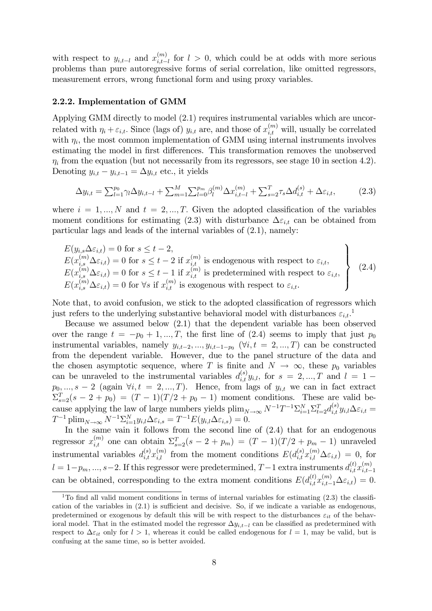with respect to  $y_{i,t-l}$  and  $x_{i,t-l}^{(m)}$  $\binom{m}{i,t-l}$  for  $l > 0$ , which could be at odds with more serious problems than pure autoregressive forms of serial correlation, like omitted regressors, measurement errors, wrong functional form and using proxy variables.

#### 2.2.2. Implementation of GMM

Applying GMM directly to model (2.1) requires instrumental variables which are uncorrelated with  $\eta_i + \varepsilon_{i,t}$ . Since (lags of)  $y_{i,t}$  are, and those of  $x_{i,t}^{(m)}$  will, usually be correlated with  $\eta_i$ , the most common implementation of GMM using internal instruments involves estimating the model in first differences. This transformation removes the unobserved  $\eta_i$  from the equation (but not necessarily from its regressors, see stage 10 in section 4.2). Denoting  $y_{i,t} - y_{i,t-1} = \Delta y_{i,t}$  etc., it yields

$$
\Delta y_{i,t} = \sum_{l=1}^{p_0} \gamma_l \Delta y_{i,t-l} + \sum_{m=1}^{M} \sum_{l=0}^{p_m} \beta_l^{(m)} \Delta x_{i,t-l}^{(m)} + \sum_{s=2}^{T} \tau_s \Delta d_{i,t}^{(s)} + \Delta \varepsilon_{i,t},
$$
(2.3)

where  $i = 1, ..., N$  and  $t = 2, ..., T$ . Given the adopted classification of the variables moment conditions for estimating (2.3) with disturbance  $\Delta \varepsilon_{i,t}$  can be obtained from particular lags and leads of the internal variables of (2.1), namely:

$$
E(y_{i,s}\Delta\varepsilon_{i,t}) = 0 \text{ for } s \le t - 2,
$$
  
\n
$$
E(x_{i,s}^{(m)}\Delta\varepsilon_{i,t}) = 0 \text{ for } s \le t - 2 \text{ if } x_{i,t}^{(m)} \text{ is endogenous with respect to } \varepsilon_{i,t},
$$
  
\n
$$
E(x_{i,s}^{(m)}\Delta\varepsilon_{i,t}) = 0 \text{ for } s \le t - 1 \text{ if } x_{i,t}^{(m)} \text{ is predetermined with respect to } \varepsilon_{i,t},
$$
  
\n
$$
E(x_{i,s}^{(m)}\Delta\varepsilon_{i,t}) = 0 \text{ for } \forall s \text{ if } x_{i,t}^{(m)} \text{ is exogenous with respect to } \varepsilon_{i,t}.
$$
\n(2.4)

Note that, to avoid confusion, we stick to the adopted classification of regressors which just refers to the underlying substantive behavioral model with disturbances  $\varepsilon_{i,t}$ .

Because we assumed below (2.1) that the dependent variable has been observed over the range  $t = -p_0 + 1, ..., T$ , the first line of (2.4) seems to imply that just  $p_0$ instrumental variables, namely  $y_{i,t-2},..., y_{i,t-1-p_0}$  ( $\forall i, t = 2,...,T$ ) can be constructed from the dependent variable. However, due to the panel structure of the data and the chosen asymptotic sequence, where T is finite and  $N \to \infty$ , these  $p_0$  variables can be unraveled to the instrumental variables  $d_{i,t}^{(s)}y_{i,l}$ , for  $s = 2, ..., T$  and  $l = 1$  $p_0, ..., s-2$  (again  $\forall i, t = 2, ..., T$ ). Hence, from lags of  $y_{i,t}$  we can in fact extract  $\Sigma_{s=2}^T(s-2+p_0) = (T-1)(T/2+p_0-1)$  moment conditions. These are valid because applying the law of large numbers yields  $\lim_{N\to\infty} N^{-1}T^{-1}\Sigma_{i=1}^N \Sigma_{t=2}^T d_{i,t}^{(s)} y_{i,l}\Delta\varepsilon_{i,t} =$  $T^{-1}$  plim<sub>N→∞</sub>  $N^{-1} \sum_{i=1}^{N} y_{i,l} \Delta \varepsilon_{i,s} = T^{-1} E(y_{i,l} \Delta \varepsilon_{i,s}) = 0.$ 

In the same vain it follows from the second line of  $(2.4)$  that for an endogenous regressor  $x_{i,t}^{(m)}$  one can obtain  $\Sigma_{s=2}^T(s-2+p_m) = (T-1)(T/2+p_m-1)$  unraveled instrumental variables  $d_{i,t}^{(s)} x_{i,l}^{(m)}$  from the moment conditions  $E(d_{i,t}^{(s)} x_{i,l}^{(m)} \Delta \varepsilon_{i,t}) = 0$ , for  $l = 1-p_m, ..., s-2$ . If this regressor were predetermined,  $T-1$  extra instruments  $d_{i,t}^{(t)} x_{i,t-1}^{(m)}$  $i,t-1$ can be obtained, corresponding to the extra moment conditions  $E(d_{i,t}^{(t)}x_{i,t-1}^{(m)}\Delta\varepsilon_{i,t})=0$ .

<sup>&</sup>lt;sup>1</sup>To find all valid moment conditions in terms of internal variables for estimating  $(2.3)$  the classification of the variables in  $(2.1)$  is sufficient and decisive. So, if we indicate a variable as endogenous, predetermined or exogenous by default this will be with respect to the disturbances  $\varepsilon_{it}$  of the behavioral model. That in the estimated model the regressor  $\Delta y_{i,t-l}$  can be classified as predetermined with respect to  $\Delta \varepsilon_{it}$  only for  $l > 1$ , whereas it could be called endogenous for  $l = 1$ , may be valid, but is confusing at the same time, so is better avoided.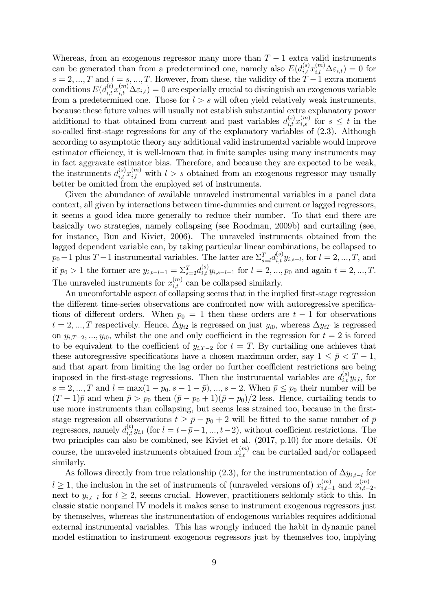Whereas, from an exogenous regressor many more than  $T-1$  extra valid instruments can be generated than from a predetermined one, namely also  $E(d_{i,t}^{(s)} x_{i,l}^{(m)} \Delta \varepsilon_{i,t}) = 0$  for  $s = 2, ..., T$  and  $l = s, ..., T$ . However, from these, the validity of the  $T-1$  extra moment conditions  $E(d_{i,t}^{(t)}x_{i,t}^{(m)}\Delta\varepsilon_{i,t})=0$  are especially crucial to distinguish an exogenous variable from a predetermined one. Those for  $l > s$  will often yield relatively weak instruments, because these future values will usually not establish substantial extra explanatory power additional to that obtained from current and past variables  $d_{i,t}^{(s)} x_{i,s}^{(m)}$  for  $s \leq t$  in the so-called first-stage regressions for any of the explanatory variables of  $(2.3)$ . Although according to asymptotic theory any additional valid instrumental variable would improve estimator efficiency, it is well-known that in finite samples using many instruments may in fact aggravate estimator bias. Therefore, and because they are expected to be weak, the instruments  $d_{i,t}^{(s)} x_{i,l}^{(m)}$  with  $l > s$  obtained from an exogenous regressor may usually better be omitted from the employed set of instruments.

Given the abundance of available unraveled instrumental variables in a panel data context, all given by interactions between time-dummies and current or lagged regressors, it seems a good idea more generally to reduce their number. To that end there are basically two strategies, namely collapsing (see Roodman, 2009b) and curtailing (see, for instance, Bun and Kiviet, 2006). The unraveled instruments obtained from the lagged dependent variable can, by taking particular linear combinations, be collapsed to  $p_0-1$  plus  $T-1$  instrumental variables. The latter are  $\sum_{s=l}^{T} d_{i,t}^{(s)} y_{i,s-l}$ , for  $l=2, ..., T$ , and if  $p_0 > 1$  the former are  $y_{i,t-l-1} = \sum_{s=2}^{T} d_{i,t}^{(s)} y_{i,s-l-1}$  for  $l = 2, ..., p_0$  and again  $t = 2, ..., T$ . The unraveled instruments for  $x_{i,t}^{(m)}$  can be collapsed similarly.

An uncomfortable aspect of collapsing seems that in the implied first-stage regression the different time-series observations are confronted now with autoregressive specifications of different orders. When  $p_0 = 1$  then these orders are  $t - 1$  for observations  $t = 2, ..., T$  respectively. Hence,  $\Delta y_{i2}$  is regressed on just  $y_{i0}$ , whereas  $\Delta y_{iT}$  is regressed on  $y_{i,T-2},...,y_{i0}$ , whilst the one and only coefficient in the regression for  $t=2$  is forced to be equivalent to the coefficient of  $y_{i,T-2}$  for  $t = T$ . By curtailing one achieves that these autoregressive specifications have a chosen maximum order, say  $1 \leq \bar{p} < T - 1$ , and that apart from limiting the lag order no further coefficient restrictions are being imposed in the first-stage regressions. Then the instrumental variables are  $d_{i,t}^{(s)}y_{i,l}$ , for  $s = 2, ..., T$  and  $l = \max(1 - p_0, s - 1 - \bar{p}), ..., s - 2$ . When  $\bar{p} \le p_0$  their number will be  $(T-1)\bar{p}$  and when  $\bar{p} > p_0$  then  $(\bar{p} - p_0 + 1)(\bar{p} - p_0)/2$  less. Hence, curtailing tends to use more instruments than collapsing, but seems less strained too, because in the firststage regression all observations  $t \ge \bar{p} - p_0 + 2$  will be fitted to the same number of  $\bar{p}$ regressors, namely  $d_{i,t}^{(t)}y_{i,l}$  (for  $l = t-\overline{p-1}, ..., t-2$ ), without coefficient restrictions. The two principles can also be combined, see Kiviet et al. (2017, p.10) for more details. Of course, the unraveled instruments obtained from  $x_{i,t}^{(m)}$  can be curtailed and/or collapsed similarly.

As follows directly from true relationship (2.3), for the instrumentation of  $\Delta y_{i,t-l}$  for  $l \geq 1$ , the inclusion in the set of instruments of (unraveled versions of)  $x_{i,t}^{(m)}$  $_{i,t-1}^{(m)}$  and  $x_{i,t-1}^{(m)}$  $\binom{m}{i,t-2}$ next to  $y_{i,t-l}$  for  $l \geq 2$ , seems crucial. However, practitioners seldomly stick to this. In classic static nonpanel IV models it makes sense to instrument exogenous regressors just by themselves, whereas the instrumentation of endogenous variables requires additional external instrumental variables. This has wrongly induced the habit in dynamic panel model estimation to instrument exogenous regressors just by themselves too, implying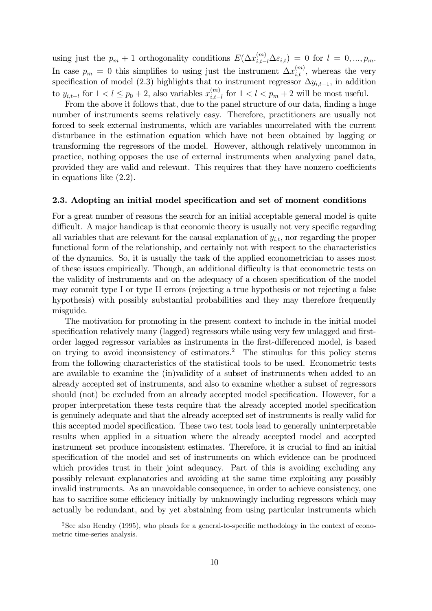using just the  $p_m + 1$  orthogonality conditions  $E(\Delta x_{i,t-l}^{(m)} \Delta \varepsilon_{i,t}) = 0$  for  $l = 0, ..., p_m$ . In case  $p_m = 0$  this simplifies to using just the instrument  $\Delta x_{i,t}^{(m)}$ , whereas the very specification of model (2.3) highlights that to instrument regressor  $\Delta y_{i,t-1}$ , in addition to  $y_{i,t-l}$  for  $1 < l \leq p_0 + 2$ , also variables  $x_{i,t-l}^{(m)}$  $\sum_{i,t-l}^{(m)}$  for  $1 < l < p_m + 2$  will be most useful.

From the above it follows that, due to the panel structure of our data, finding a huge number of instruments seems relatively easy. Therefore, practitioners are usually not forced to seek external instruments, which are variables uncorrelated with the current disturbance in the estimation equation which have not been obtained by lagging or transforming the regressors of the model. However, although relatively uncommon in practice, nothing opposes the use of external instruments when analyzing panel data, provided they are valid and relevant. This requires that they have nonzero coefficients in equations like (2.2).

#### 2.3. Adopting an initial model specification and set of moment conditions

For a great number of reasons the search for an initial acceptable general model is quite difficult. A major handicap is that economic theory is usually not very specific regarding all variables that are relevant for the causal explanation of  $y_{i,t}$ , nor regarding the proper functional form of the relationship, and certainly not with respect to the characteristics of the dynamics. So, it is usually the task of the applied econometrician to asses most of these issues empirically. Though, an additional difficulty is that econometric tests on the validity of instruments and on the adequacy of a chosen specification of the model may commit type I or type II errors (rejecting a true hypothesis or not rejecting a false hypothesis) with possibly substantial probabilities and they may therefore frequently misguide.

The motivation for promoting in the present context to include in the initial model specification relatively many (lagged) regressors while using very few unlagged and firstorder lagged regressor variables as instruments in the first-differenced model, is based on trying to avoid inconsistency of estimators.<sup>2</sup> The stimulus for this policy stems from the following characteristics of the statistical tools to be used. Econometric tests are available to examine the (in)validity of a subset of instruments when added to an already accepted set of instruments, and also to examine whether a subset of regressors should (not) be excluded from an already accepted model specification. However, for a proper interpretation these tests require that the already accepted model specification is genuinely adequate and that the already accepted set of instruments is really valid for this accepted model specification. These two test tools lead to generally uninterpretable results when applied in a situation where the already accepted model and accepted instrument set produce inconsistent estimates. Therefore, it is crucial to find an initial specification of the model and set of instruments on which evidence can be produced which provides trust in their joint adequacy. Part of this is avoiding excluding any possibly relevant explanatories and avoiding at the same time exploiting any possibly invalid instruments. As an unavoidable consequence, in order to achieve consistency, one has to sacrifice some efficiency initially by unknowingly including regressors which may actually be redundant, and by yet abstaining from using particular instruments which

 $2$ See also Hendry (1995), who pleads for a general-to-specific methodology in the context of econometric time-series analysis.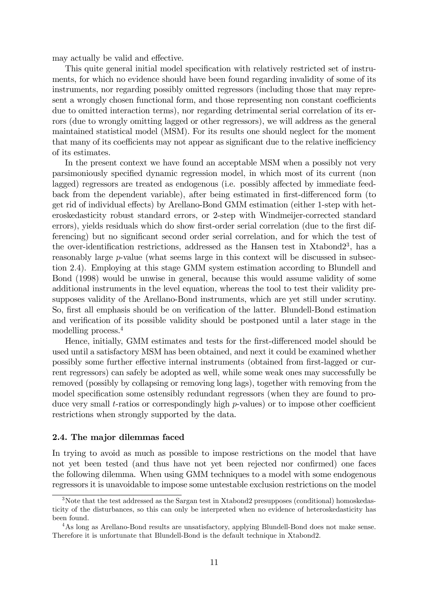may actually be valid and effective.

This quite general initial model specification with relatively restricted set of instruments, for which no evidence should have been found regarding invalidity of some of its instruments, nor regarding possibly omitted regressors (including those that may represent a wrongly chosen functional form, and those representing non constant coefficients due to omitted interaction terms), nor regarding detrimental serial correlation of its errors (due to wrongly omitting lagged or other regressors), we will address as the general maintained statistical model (MSM). For its results one should neglect for the moment that many of its coefficients may not appear as significant due to the relative inefficiency of its estimates.

In the present context we have found an acceptable MSM when a possibly not very parsimoniously specified dynamic regression model, in which most of its current (non lagged) regressors are treated as endogenous (i.e. possibly affected by immediate feedback from the dependent variable), after being estimated in first-differenced form (to get rid of individual effects) by Arellano-Bond GMM estimation (either 1-step with heteroskedasticity robust standard errors, or 2-step with Windmeijer-corrected standard errors), yields residuals which do show first-order serial correlation (due to the first differencing) but no significant second order serial correlation, and for which the test of the over-identification restrictions, addressed as the Hansen test in Xtabond $2^3$ , has a reasonably large p-value (what seems large in this context will be discussed in subsection 2.4). Employing at this stage GMM system estimation according to Blundell and Bond (1998) would be unwise in general, because this would assume validity of some additional instruments in the level equation, whereas the tool to test their validity presupposes validity of the Arellano-Bond instruments, which are yet still under scrutiny. So, first all emphasis should be on verification of the latter. Blundell-Bond estimation and verification of its possible validity should be postponed until a later stage in the modelling process.<sup>4</sup>

Hence, initially, GMM estimates and tests for the first-differenced model should be used until a satisfactory MSM has been obtained, and next it could be examined whether possibly some further effective internal instruments (obtained from first-lagged or current regressors) can safely be adopted as well, while some weak ones may successfully be removed (possibly by collapsing or removing long lags), together with removing from the model specification some ostensibly redundant regressors (when they are found to produce very small t-ratios or correspondingly high  $p$ -values) or to impose other coefficient restrictions when strongly supported by the data.

#### 2.4. The major dilemmas faced

In trying to avoid as much as possible to impose restrictions on the model that have not yet been tested (and thus have not yet been rejected nor confirmed) one faces the following dilemma. When using GMM techniques to a model with some endogenous regressors it is unavoidable to impose some untestable exclusion restrictions on the model

<sup>&</sup>lt;sup>3</sup>Note that the test addressed as the Sargan test in Xtabond2 presupposes (conditional) homoskedasticity of the disturbances, so this can only be interpreted when no evidence of heteroskedasticity has been found.

<sup>4</sup>As long as Arellano-Bond results are unsatisfactory, applying Blundell-Bond does not make sense. Therefore it is unfortunate that Blundell-Bond is the default technique in Xtabond2.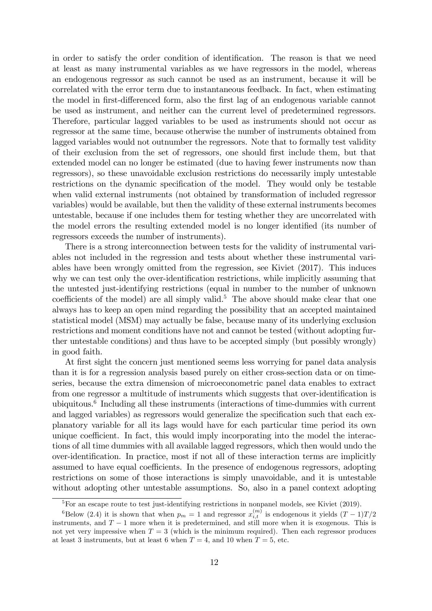in order to satisfy the order condition of identification. The reason is that we need at least as many instrumental variables as we have regressors in the model, whereas an endogenous regressor as such cannot be used as an instrument, because it will be correlated with the error term due to instantaneous feedback. In fact, when estimating the model in first-differenced form, also the first lag of an endogenous variable cannot be used as instrument, and neither can the current level of predetermined regressors. Therefore, particular lagged variables to be used as instruments should not occur as regressor at the same time, because otherwise the number of instruments obtained from lagged variables would not outnumber the regressors. Note that to formally test validity of their exclusion from the set of regressors, one should first include them, but that extended model can no longer be estimated (due to having fewer instruments now than regressors), so these unavoidable exclusion restrictions do necessarily imply untestable restrictions on the dynamic specification of the model. They would only be testable when valid external instruments (not obtained by transformation of included regressor variables) would be available, but then the validity of these external instruments becomes untestable, because if one includes them for testing whether they are uncorrelated with the model errors the resulting extended model is no longer identified (its number of regressors exceeds the number of instruments).

There is a strong interconnection between tests for the validity of instrumental variables not included in the regression and tests about whether these instrumental variables have been wrongly omitted from the regression, see Kiviet (2017). This induces why we can test only the over-identification restrictions, while implicitly assuming that the untested just-identifying restrictions (equal in number to the number of unknown coefficients of the model) are all simply valid.<sup>5</sup> The above should make clear that one always has to keep an open mind regarding the possibility that an accepted maintained statistical model (MSM) may actually be false, because many of its underlying exclusion restrictions and moment conditions have not and cannot be tested (without adopting further untestable conditions) and thus have to be accepted simply (but possibly wrongly) in good faith.

At first sight the concern just mentioned seems less worrying for panel data analysis than it is for a regression analysis based purely on either cross-section data or on timeseries, because the extra dimension of microeconometric panel data enables to extract from one regressor a multitude of instruments which suggests that over-identification is ubiquitous.<sup>6</sup> Including all these instruments (interactions of time-dummies with current and lagged variables) as regressors would generalize the specification such that each explanatory variable for all its lags would have for each particular time period its own unique coefficient. In fact, this would imply incorporating into the model the interactions of all time dummies with all available lagged regressors, which then would undo the over-identiÖcation. In practice, most if not all of these interaction terms are implicitly assumed to have equal coefficients. In the presence of endogenous regressors, adopting restrictions on some of those interactions is simply unavoidable, and it is untestable without adopting other untestable assumptions. So, also in a panel context adopting

<sup>&</sup>lt;sup>5</sup>For an escape route to test just-identifying restrictions in nonpanel models, see Kiviet (2019).

<sup>&</sup>lt;sup>6</sup>Below (2.4) it is shown that when  $p_m = 1$  and regressor  $x_{i,t}^{(m)}$  is endogenous it yields  $(T - 1)T/2$ instruments, and  $T-1$  more when it is predetermined, and still more when it is exogenous. This is not yet very impressive when  $T = 3$  (which is the minimum required). Then each regressor produces at least 3 instruments, but at least 6 when  $T = 4$ , and 10 when  $T = 5$ , etc.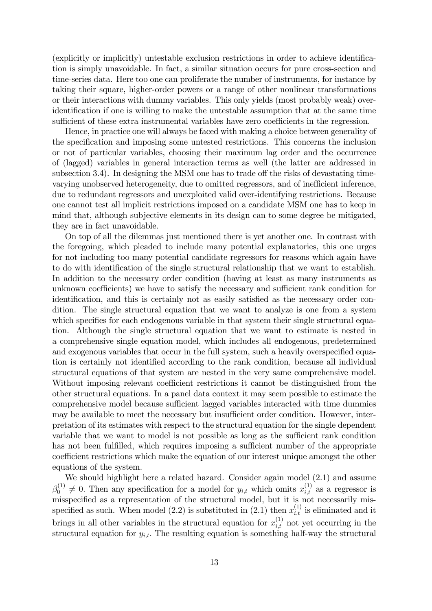$(\text{explicitly or implicitly})$  untestable exclusion restrictions in order to achieve identification is simply unavoidable. In fact, a similar situation occurs for pure cross-section and time-series data. Here too one can proliferate the number of instruments, for instance by taking their square, higher-order powers or a range of other nonlinear transformations or their interactions with dummy variables. This only yields (most probably weak) overidentification if one is willing to make the untestable assumption that at the same time sufficient of these extra instrumental variables have zero coefficients in the regression.

Hence, in practice one will always be faced with making a choice between generality of the specification and imposing some untested restrictions. This concerns the inclusion or not of particular variables, choosing their maximum lag order and the occurrence of (lagged) variables in general interaction terms as well (the latter are addressed in subsection 3.4). In designing the MSM one has to trade off the risks of devastating timevarying unobserved heterogeneity, due to omitted regressors, and of inefficient inference, due to redundant regressors and unexploited valid over-identifying restrictions. Because one cannot test all implicit restrictions imposed on a candidate MSM one has to keep in mind that, although subjective elements in its design can to some degree be mitigated, they are in fact unavoidable.

On top of all the dilemmas just mentioned there is yet another one. In contrast with the foregoing, which pleaded to include many potential explanatories, this one urges for not including too many potential candidate regressors for reasons which again have to do with identification of the single structural relationship that we want to establish. In addition to the necessary order condition (having at least as many instruments as unknown coefficients) we have to satisfy the necessary and sufficient rank condition for identification, and this is certainly not as easily satisfied as the necessary order condition. The single structural equation that we want to analyze is one from a system which specifies for each endogenous variable in that system their single structural equation. Although the single structural equation that we want to estimate is nested in a comprehensive single equation model, which includes all endogenous, predetermined and exogenous variables that occur in the full system, such a heavily overspecified equation is certainly not identified according to the rank condition, because all individual structural equations of that system are nested in the very same comprehensive model. Without imposing relevant coefficient restrictions it cannot be distinguished from the other structural equations. In a panel data context it may seem possible to estimate the comprehensive model because sufficient lagged variables interacted with time dummies may be available to meet the necessary but insufficient order condition. However, interpretation of its estimates with respect to the structural equation for the single dependent variable that we want to model is not possible as long as the sufficient rank condition has not been fulfilled, which requires imposing a sufficient number of the appropriate coefficient restrictions which make the equation of our interest unique amongst the other equations of the system.

We should highlight here a related hazard. Consider again model  $(2.1)$  and assume  $\beta_0^{(1)} \neq 0$ . Then any specification for a model for  $y_{i,t}$  which omits  $x_{i,t}^{(1)}$  as a regressor is misspecified as a representation of the structural model, but it is not necessarily misspecified as such. When model (2.2) is substituted in (2.1) then  $x_{i,t}^{(1)}$  is eliminated and it brings in all other variables in the structural equation for  $x_{i,t}^{(1)}$  not yet occurring in the structural equation for  $y_{i,t}$ . The resulting equation is something half-way the structural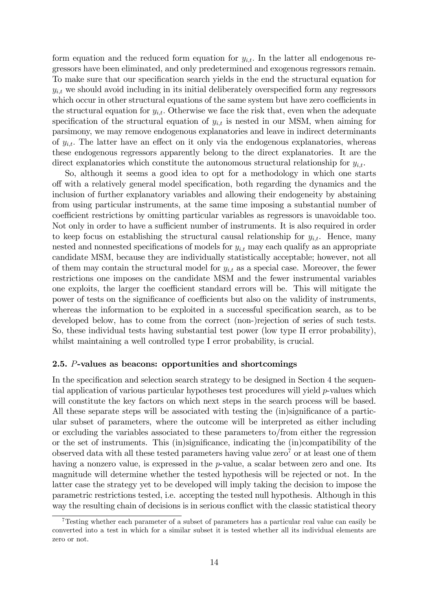form equation and the reduced form equation for  $y_{i,t}$ . In the latter all endogenous regressors have been eliminated, and only predetermined and exogenous regressors remain. To make sure that our specification search yields in the end the structural equation for  $y_{i,t}$  we should avoid including in its initial deliberately overspecified form any regressors which occur in other structural equations of the same system but have zero coefficients in the structural equation for  $y_{i,t}$ . Otherwise we face the risk that, even when the adequate specification of the structural equation of  $y_{i,t}$  is nested in our MSM, when aiming for parsimony, we may remove endogenous explanatories and leave in indirect determinants of  $y_{it}$ . The latter have an effect on it only via the endogenous explanatories, whereas these endogenous regressors apparently belong to the direct explanatories. It are the direct explanatories which constitute the autonomous structural relationship for  $y_{i,t}$ .

So, although it seems a good idea to opt for a methodology in which one starts off with a relatively general model specification, both regarding the dynamics and the inclusion of further explanatory variables and allowing their endogeneity by abstaining from using particular instruments, at the same time imposing a substantial number of coefficient restrictions by omitting particular variables as regressors is unavoidable too. Not only in order to have a sufficient number of instruments. It is also required in order to keep focus on establishing the structural causal relationship for  $y_{i,t}$ . Hence, many nested and nonnested specifications of models for  $y_{i,t}$  may each qualify as an appropriate candidate MSM, because they are individually statistically acceptable; however, not all of them may contain the structural model for  $y_{i,t}$  as a special case. Moreover, the fewer restrictions one imposes on the candidate MSM and the fewer instrumental variables one exploits, the larger the coefficient standard errors will be. This will mitigate the power of tests on the significance of coefficients but also on the validity of instruments, whereas the information to be exploited in a successful specification search, as to be developed below, has to come from the correct (non-)rejection of series of such tests. So, these individual tests having substantial test power (low type II error probability), whilst maintaining a well controlled type I error probability, is crucial.

#### 2.5. P-values as beacons: opportunities and shortcomings

In the specification and selection search strategy to be designed in Section 4 the sequential application of various particular hypotheses test procedures will yield p-values which will constitute the key factors on which next steps in the search process will be based. All these separate steps will be associated with testing the (in)significance of a particular subset of parameters, where the outcome will be interpreted as either including or excluding the variables associated to these parameters to/from either the regression or the set of instruments. This  $(in)$ significance, indicating the  $(in)$ compatibility of the observed data with all these tested parameters having value  $zero<sup>7</sup>$  or at least one of them having a nonzero value, is expressed in the p-value, a scalar between zero and one. Its magnitude will determine whether the tested hypothesis will be rejected or not. In the latter case the strategy yet to be developed will imply taking the decision to impose the parametric restrictions tested, i.e. accepting the tested null hypothesis. Although in this way the resulting chain of decisions is in serious conflict with the classic statistical theory

<sup>7</sup>Testing whether each parameter of a subset of parameters has a particular real value can easily be converted into a test in which for a similar subset it is tested whether all its individual elements are zero or not.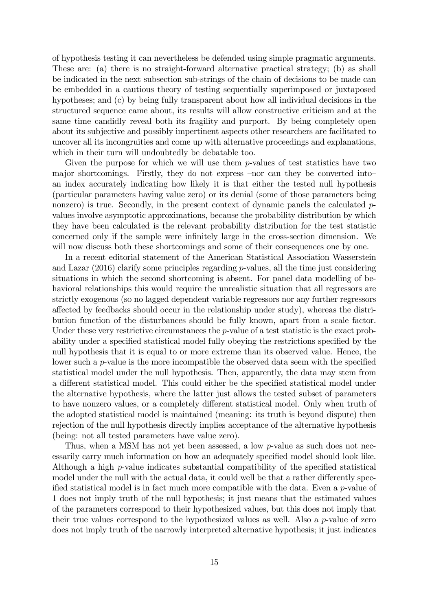of hypothesis testing it can nevertheless be defended using simple pragmatic arguments. These are: (a) there is no straight-forward alternative practical strategy; (b) as shall be indicated in the next subsection sub-strings of the chain of decisions to be made can be embedded in a cautious theory of testing sequentially superimposed or juxtaposed hypotheses; and (c) by being fully transparent about how all individual decisions in the structured sequence came about, its results will allow constructive criticism and at the same time candidly reveal both its fragility and purport. By being completely open about its subjective and possibly impertinent aspects other researchers are facilitated to uncover all its incongruities and come up with alternative proceedings and explanations, which in their turn will undoubtedly be debatable too.

Given the purpose for which we will use them  $p$ -values of test statistics have two major shortcomings. Firstly, they do not express –nor can they be converted into– an index accurately indicating how likely it is that either the tested null hypothesis (particular parameters having value zero) or its denial (some of those parameters being nonzero) is true. Secondly, in the present context of dynamic panels the calculated pvalues involve asymptotic approximations, because the probability distribution by which they have been calculated is the relevant probability distribution for the test statistic concerned only if the sample were infinitely large in the cross-section dimension. We will now discuss both these shortcomings and some of their consequences one by one.

In a recent editorial statement of the American Statistical Association Wasserstein and Lazar  $(2016)$  clarify some principles regarding p-values, all the time just considering situations in which the second shortcoming is absent. For panel data modelling of behavioral relationships this would require the unrealistic situation that all regressors are strictly exogenous (so no lagged dependent variable regressors nor any further regressors a§ected by feedbacks should occur in the relationship under study), whereas the distribution function of the disturbances should be fully known, apart from a scale factor. Under these very restrictive circumstances the p-value of a test statistic is the exact probability under a specified statistical model fully obeying the restrictions specified by the null hypothesis that it is equal to or more extreme than its observed value. Hence, the lower such a  $p$ -value is the more incompatible the observed data seem with the specified statistical model under the null hypothesis. Then, apparently, the data may stem from a different statistical model. This could either be the specified statistical model under the alternative hypothesis, where the latter just allows the tested subset of parameters to have nonzero values, or a completely different statistical model. Only when truth of the adopted statistical model is maintained (meaning: its truth is beyond dispute) then rejection of the null hypothesis directly implies acceptance of the alternative hypothesis (being: not all tested parameters have value zero).

Thus, when a MSM has not yet been assessed, a low p-value as such does not necessarily carry much information on how an adequately specified model should look like. Although a high  $p$ -value indicates substantial compatibility of the specified statistical model under the null with the actual data, it could well be that a rather differently specified statistical model is in fact much more compatible with the data. Even a  $p$ -value of 1 does not imply truth of the null hypothesis; it just means that the estimated values of the parameters correspond to their hypothesized values, but this does not imply that their true values correspond to the hypothesized values as well. Also a p-value of zero does not imply truth of the narrowly interpreted alternative hypothesis; it just indicates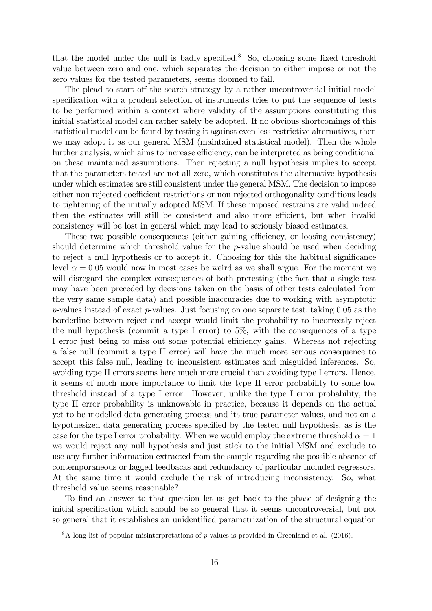that the model under the null is badly specified.<sup>8</sup> So, choosing some fixed threshold value between zero and one, which separates the decision to either impose or not the zero values for the tested parameters, seems doomed to fail.

The plead to start off the search strategy by a rather uncontroversial initial model specification with a prudent selection of instruments tries to put the sequence of tests to be performed within a context where validity of the assumptions constituting this initial statistical model can rather safely be adopted. If no obvious shortcomings of this statistical model can be found by testing it against even less restrictive alternatives, then we may adopt it as our general MSM (maintained statistical model). Then the whole further analysis, which aims to increase efficiency, can be interpreted as being conditional on these maintained assumptions. Then rejecting a null hypothesis implies to accept that the parameters tested are not all zero, which constitutes the alternative hypothesis under which estimates are still consistent under the general MSM. The decision to impose either non rejected coefficient restrictions or non rejected orthogonality conditions leads to tightening of the initially adopted MSM. If these imposed restrains are valid indeed then the estimates will still be consistent and also more efficient, but when invalid consistency will be lost in general which may lead to seriously biased estimates.

These two possible consequences (either gaining efficiency, or loosing consistency) should determine which threshold value for the p-value should be used when deciding to reject a null hypothesis or to accept it. Choosing for this the habitual significance level  $\alpha = 0.05$  would now in most cases be weird as we shall argue. For the moment we will disregard the complex consequences of both pretesting (the fact that a single test may have been preceded by decisions taken on the basis of other tests calculated from the very same sample data) and possible inaccuracies due to working with asymptotic  $p$ -values instead of exact  $p$ -values. Just focusing on one separate test, taking 0.05 as the borderline between reject and accept would limit the probability to incorrectly reject the null hypothesis (commit a type I error) to 5%, with the consequences of a type I error just being to miss out some potential efficiency gains. Whereas not rejecting a false null (commit a type II error) will have the much more serious consequence to accept this false null, leading to inconsistent estimates and misguided inferences. So, avoiding type II errors seems here much more crucial than avoiding type I errors. Hence, it seems of much more importance to limit the type II error probability to some low threshold instead of a type I error. However, unlike the type I error probability, the type II error probability is unknowable in practice, because it depends on the actual yet to be modelled data generating process and its true parameter values, and not on a hypothesized data generating process specified by the tested null hypothesis, as is the case for the type I error probability. When we would employ the extreme threshold  $\alpha = 1$ we would reject any null hypothesis and just stick to the initial MSM and exclude to use any further information extracted from the sample regarding the possible absence of contemporaneous or lagged feedbacks and redundancy of particular included regressors. At the same time it would exclude the risk of introducing inconsistency. So, what threshold value seems reasonable?

To find an answer to that question let us get back to the phase of designing the initial specification which should be so general that it seems uncontroversial, but not so general that it establishes an unidentified parametrization of the structural equation

 $8A$  long list of popular misinterpretations of p-values is provided in Greenland et al. (2016).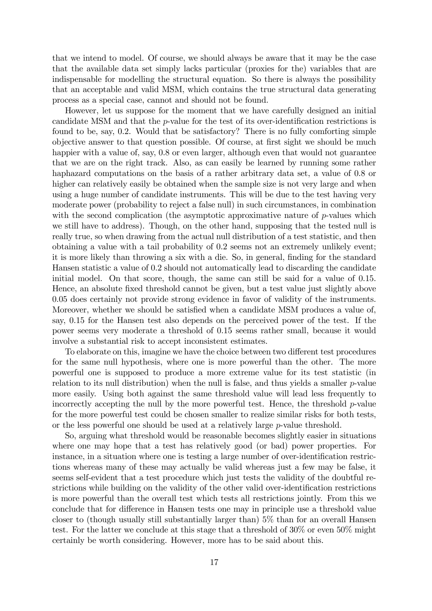that we intend to model. Of course, we should always be aware that it may be the case that the available data set simply lacks particular (proxies for the) variables that are indispensable for modelling the structural equation. So there is always the possibility that an acceptable and valid MSM, which contains the true structural data generating process as a special case, cannot and should not be found.

However, let us suppose for the moment that we have carefully designed an initial candidate MSM and that the  $p$ -value for the test of its over-identification restrictions is found to be, say, 0.2. Would that be satisfactory? There is no fully comforting simple objective answer to that question possible. Of course, at first sight we should be much happier with a value of, say,  $0.8$  or even larger, although even that would not guarantee that we are on the right track. Also, as can easily be learned by running some rather haphazard computations on the basis of a rather arbitrary data set, a value of 0.8 or higher can relatively easily be obtained when the sample size is not very large and when using a huge number of candidate instruments. This will be due to the test having very moderate power (probability to reject a false null) in such circumstances, in combination with the second complication (the asymptotic approximative nature of  $p$ -values which we still have to address). Though, on the other hand, supposing that the tested null is really true, so when drawing from the actual null distribution of a test statistic, and then obtaining a value with a tail probability of 0.2 seems not an extremely unlikely event; it is more likely than throwing a six with a die. So, in general, finding for the standard Hansen statistic a value of 0.2 should not automatically lead to discarding the candidate initial model. On that score, though, the same can still be said for a value of 0.15. Hence, an absolute fixed threshold cannot be given, but a test value just slightly above 0.05 does certainly not provide strong evidence in favor of validity of the instruments. Moreover, whether we should be satisfied when a candidate MSM produces a value of, say, 0.15 for the Hansen test also depends on the perceived power of the test. If the power seems very moderate a threshold of 0.15 seems rather small, because it would involve a substantial risk to accept inconsistent estimates.

To elaborate on this, imagine we have the choice between two different test procedures for the same null hypothesis, where one is more powerful than the other. The more powerful one is supposed to produce a more extreme value for its test statistic (in relation to its null distribution) when the null is false, and thus yields a smaller  $p$ -value more easily. Using both against the same threshold value will lead less frequently to incorrectly accepting the null by the more powerful test. Hence, the threshold  $p$ -value for the more powerful test could be chosen smaller to realize similar risks for both tests, or the less powerful one should be used at a relatively large  $p$ -value threshold.

So, arguing what threshold would be reasonable becomes slightly easier in situations where one may hope that a test has relatively good (or bad) power properties. For instance, in a situation where one is testing a large number of over-identification restrictions whereas many of these may actually be valid whereas just a few may be false, it seems self-evident that a test procedure which just tests the validity of the doubtful restrictions while building on the validity of the other valid over-identification restrictions is more powerful than the overall test which tests all restrictions jointly. From this we conclude that for difference in Hansen tests one may in principle use a threshold value closer to (though usually still substantially larger than) 5% than for an overall Hansen test. For the latter we conclude at this stage that a threshold of 30% or even 50% might certainly be worth considering. However, more has to be said about this.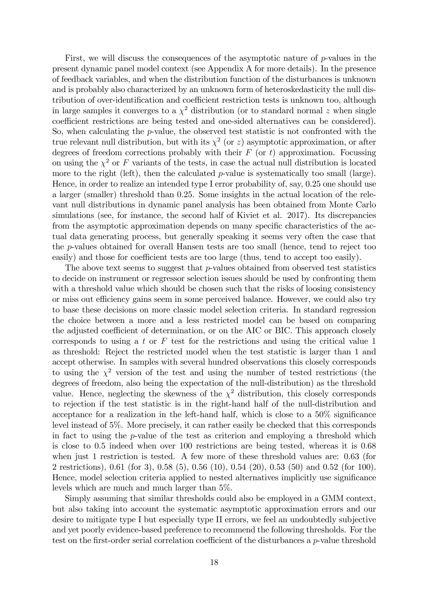First, we will discuss the consequences of the asymptotic nature of  $p$ -values in the present dynamic panel model context (see Appendix A for more details). In the presence of feedback variables, and when the distribution function of the disturbances is unknown and is probably also characterized by an unknown form of heteroskedasticity the null distribution of over-identification and coefficient restriction tests is unknown too, although in large samples it converges to a  $\chi^2$  distribution (or to standard normal z when single coefficient restrictions are being tested and one-sided alternatives can be considered). So, when calculating the p-value, the observed test statistic is not confronted with the true relevant null distribution, but with its  $\chi^2$  (or z) asymptotic approximation, or after degrees of freedom corrections probably with their  $F$  (or t) approximation. Focussing on using the  $\chi^2$  or F variants of the tests, in case the actual null distribution is located more to the right (left), then the calculated p-value is systematically too small (large). Hence, in order to realize an intended type I error probability of, say, 0.25 one should use a larger (smaller) threshold than 0.25. Some insights in the actual location of the relevant null distributions in dynamic panel analysis has been obtained from Monte Carlo simulations (see, for instance, the second half of Kiviet et al. 2017). Its discrepancies from the asymptotic approximation depends on many specific characteristics of the actual data generating process, but generally speaking it seems very often the case that the p-values obtained for overall Hansen tests are too small (hence, tend to reject too easily) and those for coefficient tests are too large (thus, tend to accept too easily).

The above text seems to suggest that  $p$ -values obtained from observed test statistics to decide on instrument or regressor selection issues should be used by confronting them with a threshold value which should be chosen such that the risks of loosing consistency or miss out efficiency gains seem in some perceived balance. However, we could also try to base these decisions on more classic model selection criteria. In standard regression the choice between a more and a less restricted model can be based on comparing the adjusted coefficient of determination, or on the AIC or BIC. This approach closely corresponds to using a t or  $F$  test for the restrictions and using the critical value 1 as threshold: Reject the restricted model when the test statistic is larger than 1 and accept otherwise. In samples with several hundred observations this closely corresponds to using the  $\chi^2$  version of the test and using the number of tested restrictions (the degrees of freedom, also being the expectation of the null-distribution) as the threshold value. Hence, neglecting the skewness of the  $\chi^2$  distribution, this closely corresponds to rejection if the test statistic is in the right-hand half of the null-distribution and acceptance for a realization in the left-hand half, which is close to a  $50\%$  significance level instead of 5%. More precisely, it can rather easily be checked that this corresponds in fact to using the p-value of the test as criterion and employing a threshold which is close to 0.5 indeed when over 100 restrictions are being tested, whereas it is 0.68 when just 1 restriction is tested. A few more of these threshold values are: 0.63 (for 2 restrictions), 0.61 (for 3), 0.58 (5), 0.56 (10), 0.54 (20), 0.53 (50) and 0.52 (for 100). Hence, model selection criteria applied to nested alternatives implicitly use significance levels which are much and much larger than 5%.

Simply assuming that similar thresholds could also be employed in a GMM context, but also taking into account the systematic asymptotic approximation errors and our desire to mitigate type I but especially type II errors, we feel an undoubtedly subjective and yet poorly evidence-based preference to recommend the following thresholds. For the test on the first-order serial correlation coefficient of the disturbances a  $p$ -value threshold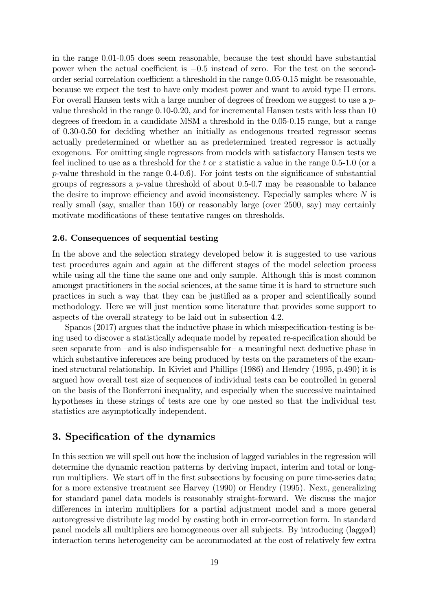in the range 0.01-0.05 does seem reasonable, because the test should have substantial power when the actual coefficient is  $-0.5$  instead of zero. For the test on the secondorder serial correlation coefficient a threshold in the range  $0.05-0.15$  might be reasonable, because we expect the test to have only modest power and want to avoid type II errors. For overall Hansen tests with a large number of degrees of freedom we suggest to use a pvalue threshold in the range 0.10-0.20, and for incremental Hansen tests with less than 10 degrees of freedom in a candidate MSM a threshold in the 0.05-0.15 range, but a range of 0.30-0.50 for deciding whether an initially as endogenous treated regressor seems actually predetermined or whether an as predetermined treated regressor is actually exogenous. For omitting single regressors from models with satisfactory Hansen tests we feel inclined to use as a threshold for the t or z statistic a value in the range  $0.5{\text -}1.0$  (or a  $p$ -value threshold in the range  $(0.4-0.6)$ . For joint tests on the significance of substantial groups of regressors a  $p$ -value threshold of about 0.5-0.7 may be reasonable to balance the desire to improve efficiency and avoid inconsistency. Especially samples where  $N$  is really small (say, smaller than 150) or reasonably large (over 2500, say) may certainly motivate modifications of these tentative ranges on thresholds.

#### 2.6. Consequences of sequential testing

In the above and the selection strategy developed below it is suggested to use various test procedures again and again at the different stages of the model selection process while using all the time the same one and only sample. Although this is most common amongst practitioners in the social sciences, at the same time it is hard to structure such practices in such a way that they can be justified as a proper and scientifically sound methodology. Here we will just mention some literature that provides some support to aspects of the overall strategy to be laid out in subsection 4.2.

Spanos  $(2017)$  argues that the inductive phase in which misspecification-testing is being used to discover a statistically adequate model by repeated re-specification should be seen separate from  $-$  and is also indispensable for- a meaningful next deductive phase in which substantive inferences are being produced by tests on the parameters of the examined structural relationship. In Kiviet and Phillips (1986) and Hendry (1995, p.490) it is argued how overall test size of sequences of individual tests can be controlled in general on the basis of the Bonferroni inequality, and especially when the successive maintained hypotheses in these strings of tests are one by one nested so that the individual test statistics are asymptotically independent.

### 3. Specification of the dynamics

In this section we will spell out how the inclusion of lagged variables in the regression will determine the dynamic reaction patterns by deriving impact, interim and total or longrun multipliers. We start off in the first subsections by focusing on pure time-series data; for a more extensive treatment see Harvey (1990) or Hendry (1995). Next, generalizing for standard panel data models is reasonably straight-forward. We discuss the major differences in interim multipliers for a partial adjustment model and a more general autoregressive distribute lag model by casting both in error-correction form. In standard panel models all multipliers are homogeneous over all subjects. By introducing (lagged) interaction terms heterogeneity can be accommodated at the cost of relatively few extra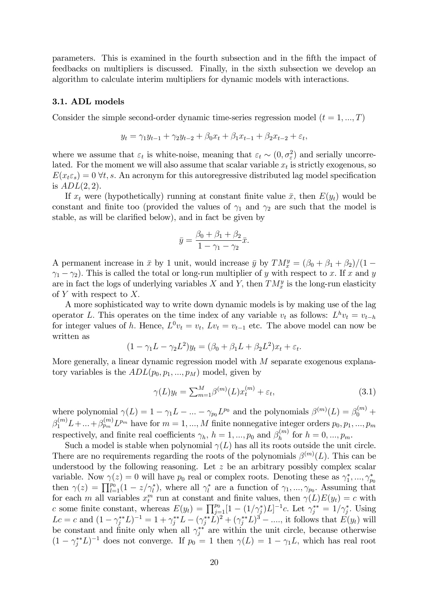parameters. This is examined in the fourth subsection and in the Öfth the impact of feedbacks on multipliers is discussed. Finally, in the sixth subsection we develop an algorithm to calculate interim multipliers for dynamic models with interactions.

#### 3.1. ADL models

Consider the simple second-order dynamic time-series regression model  $(t = 1, ..., T)$ 

$$
y_t = \gamma_1 y_{t-1} + \gamma_2 y_{t-2} + \beta_0 x_t + \beta_1 x_{t-1} + \beta_2 x_{t-2} + \varepsilon_t,
$$

where we assume that  $\varepsilon_t$  is white-noise, meaning that  $\varepsilon_t \sim (0, \sigma_{\varepsilon}^2)$  and serially uncorrelated. For the moment we will also assume that scalar variable  $x_t$  is strictly exogenous, so  $E(x_t \epsilon_s) = 0$   $\forall t, s$ . An acronym for this autoregressive distributed lag model specification is  $ADL(2, 2)$ .

If  $x_t$  were (hypothetically) running at constant finite value  $\bar{x}$ , then  $E(y_t)$  would be constant and finite too (provided the values of  $\gamma_1$  and  $\gamma_2$  are such that the model is stable, as will be clarified below), and in fact be given by

$$
\bar{y} = \frac{\beta_0 + \beta_1 + \beta_2}{1 - \gamma_1 - \gamma_2} \bar{x}.
$$

A permanent increase in  $\bar{x}$  by 1 unit, would increase  $\bar{y}$  by  $TM_x^y = (\beta_0 + \beta_1 + \beta_2)/(1 \gamma_1 - \gamma_2$ ). This is called the total or long-run multiplier of y with respect to x. If x and y are in fact the logs of underlying variables X and Y, then  $TM_x^y$  is the long-run elasticity of Y with respect to  $X$ .

A more sophisticated way to write down dynamic models is by making use of the lag operator L. This operates on the time index of any variable  $v_t$  as follows:  $L^h v_t = v_{t-h}$ for integer values of h. Hence,  $L^0 v_t = v_t$ ,  $Lv_t = v_{t-1}$  etc. The above model can now be written as

$$
(1 - \gamma_1 L - \gamma_2 L^2) y_t = (\beta_0 + \beta_1 L + \beta_2 L^2) x_t + \varepsilon_t.
$$

More generally, a linear dynamic regression model with M separate exogenous explanatory variables is the  $ADL(p_0, p_1, ..., p_M)$  model, given by

$$
\gamma(L)y_t = \sum_{m=1}^M \beta^{(m)}(L)x_t^{(m)} + \varepsilon_t,\tag{3.1}
$$

where polynomial  $\gamma(L) = 1 - \gamma_1 L - ... - \gamma_{p_0} L^{p_0}$  and the polynomials  $\beta^{(m)}(L) = \beta_0^{(m)} +$  $\beta_1^{(m)} L + ... + \beta_{p_m}^{(m)} L^{p_m}$  have for  $m = 1, ..., M$  finite nonnegative integer orders  $p_0, p_1, ..., p_m$ respectively, and finite real coefficients  $\gamma_h$ ,  $h = 1, ..., p_0$  and  $\beta_h^{(m)}$  $h_h^{(m)}$  for  $h = 0, ..., p_m$ .

Such a model is stable when polynomial  $\gamma(L)$  has all its roots outside the unit circle. There are no requirements regarding the roots of the polynomials  $\beta^{(m)}(L)$ . This can be understood by the following reasoning. Let  $z$  be an arbitrary possibly complex scalar variable. Now  $\gamma(z) = 0$  will have  $p_0$  real or complex roots. Denoting these as  $\gamma_1^*, ..., \gamma_{p_0}^*$ then  $\gamma(z) = \prod_{l=1}^{p_0} (1 - z/\gamma_l^*)$ , where all  $\gamma_l^*$  are a function of  $\gamma_1, ..., \gamma_{p_0}$ . Assuming that for each m all variables  $x_i^m$  run at constant and finite values, then  $\gamma(L)E(y_t) = c$  with c some finite constant, whereas  $E(y_t) = \prod_{j=1}^{p_0} [1 - (1/\gamma_j^*)L]^{-1}$ c. Let  $\gamma_j^{**} = 1/\gamma_j^*$ . Using  $Lc = c$  and  $(1 - \gamma_j^{**}L)^{-1} = 1 + \gamma_j^{**}L - (\gamma_j^{**}L)^2 + (\gamma_j^{**}L)^3 - \dots$ , it follows that  $E(y_t)$  will be constant and finite only when all  $\gamma_j^{**}$  are within the unit circle, because otherwise  $(1 - \gamma_j^{**}L)^{-1}$  does not converge. If  $p_0 = 1$  then  $\gamma(L) = 1 - \gamma_1 L$ , which has real root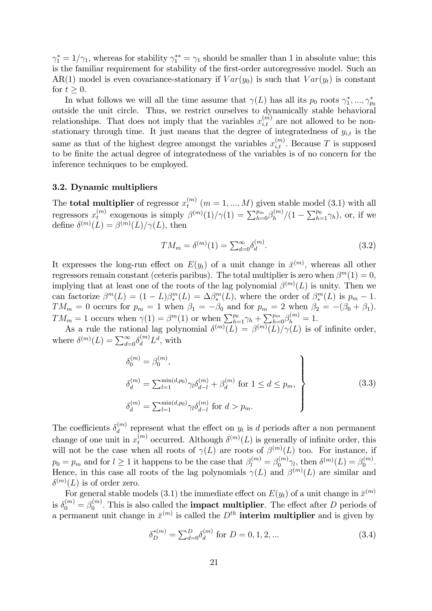$\gamma_1^* = 1/\gamma_1$ , whereas for stability  $\gamma_1^{**} = \gamma_1$  should be smaller than 1 in absolute value; this is the familiar requirement for stability of the first-order autoregressive model. Such an AR(1) model is even covariance-stationary if  $Var(y_0)$  is such that  $Var(y_t)$  is constant for  $t \geq 0$ .

In what follows we will all the time assume that  $\gamma(L)$  has all its  $p_0$  roots  $\gamma_1^*,...,\gamma_{p_0}^*$ outside the unit circle. Thus, we restrict ourselves to dynamically stable behavioral relationships. That does not imply that the variables  $x_{i,t}^{(m)}$  are not allowed to be nonstationary through time. It just means that the degree of integratedness of  $y_{i,t}$  is the same as that of the highest degree amongst the variables  $x_{i,t}^{(m)}$ . Because T is supposed to be finite the actual degree of integratedness of the variables is of no concern for the inference techniques to be employed.

#### 3.2. Dynamic multipliers

The **total multiplier** of regressor  $x_t^{(m)}$  $t_t^{(m)}$   $(m = 1, ..., M)$  given stable model  $(3.1)$  with all regressors  $x_t^{(m)}$  $t_t^{(m)}$  exogenous is simply  $\beta^{(m)}(1)/\gamma(1) = \sum_{h=0}^{p_m} \beta_h^{(m)}$  $h_h^{(m)}/(1-\sum_{h=1}^{p_0}\gamma_h)$ , or, if we define  $\delta^{(m)}(L) = \beta^{(m)}(L)/\gamma(L)$ , then

$$
TM_m = \delta^{(m)}(1) = \sum_{d=0}^{\infty} \delta_d^{(m)}.
$$
\n(3.2)

It expresses the long-run effect on  $E(y_t)$  of a unit change in  $\bar{x}^{(m)}$ , whereas all other regressors remain constant (ceteris paribus). The total multiplier is zero when  $\beta^{m}(1) = 0$ , implying that at least one of the roots of the lag polynomial  $\beta^{(m)}(L)$  is unity. Then we can factorize  $\beta^{m}(L) = (1-L)\beta_{*}^{m}(L) = \Delta \beta_{*}^{m}(L)$ , where the order of  $\beta_{*}^{m}(L)$  is  $p_{m} - 1$ .  $TM_m = 0$  occurs for  $p_m = 1$  when  $\beta_1 = -\beta_0$  and for  $p_m = 2$  when  $\beta_2 = -(\beta_0 + \beta_1)$ .  $TM_m = 1$  occurs when  $\gamma(1) = \beta^m(1)$  or when  $\sum_{h=1}^{p_0} \gamma_h + \sum_{h=0}^{p_m} \beta_h^{(m)} = 1$ .

As a rule the rational lag polynomial  $\delta^{(m)}(L) = \beta^{(m)}(L)/\gamma(L)$  is of infinite order, where  $\delta^{(m)}(L) = \sum_{d=0}^{\infty} \delta_d^{(m)} L^d$ , with

$$
\delta_0^{(m)} = \beta_0^{(m)},
$$
\n
$$
\delta_d^{(m)} = \sum_{l=1}^{\min(d, p_0)} \gamma_l \delta_{d-l}^{(m)} + \beta_d^{(m)} \text{ for } 1 \le d \le p_m,
$$
\n
$$
\delta_d^{(m)} = \sum_{l=1}^{\min(d, p_0)} \gamma_l \delta_{d-l}^{(m)} \text{ for } d > p_m.
$$
\n(3.3)

The coefficients  $\delta_d^{(m)}$  $\binom{m}{d}$  represent what the effect on  $y_t$  is d periods after a non permanent change of one unit in  $x_t^{(m)}$  occurred. Although  $\delta^{(m)}(L)$  is generally of infinite order, this will not be the case when all roots of  $\gamma(L)$  are roots of  $\beta^{(m)}(L)$  too. For instance, if  $p_0 = p_m$  and for  $l \geq 1$  it happens to be the case that  $\beta_l^{(m)} = \beta_0^{(m)} \gamma_l$ , then  $\delta^{(m)}(L) = \beta_0^{(m)}$  $\int_0^{(m)}$ . Hence, in this case all roots of the lag polynomials  $\gamma(L)$  and  $\beta^{(m)}(L)$  are similar and  $\delta^{(m)}(L)$  is of order zero.

For general stable models (3.1) the immediate effect on  $E(y_t)$  of a unit change in  $\bar{x}^{(m)}$ is  $\delta_0^{(m)} = \beta_0^{(m)}$ . This is also called the **impact multiplier**. The effect after D periods of  $\boldsymbol{0}$ a permanent unit change in  $\bar{x}^{(m)}$  is called the  $D^{th}$  interim multiplier and is given by

$$
\delta_D^{*(m)} = \sum_{d=0}^{D} \delta_d^{(m)} \text{ for } D = 0, 1, 2, \dots \tag{3.4}
$$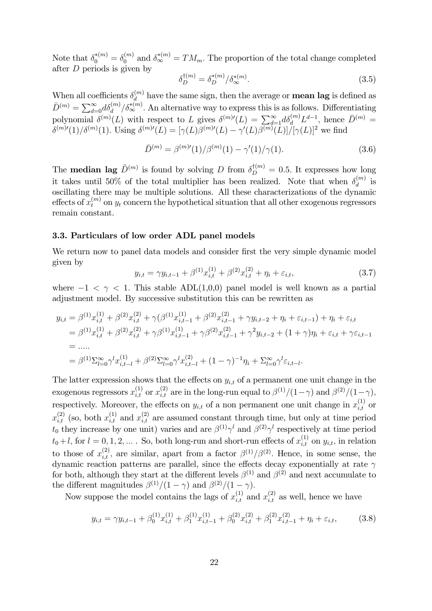Note that  $\delta_0^{*(m)} = \delta_0^{(m)}$  and  $\delta_{\infty}^{*(m)} = TM_m$ . The proportion of the total change completed after  $D$  periods is given by

$$
\delta_D^{\dagger(m)} = \delta_D^{*(m)} / \delta_{\infty}^{*(m)}.
$$
\n(3.5)

When all coefficients  $\delta_d^{(m)}$  $\mathbf{d}_{d}^{(m)}$  have the same sign, then the average or **mean lag** is defined as  $\bar{D}^{(m)} = \sum_{d=0}^{\infty} d\delta_d^{(m)}/\delta_{\infty}^{*(m)}$ . An alternative way to express this is as follows. Differentiating polynomial  $\delta^{(m)}(L)$  with respect to L gives  $\delta^{(m)}(L) = \sum_{d=1}^{\infty} d \delta_d^{(m)} L^{d-1}$ , hence  $\bar{D}^{(m)}$  =  $\delta^{(m)\prime}(1)/\delta^{(m)}(1)$ . Using  $\delta^{(m)\prime}(L) = [\gamma(L)\beta^{(m)\prime}(L) - \gamma'(L)\beta^{(m)}(L)]/[\gamma(L)]^2$  we find

$$
\bar{D}^{(m)} = \beta^{(m)\prime}(1)/\beta^{(m)}(1) - \gamma'(1)/\gamma(1). \tag{3.6}
$$

The **median lag**  $\ddot{D}^{(m)}$  is found by solving D from  $\delta_D^{\dagger(m)} = 0.5$ . It expresses how long it takes until 50% of the total multiplier has been realized. Note that when  $\delta_d^{(m)}$  $\binom{m}{d}$  is oscillating there may be multiple solutions. All these characterizations of the dynamic effects of  $x_t^{(m)}$  on  $y_t$  concern the hypothetical situation that all other exogenous regressors remain constant.

#### 3.3. Particulars of low order ADL panel models

We return now to panel data models and consider first the very simple dynamic model given by

$$
y_{i,t} = \gamma y_{i,t-1} + \beta^{(1)} x_{i,t}^{(1)} + \beta^{(2)} x_{i,t}^{(2)} + \eta_i + \varepsilon_{i,t}, \qquad (3.7)
$$

where  $-1 < \gamma < 1$ . This stable ADL(1,0,0) panel model is well known as a partial adjustment model. By successive substitution this can be rewritten as

$$
y_{i,t} = \beta^{(1)} x_{i,t}^{(1)} + \beta^{(2)} x_{i,t}^{(2)} + \gamma(\beta^{(1)} x_{i,t-1}^{(1)} + \beta^{(2)} x_{i,t-1}^{(2)} + \gamma y_{i,t-2} + \eta_i + \varepsilon_{i,t-1}) + \eta_i + \varepsilon_{i,t}
$$
  
\n
$$
= \beta^{(1)} x_{i,t}^{(1)} + \beta^{(2)} x_{i,t}^{(2)} + \gamma \beta^{(1)} x_{i,t-1}^{(1)} + \gamma \beta^{(2)} x_{i,t-1}^{(2)} + \gamma^2 y_{i,t-2} + (1+\gamma)\eta_i + \varepsilon_{i,t} + \gamma \varepsilon_{i,t-1}
$$
  
\n
$$
= \dots
$$
  
\n
$$
= \beta^{(1)} \sum_{l=0}^{\infty} \gamma^l x_{i,t-l}^{(1)} + \beta^{(2)} \sum_{l=0}^{\infty} \gamma^l x_{i,t-l}^{(2)} + (1-\gamma)^{-1} \eta_i + \sum_{l=0}^{\infty} \gamma^l \varepsilon_{i,t-l}.
$$

The latter expression shows that the effects on  $y_{i,t}$  of a permanent one unit change in the exogenous regressors  $x_{i,t}^{(1)}$  or  $x_{i,t}^{(2)}$  are in the long-run equal to  $\beta^{(1)}/(1-\gamma)$  and  $\beta^{(2)}/(1-\gamma)$ , respectively. Moreover, the effects on  $y_{i,t}$  of a non permanent one unit change in  $x_{i,t}^{(1)}$  or  $x_{i,t}^{(2)}$  (so, both  $x_{i,t}^{(1)}$  and  $x_{i,t}^{(2)}$  are assumed constant through time, but only at time period  $t_0$  they increase by one unit) varies and are  $\beta^{(1)}\gamma^l$  and  $\beta^{(2)}\gamma^l$  respectively at time period  $t_0+l$ , for  $l=0,1,2,...$  . So, both long-run and short-run effects of  $x_{i,t}^{(1)}$  on  $y_{i,t}$ , in relation to those of  $x_{i,t}^{(2)}$ , are similar, apart from a factor  $\beta^{(1)}/\beta^{(2)}$ . Hence, in some sense, the dynamic reaction patterns are parallel, since the effects decay exponentially at rate  $\gamma$ for both, although they start at the different levels  $\beta^{(1)}$  and  $\beta^{(2)}$  and next accumulate to the different magnitudes  $\beta^{(1)}/(1-\gamma)$  and  $\beta^{(2)}/(1-\gamma)$ .

Now suppose the model contains the lags of  $x_{i,t}^{(1)}$  and  $x_{i,t}^{(2)}$  as well, hence we have

$$
y_{i,t} = \gamma y_{i,t-1} + \beta_0^{(1)} x_{i,t}^{(1)} + \beta_1^{(1)} x_{i,t-1}^{(1)} + \beta_0^{(2)} x_{i,t}^{(2)} + \beta_1^{(2)} x_{i,t-1}^{(2)} + \eta_i + \varepsilon_{i,t},
$$
(3.8)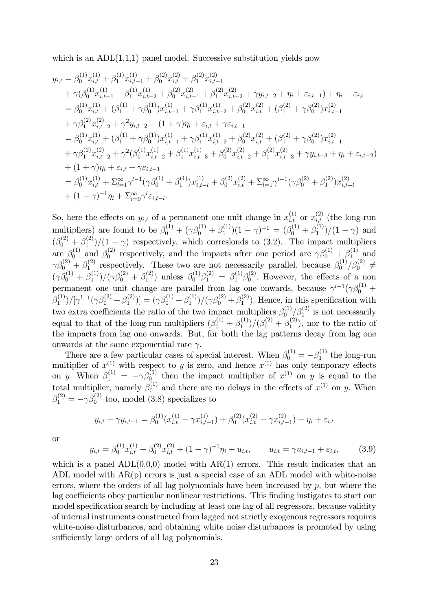which is an  $ADL(1,1,1)$  panel model. Successive substitution yields now

$$
y_{i,t} = \beta_{0}^{(1)} x_{i,t}^{(1)} + \beta_{1}^{(1)} x_{i,t-1}^{(1)} + \beta_{0}^{(2)} x_{i,t}^{(2)} + \beta_{1}^{(2)} x_{i,t-1}^{(2)}
$$
  
+  $\gamma(\beta_{0}^{(1)} x_{i,t-1}^{(1)} + \beta_{1}^{(1)} x_{i,t-2}^{(1)} + \beta_{0}^{(2)} x_{i,t-1}^{(2)} + \beta_{1}^{(2)} x_{i,t-2}^{(2)} + \gamma y_{i,t-2} + \eta_{i} + \varepsilon_{i,t-1}) + \eta_{i} + \varepsilon_{i,t}$   
=  $\beta_{0}^{(1)} x_{i,t}^{(1)} + (\beta_{1}^{(1)} + \gamma \beta_{0}^{(1)}) x_{i,t-1}^{(1)} + \gamma \beta_{1}^{(1)} x_{i,t-2}^{(1)} + \beta_{0}^{(2)} x_{i,t}^{(2)} + (\beta_{1}^{(2)} + \gamma \beta_{0}^{(2)}) x_{i,t-1}^{(2)}$   
+  $\gamma \beta_{1}^{(2)} x_{i,t-2}^{(2)} + \gamma^{2} y_{i,t-2} + (1 + \gamma) \eta_{i} + \varepsilon_{i,t} + \gamma \varepsilon_{i,t-1}$   
=  $\beta_{0}^{(1)} x_{i,t}^{(1)} + (\beta_{1}^{(1)} + \gamma \beta_{0}^{(1)}) x_{i,t-1}^{(1)} + \gamma \beta_{1}^{(1)} x_{i,t-2}^{(1)} + \beta_{0}^{(2)} x_{i,t}^{(2)} + (\beta_{1}^{(2)} + \gamma \beta_{0}^{(2)}) x_{i,t-1}^{(2)}$   
+  $\gamma \beta_{1}^{(2)} x_{i,t}^{(2)} + \gamma^{2} (\beta_{0}^{(1)} x_{i,t-2}^{(1)} + \beta_{1}^{(1)} x_{i,t-3}^{(1)} + \beta_{0}^{(2)} x_{i,t}^{(2)} + \beta_{1}^{(2)} x_{i,t-3}^{(2)} + \gamma y_{i,t-3} + \eta_{i} + \varepsilon_{i,t-2})$   
+  $(1 + \gamma) \eta_{i} + \varepsilon_{i,t} + \gamma \varepsilon_{i,t-1}$   
=  $\beta_{0}^{(1)} x_{i,t}^{($ 

So, here the effects on  $y_{i,t}$  of a permanent one unit change in  $x_{i,t}^{(1)}$  or  $x_{i,t}^{(2)}$  (the long-run multipliers) are found to be  $\beta_0^{(1)} + (\gamma \beta_0^{(1)} + \beta_1^{(1)})(1 - \gamma)^{-1} = (\beta_0^{(1)} + \beta_1^{(1)})/(1 - \gamma)$  and 1  $(1 - i)$   $- (p_0 + p_1)$  $(\beta_0^{(2)} + \beta_1^{(2)}$  $\binom{12}{1}$  (1 -  $\gamma$ ) respectively, which correslonds to (3.2). The impact multipliers are  $\beta_0^{(1)}$  and  $\beta_0^{(2)}$ <sup>(2)</sup> respectively, and the impacts after one period are  $\gamma \beta_0^{(1)} + \beta_1^{(1)}$  and  $\gamma\beta_0^{(2)}+\beta_1^{(2)}$ <sup>(2)</sup> respectively. These two are not necessarily parallel, because  $\beta_0^{(1)}$  $\beta_0^{(1)}/\beta_0^{(2)} \,\neq\,$  $(\gamma \beta_0^{(1)} + \beta_1^{(1)}$  $\beta_1^{(1)})/(\gamma\beta_0^{(2)}+\beta_1^{(2)}$  $\beta_1^{(2)}$ ) unless  $\beta_0^{(1)}\beta_1^{(2)} = \beta_1^{(1)}\beta_0^{(2)}$  $_{0}^{(2)}$ . However, the effects of a non permanent one unit change are parallel from lag one onwards, because  $\gamma^{l-1}(\gamma\beta_0^{(1)} +$  $\beta_1^{(1)}$  $\beta_1^{(1)})/[\gamma^{l-1}(\gamma\beta_0^{(2)}+\beta_1^{(2)})]$  $[\gamma_1^{(2)})] = (\gamma \beta_0^{(1)} + \beta_1^{(1)}$  $\beta_1^{(1)})/(\gamma\beta_0^{(2)}+\beta_1^{(2)}$  $1^{(2)}$ ). Hence, in this specification with two extra coefficients the ratio of the two impact multipliers  $\beta_0^{(1)}$  $\beta_0^{(1)}/\beta_0^{(2)}$  is not necessarily equal to that of the long-run multipliers  $(\beta_0^{(1)} + \beta_1^{(1)})$  $\beta_1^{(1)})/(\beta_0^{(2)}+\beta_1^{(2)}$  $j_1^{(2)}$ , nor to the ratio of the impacts from lag one onwards. But, for both the lag patterns decay from lag one onwards at the same exponential rate  $\gamma$ .

There are a few particular cases of special interest. When  $\beta_0^{(1)} = -\beta_1^{(1)}$  $y_1^{(1)}$  the long-run multiplier of  $x^{(1)}$  with respect to y is zero, and hence  $x^{(1)}$  has only temporary effects on y. When  $\beta_1^{(1)} = -\gamma \beta_0^{(1)}$  then the impact multiplier of  $x^{(1)}$  on y is equal to the total multiplier, namely  $\beta_0^{(1)}$  and there are no delays in the effects of  $x^{(1)}$  on y. When  $\beta_1^{(2)} = -\gamma \beta_0^{(2)}$  too, model (3.8) specializes to

$$
y_{i,t} - \gamma y_{i,t-1} = \beta_0^{(1)} (x_{i,t}^{(1)} - \gamma x_{i,t-1}^{(1)}) + \beta_0^{(2)} (x_{i,t}^{(2)} - \gamma x_{i,t-1}^{(2)}) + \eta_i + \varepsilon_{i,t}
$$

or

$$
y_{i,t} = \beta_0^{(1)} x_{i,t}^{(1)} + \beta_0^{(2)} x_{i,t}^{(2)} + (1 - \gamma)^{-1} \eta_i + u_{i,t}, \qquad u_{i,t} = \gamma u_{i,t-1} + \varepsilon_{i,t}, \tag{3.9}
$$

which is a panel  $ADL(0,0,0)$  model with  $AR(1)$  errors. This result indicates that an ADL model with AR(p) errors is just a special case of an ADL model with white-noise errors, where the orders of all lag polynomials have been increased by  $p$ , but where the lag coefficients obey particular nonlinear restrictions. This finding instigates to start our model specification search by including at least one lag of all regressors, because validity of internal instruments constructed from lagged not strictly exogenous regressors requires white-noise disturbances, and obtaining white noise disturbances is promoted by using sufficiently large orders of all lag polynomials.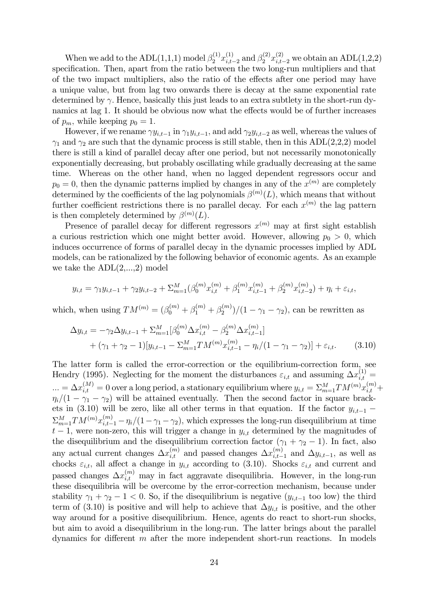When we add to the ADL $(1,1,1)$  model  $\beta_2^{(1)} x_{i,t}^{(1)}$ .  $\sum_{i,t=2}^{(1)}$  and  $\beta_2^{(2)} x_{i,t-2}^{(2)}$  we obtain an ADL(1,2,2) specification. Then, apart from the ratio between the two long-run multipliers and that of the two impact multipliers, also the ratio of the effects after one period may have a unique value, but from lag two onwards there is decay at the same exponential rate determined by  $\gamma$ . Hence, basically this just leads to an extra subtlety in the short-run dynamics at lag 1. It should be obvious now what the effects would be of further increases of  $p_m$ , while keeping  $p_0 = 1$ .

However, if we rename  $\gamma y_{i,t-1}$  in  $\gamma_1 y_{i,t-1}$ , and add  $\gamma_2 y_{i,t-2}$  as well, whereas the values of  $\gamma_1$  and  $\gamma_2$  are such that the dynamic process is still stable, then in this ADL(2,2,2) model there is still a kind of parallel decay after one period, but not necessarily monotonically exponentially decreasing, but probably oscillating while gradually decreasing at the same time. Whereas on the other hand, when no lagged dependent regressors occur and  $p_0 = 0$ , then the dynamic patterns implied by changes in any of the  $x^{(m)}$  are completely determined by the coefficients of the lag polynomials  $\beta^{(m)}(L)$ , which means that without further coefficient restrictions there is no parallel decay. For each  $x^{(m)}$  the lag pattern is then completely determined by  $\beta^{(m)}(L)$ .

Presence of parallel decay for different regressors  $x^{(m)}$  may at first sight establish a curious restriction which one might better avoid. However, allowing  $p_0 > 0$ , which induces occurrence of forms of parallel decay in the dynamic processes implied by ADL models, can be rationalized by the following behavior of economic agents. As an example we take the  $ADL(2,...,2)$  model

$$
y_{i,t} = \gamma_1 y_{i,t-1} + \gamma_2 y_{i,t-2} + \sum_{m=1}^M (\beta_0^{(m)} x_{i,t}^{(m)} + \beta_1^{(m)} x_{i,t-1}^{(m)} + \beta_2^{(m)} x_{i,t-2}^{(m)}) + \eta_i + \varepsilon_{i,t},
$$

which, when using  $TM^{(m)} = (\beta_0^{(m)} + \beta_1^{(m)} + \beta_2^{(m)}$  $\binom{(m)}{2}/(1-\gamma_1-\gamma_2)$ , can be rewritten as

$$
\Delta y_{i,t} = -\gamma_2 \Delta y_{i,t-1} + \sum_{m=1}^{M} [\beta_0^{(m)} \Delta x_{i,t}^{(m)} - \beta_2^{(m)} \Delta x_{i,t-1}^{(m)}] + (\gamma_1 + \gamma_2 - 1)[y_{i,t-1} - \sum_{m=1}^{M} TM^{(m)} x_{i,t-1}^{(m)} - \eta_i/(1 - \gamma_1 - \gamma_2)] + \varepsilon_{i,t}.
$$
 (3.10)

The latter form is called the error-correction or the equilibrium-correction form, see Hendry (1995). Neglecting for the moment the disturbances  $\varepsilon_{i,t}$  and assuming  $\Delta x_{i,t}^{(1)} =$  $\ldots = \Delta x_{i,t}^{(M)} = 0$  over a long period, a stationary equilibrium where  $y_{i,t} = \sum_{m=1}^{M} TM^{(m)} x_{i,t}^{(m)} +$  $\eta_i/(1 - \gamma_1 - \gamma_2)$  will be attained eventually. Then the second factor in square brackets in (3.10) will be zero, like all other terms in that equation. If the factor  $y_{i,t-1}$  $\sum_{m=1}^{M} TM^{(m)}x_{i,t-1}^{(m)} - \eta_i/(1-\gamma_1-\gamma_2)$ , which expresses the long-run disequilibrium at time  $t-1$ , were non-zero, this will trigger a change in  $y_{i,t}$  determined by the magnitudes of the disequilibrium and the disequilibrium correction factor  $(\gamma_1 + \gamma_2 - 1)$ . In fact, also any actual current changes  $\Delta x_{i,t}^{(m)}$  and passed changes  $\Delta x_{i,t-}^{(m)}$  $\sum_{i,t=1}^{(m)}$  and  $\Delta y_{i,t-1}$ , as well as chocks  $\varepsilon_{i,t}$ , all affect a change in  $y_{i,t}$  according to (3.10). Shocks  $\varepsilon_{i,t}$  and current and passed changes  $\Delta x_{i,t}^{(m)}$  may in fact aggravate disequilibria. However, in the long-run these disequilibria will be overcome by the error-correction mechanism, because under stability  $\gamma_1 + \gamma_2 - 1 < 0$ . So, if the disequilibrium is negative  $(y_{i,t-1}$  too low) the third term of (3.10) is positive and will help to achieve that  $\Delta y_{i,t}$  is positive, and the other way around for a positive disequilibrium. Hence, agents do react to short-run shocks, but aim to avoid a disequilibrium in the long-run. The latter brings about the parallel dynamics for different  $m$  after the more independent short-run reactions. In models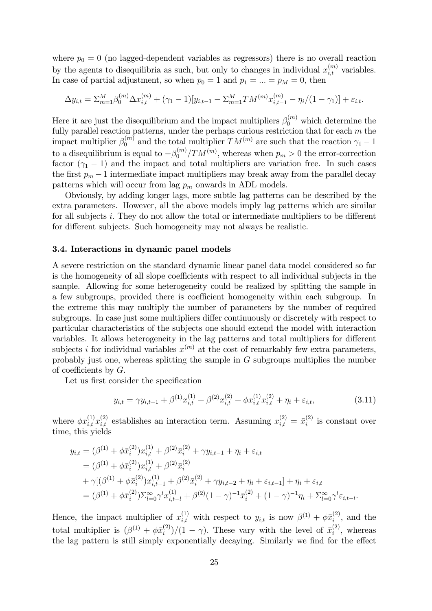where  $p_0 = 0$  (no lagged-dependent variables as regressors) there is no overall reaction by the agents to disequilibria as such, but only to changes in individual  $x_{i,t}^{(m)}$  variables. In case of partial adjustment, so when  $p_0 = 1$  and  $p_1 = ... = p_M = 0$ , then

$$
\Delta y_{i,t} = \sum_{m=1}^{M} \beta_0^{(m)} \Delta x_{i,t}^{(m)} + (\gamma_1 - 1)[y_{i,t-1} - \sum_{m=1}^{M} TM^{(m)} x_{i,t-1}^{(m)} - \eta_i/(1 - \gamma_1)] + \varepsilon_{i,t}.
$$

Here it are just the disequilibrium and the impact multipliers  $\beta_0^{(m)}$  which determine the fully parallel reaction patterns, under the perhaps curious restriction that for each  $m$  the impact multiplier  $\beta_0^{(m)}$  and the total multiplier  $TM^{(m)}$  are such that the reaction  $\gamma_1 - 1$ to a disequilibrium is equal to  $-\beta_0^{(m)}$  $\binom{m}{0}$  /  $TM^{(m)}$ , whereas when  $p_m > 0$  the error-correction factor  $(\gamma_1 - 1)$  and the impact and total multipliers are variation free. In such cases the first  $p_m - 1$  intermediate impact multipliers may break away from the parallel decay patterns which will occur from lag  $p_m$  onwards in ADL models.

Obviously, by adding longer lags, more subtle lag patterns can be described by the extra parameters. However, all the above models imply lag patterns which are similar for all subjects i. They do not allow the total or intermediate multipliers to be different for different subjects. Such homogeneity may not always be realistic.

#### 3.4. Interactions in dynamic panel models

A severe restriction on the standard dynamic linear panel data model considered so far is the homogeneity of all slope coefficients with respect to all individual subjects in the sample. Allowing for some heterogeneity could be realized by splitting the sample in a few subgroups, provided there is coefficient homogeneity within each subgroup. In the extreme this may multiply the number of parameters by the number of required subgroups. In case just some multipliers differ continuously or discretely with respect to particular characteristics of the subjects one should extend the model with interaction variables. It allows heterogeneity in the lag patterns and total multipliers for different subjects *i* for individual variables  $x^{(m)}$  at the cost of remarkably few extra parameters, probably just one, whereas splitting the sample in G subgroups multiplies the number of coefficients by  $G$ .

Let us first consider the specification

$$
y_{i,t} = \gamma y_{i,t-1} + \beta^{(1)} x_{i,t}^{(1)} + \beta^{(2)} x_{i,t}^{(2)} + \phi x_{i,t}^{(1)} x_{i,t}^{(2)} + \eta_i + \varepsilon_{i,t},
$$
\n(3.11)

where  $\phi x_{i,t}^{(1)} x_{i,t}^{(2)}$  establishes an interaction term. Assuming  $x_{i,t}^{(2)} = \bar{x}_i^{(2)}$  $i^{(2)}$  is constant over time, this yields

$$
y_{i,t} = (\beta^{(1)} + \phi \bar{x}_i^{(2)}) x_{i,t}^{(1)} + \beta^{(2)} \bar{x}_i^{(2)} + \gamma y_{i,t-1} + \eta_i + \varepsilon_{i,t}
$$
  
\n
$$
= (\beta^{(1)} + \phi \bar{x}_i^{(2)}) x_{i,t}^{(1)} + \beta^{(2)} \bar{x}_i^{(2)}
$$
  
\n
$$
+ \gamma [(\beta^{(1)} + \phi \bar{x}_i^{(2)}) x_{i,t-1}^{(1)} + \beta^{(2)} \bar{x}_i^{(2)} + \gamma y_{i,t-2} + \eta_i + \varepsilon_{i,t-1}] + \eta_i + \varepsilon_{i,t}
$$
  
\n
$$
= (\beta^{(1)} + \phi \bar{x}_i^{(2)}) \sum_{l=0}^{\infty} \gamma^l x_{i,t-l}^{(1)} + \beta^{(2)} (1 - \gamma)^{-1} \bar{x}_i^{(2)} + (1 - \gamma)^{-1} \eta_i + \sum_{l=0}^{\infty} \gamma^l \varepsilon_{i,t-l}.
$$

Hence, the impact multiplier of  $x_{i,t}^{(1)}$  with respect to  $y_{i,t}$  is now  $\beta^{(1)} + \phi \bar{x}_i^{(2)}$  $i^{(2)}$ , and the total multiplier is  $(\beta^{(1)} + \phi \bar{x}_i^{(2)})$  $\binom{2}{i}/(1-\gamma)$ . These vary with the level of  $\bar{x}_i^{(2)}$  $i^{(2)}$ , whereas the lag pattern is still simply exponentially decaying. Similarly we find for the effect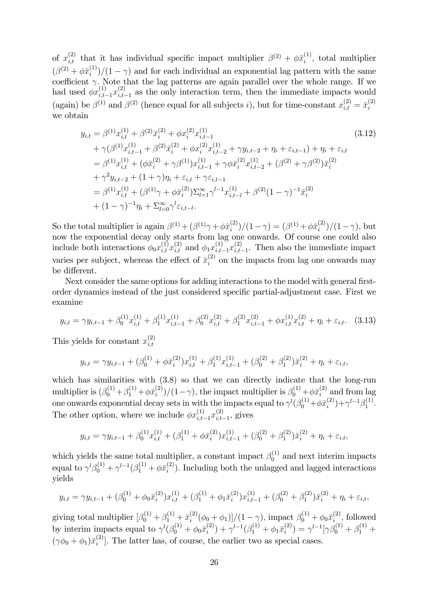of  $x_{i,t}^{(2)}$  that it has individual specific impact multiplier  $\beta^{(2)} + \phi \bar{x}_i^{(1)}$  $i^{(1)}$ , total multiplier  $(\beta^{(2)} + \phi \bar{x}_i^{(1)}$  $\binom{1}{i}/(1-\gamma)$  and for each individual an exponential lag pattern with the same coefficient  $\gamma$ . Note that the lag patterns are again parallel over the whole range. If we had used  $\phi x_{i,t-1}^{(1)} x_{i,t}^{(2)}$  $\sum_{i,t=1}^{(2)}$  as the only interaction term, then the immediate impacts would (again) be  $\beta^{(1)}$  and  $\beta^{(2)}$  (hence equal for all subjects *i*), but for time-constant  $x_{i,t}^{(2)} = \bar{x}_i^{(2)}$ i we obtain

$$
y_{i,t} = \beta^{(1)} x_{i,t}^{(1)} + \beta^{(2)} \bar{x}_i^{(2)} + \phi x_i^{(2)} x_{i,t-1}^{(1)}
$$
\n
$$
+ \gamma (\beta^{(1)} x_{i,t-1}^{(1)} + \beta^{(2)} \bar{x}_i^{(2)} + \phi x_i^{(2)} x_{i,t-2}^{(1)} + \gamma y_{i,t-2} + \eta_i + \varepsilon_{i,t-1}) + \eta_i + \varepsilon_{i,t}
$$
\n
$$
= \beta^{(1)} x_{i,t}^{(1)} + (\phi \bar{x}_i^{(2)} + \gamma \beta^{(1)}) x_{i,t-1}^{(1)} + \gamma \phi \bar{x}_i^{(2)} x_{i,t-2}^{(1)} + (\beta^{(2)} + \gamma \beta^{(2)}) \bar{x}_i^{(2)}
$$
\n
$$
+ \gamma^2 y_{i,t-2} + (1 + \gamma) \eta_i + \varepsilon_{i,t} + \gamma \varepsilon_{i,t-1}
$$
\n
$$
= \beta^{(1)} x_{i,t}^{(1)} + (\beta^{(1)} \gamma + \phi \bar{x}_i^{(2)}) \sum_{l=1}^{\infty} \gamma^{l-1} x_{i,t-l}^{(1)} + \beta^{(2)} (1 - \gamma)^{-1} \bar{x}_i^{(2)}
$$
\n
$$
+ (1 - \gamma)^{-1} \eta_i + \sum_{l=0}^{\infty} \gamma^l \varepsilon_{i,t-l}.
$$
\n(3.12)

So the total multiplier is again  $\beta^{(1)} + (\beta^{(1)}\gamma + \phi \bar{x}_i^{(2)})/(1-\gamma) = (\beta^{(1)} + \phi \bar{x}_i^{(2)})/(1-\gamma)$ , but  $i$  )/(1 –  $\gamma$ ) – (p +  $\tau \varphi x_i$ now the exponential decay only starts from lag one onwards. Of course one could also include both interactions  $\phi_0 x_{i,t}^{(1)} x_{i,t}^{(2)}$  and  $\phi_1 x_{i,t-1}^{(1)} x_{i,t}^{(2)}$  $\sum_{i,t=1}^{(2)}$ . Then also the immediate impact varies per subject, whereas the effect of  $\bar{x}_i^{(2)}$  $i^{(2)}$  on the impacts from lag one onwards may be different.

Next consider the same options for adding interactions to the model with general firstorder dynamics instead of the just considered specific partial-adjustment case. First we examine

$$
y_{i,t} = \gamma y_{i,t-1} + \beta_0^{(1)} x_{i,t}^{(1)} + \beta_1^{(1)} x_{i,t-1}^{(1)} + \beta_0^{(2)} x_{i,t}^{(2)} + \beta_1^{(2)} x_{i,t-1}^{(2)} + \phi x_{i,t}^{(1)} x_{i,t}^{(2)} + \eta_i + \varepsilon_{i,t}.
$$
 (3.13)

This yields for constant  $x_{i,t}^{(2)}$  $_{i,t}$ 

$$
y_{i,t} = \gamma y_{i,t-1} + (\beta_0^{(1)} + \phi \bar{x}_i^{(2)}) x_{i,t}^{(1)} + \beta_1^{(1)} x_{i,t-1}^{(1)} + (\beta_0^{(2)} + \beta_1^{(2)}) \bar{x}_i^{(2)} + \eta_i + \varepsilon_{i,t},
$$

which has similarities with  $(3.8)$  so that we can directly indicate that the long-run multiplier is  $(\beta_0^{(1)} + \beta_1^{(1)} + \phi \bar{x}_i^{(2)}$  $\binom{2}{i}/(1-\gamma)$ , the impact multiplier is  $\beta_0^{(1)} + \phi \bar{x}_i^{(2)}$  $i^{(2)}$  and from lag one onwards exponential decay sets in with the impacts equal to  $\gamma^l(\beta_0^{(1)} + \phi \bar{x}_i^{(2)})$  $\binom{2}{i} + \gamma^{l-1} \beta_1^{(1)}$  $\frac{1}{1}$ . The other option, where we include  $\phi x_{i,t-1}^{(1)} x_{i,t}^{(2)}$  $\sum_{i,t=1}^{(2)}$ , gives

$$
y_{i,t} = \gamma y_{i,t-1} + \beta_0^{(1)} x_{i,t}^{(1)} + (\beta_1^{(1)} + \phi \bar{x}_i^{(2)}) x_{i,t-1}^{(1)} + (\beta_0^{(2)} + \beta_1^{(2)}) \bar{x}_i^{(2)} + \eta_i + \varepsilon_{i,t},
$$

which yields the same total multiplier, a constant impact  $\beta_0^{(1)}$  and next interim impacts equal to  $\gamma^{l} \beta_0^{(1)} + \gamma^{l-1} (\beta_1^{(1)} + \phi \bar{x}_i^{(2)})$  $i^{(2)}$ ). Including both the unlagged and lagged interactions yields

$$
y_{i,t} = \gamma y_{i,t-1} + (\beta_0^{(1)} + \phi_0 \bar{x}_i^{(2)}) x_{i,t}^{(1)} + (\beta_1^{(1)} + \phi_1 \bar{x}_i^{(2)}) x_{i,t-1}^{(1)} + (\beta_0^{(2)} + \beta_1^{(2)}) \bar{x}_i^{(2)} + \eta_i + \varepsilon_{i,t},
$$

giving total multiplier  $\left[\beta_0^{(1)} + \beta_1^{(1)} + \bar{x}_i^{(2)}\right]$  $\int_{i}^{(2)} (\phi_0 + \phi_1) ]/(1 - \gamma)$ , impact  $\beta_0^{(1)} + \phi_0 \bar{x}_i^{(2)}$  $i^{(2)}$ , followed by interim impacts equal to  $\gamma^l(\beta_0^{(1)} + \phi_0 \bar{x}_i^{(2)})$  $\hat{p}_{i}^{(2)}$  +  $\gamma^{l-1}(\beta_1^{(1)} + \phi_1 \bar{x}_i^{(2)})$  $\beta_i^{(2)}$ ) =  $\gamma^{l-1}[\gamma \beta_0^{(1)} + \beta_1^{(1)} +$  $(\gamma \phi_0 + \phi_1) \bar{x}_i^{(2)}$  $\binom{[2]}{i}$ . The latter has, of course, the earlier two as special cases.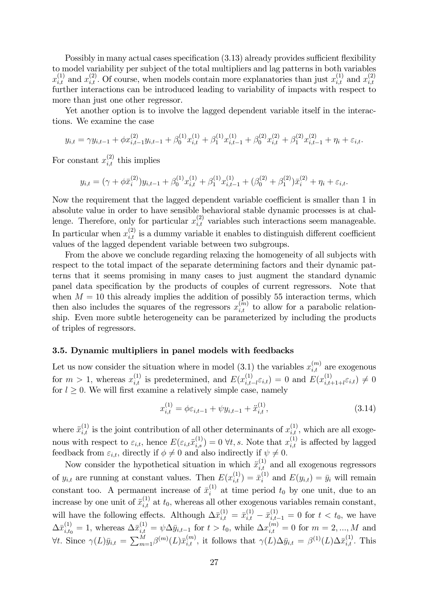Possibly in many actual cases specification  $(3.13)$  already provides sufficient flexibility to model variability per subject of the total multipliers and lag patterns in both variables  $x_{i,t}^{(1)}$  and  $x_{i,t}^{(2)}$ . Of course, when models contain more explanatories than just  $x_{i,t}^{(1)}$  and  $x_{i,t}^{(2)}$  $_{i,t}$ further interactions can be introduced leading to variability of impacts with respect to more than just one other regressor.

Yet another option is to involve the lagged dependent variable itself in the interactions. We examine the case

$$
y_{i,t} = \gamma y_{i,t-1} + \phi x_{i,t-1}^{(2)} y_{i,t-1} + \beta_0^{(1)} x_{i,t}^{(1)} + \beta_1^{(1)} x_{i,t-1}^{(1)} + \beta_0^{(2)} x_{i,t}^{(2)} + \beta_1^{(2)} x_{i,t-1}^{(2)} + \eta_i + \varepsilon_{i,t}.
$$

For constant  $x_{i,t}^{(2)}$  this implies

$$
y_{i,t} = (\gamma + \phi \bar{x}_i^{(2)}) y_{i,t-1} + \beta_0^{(1)} x_{i,t}^{(1)} + \beta_1^{(1)} x_{i,t-1}^{(1)} + (\beta_0^{(2)} + \beta_1^{(2)}) \bar{x}_i^{(2)} + \eta_i + \varepsilon_{i,t}.
$$

Now the requirement that the lagged dependent variable coefficient is smaller than 1 in absolute value in order to have sensible behavioral stable dynamic processes is at challenge. Therefore, only for particular  $x_{i,t}^{(2)}$  variables such interactions seem manageable. In particular when  $x_{i,t}^{(2)}$  is a dummy variable it enables to distinguish different coefficient values of the lagged dependent variable between two subgroups.

From the above we conclude regarding relaxing the homogeneity of all subjects with respect to the total impact of the separate determining factors and their dynamic patterns that it seems promising in many cases to just augment the standard dynamic panel data specification by the products of couples of current regressors. Note that when  $M = 10$  this already implies the addition of possibly 55 interaction terms, which then also includes the squares of the regressors  $x_{i,t}^{(m)}$  to allow for a parabolic relationship. Even more subtle heterogeneity can be parameterized by including the products of triples of regressors.

#### 3.5. Dynamic multipliers in panel models with feedbacks

Let us now consider the situation where in model (3.1) the variables  $x_{i,t}^{(m)}$  are exogenous for  $m > 1$ , whereas  $x_{i,t}^{(1)}$  is predetermined, and  $E(x_{i,t}^{(1)})$  $\hat{E}^{(1)}_{i,t-l} \varepsilon_{i,t}) = 0$  and  $E(x_{i,t}^{(1)})$  $\sum_{i,t+1+l}^{(1)} \varepsilon_{i,t}$   $\neq 0$ for  $l \geq 0$ . We will first examine a relatively simple case, namely

$$
x_{i,t}^{(1)} = \phi \varepsilon_{i,t-1} + \psi y_{i,t-1} + \ddot{x}_{i,t}^{(1)},
$$
\n(3.14)

where  $\ddot{x}_{i,t}^{(1)}$  is the joint contribution of all other determinants of  $x_{i,t}^{(1)}$ , which are all exogenous with respect to  $\varepsilon_{i,t}$ , hence  $E(\varepsilon_{i,t}\ddot{x}_{i,s}^{(1)})=0$   $\forall t, s$ . Note that  $x_{i,t}^{(1)}$  is affected by lagged feedback from  $\varepsilon_{i,t}$ , directly if  $\phi \neq 0$  and also indirectly if  $\psi \neq 0$ .

Now consider the hypothetical situation in which  $\ddot{x}_{i,t}^{(1)}$  and all exogenous regressors of  $y_{i,t}$  are running at constant values. Then  $E(x_{i,t}^{(1)}) = \bar{x}_i^{(1)}$  $i_i^{(1)}$  and  $E(y_{i,t}) = \bar{y}_i$  will remain constant too. A permanent increase of  $\bar{x}_i^{(1)}$  $i^{(1)}$  at time period  $t_0$  by one unit, due to an increase by one unit of  $\ddot{x}_{i,t}^{(1)}$  at  $t_0$ , whereas all other exogenous variables remain constant, will have the following effects. Although  $\Delta \bar{x}_{i,t}^{(1)} = \bar{x}_{i,t}^{(1)} - \bar{x}_{i,t-1}^{(1)} = 0$  for  $t < t_0$ , we have  $\Delta \bar{x}_{i,t_0}^{(1)} = 1$ , whereas  $\Delta \bar{x}_{i,t}^{(1)} = \psi \Delta \bar{y}_{i,t-1}$  for  $t > t_0$ , while  $\Delta x_{i,t}^{(m)} = 0$  for  $m = 2, ..., M$  and  $\forall t.$  Since  $\gamma(L)\bar{y}_{i,t} = \sum_{m=1}^{M} \beta^{(m)}(L)\bar{x}_{i,t}^{(m)}$ , it follows that  $\gamma(L)\Delta \bar{y}_{i,t} = \beta^{(1)}(L)\Delta \bar{x}_{i,t}^{(1)}$ . This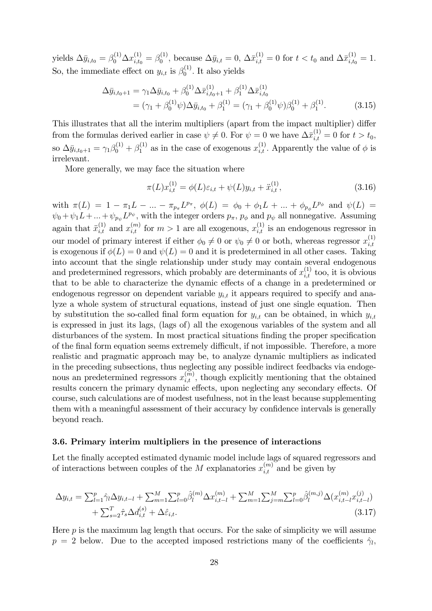yields  $\Delta \bar{y}_{i,t_0} = \beta_0^{(1)} \Delta x_{i,t_0}^{(1)} = \beta_0^{(1)}$ <sup>(1)</sup>, because  $\Delta \bar{y}_{i,t} = 0$ ,  $\Delta \bar{x}_{i,t}^{(1)} = 0$  for  $t < t_0$  and  $\Delta \bar{x}_{i,t_0}^{(1)} = 1$ . So, the immediate effect on  $y_{i,t}$  is  $\beta_0^{(1)}$  $\int_0^{(1)}$ . It also yields

$$
\Delta \bar{y}_{i,t_0+1} = \gamma_1 \Delta \bar{y}_{i,t_0} + \beta_0^{(1)} \Delta \bar{x}_{i,t_0+1}^{(1)} + \beta_1^{(1)} \Delta \bar{x}_{i,t_0}^{(1)} \n= (\gamma_1 + \beta_0^{(1)} \psi) \Delta \bar{y}_{i,t_0} + \beta_1^{(1)} = (\gamma_1 + \beta_0^{(1)} \psi) \beta_0^{(1)} + \beta_1^{(1)}.
$$
\n(3.15)

This illustrates that all the interim multipliers (apart from the impact multiplier) differ from the formulas derived earlier in case  $\psi \neq 0$ . For  $\psi = 0$  we have  $\Delta \bar{x}_{i,t}^{(1)} = 0$  for  $t > t_0$ , so  $\Delta \bar{y}_{i,t_0+1} = \gamma_1 \beta_0^{(1)} + \beta_1^{(1)}$  as in the case of exogenous  $x_{i,t}^{(1)}$ . Apparently the value of  $\phi$  is irrelevant.

More generally, we may face the situation where

$$
\pi(L)x_{i,t}^{(1)} = \phi(L)\varepsilon_{i,t} + \psi(L)y_{i,t} + \ddot{x}_{i,t}^{(1)},
$$
\n(3.16)

with  $\pi(L) = 1 - \pi_1 L - ... - \pi_{p_{\pi}} L^{p_{\pi}}, \ \phi(L) = \phi_0 + \phi_1 L + ... + \phi_{p_{\phi}} L^{p_{\phi}}$  and  $\psi(L) =$  $\psi_0 + \psi_1 L + \dots + \psi_{p_{\psi}} L^{p_{\psi}},$  with the integer orders  $p_{\pi}$ ,  $p_{\phi}$  and  $p_{\psi}$  all nonnegative. Assuming again that  $\ddot{x}_{i,t}^{(1)}$  and  $x_{i,t}^{(m)}$  for  $m>1$  are all exogenous,  $x_{i,t}^{(1)}$  is an endogenous regressor in our model of primary interest if either  $\phi_0 \neq 0$  or  $\psi_0 \neq 0$  or both, whereas regressor  $x_{i,t}^{(1)}$  $_{i,t}$ is exogenous if  $\phi(L) = 0$  and  $\psi(L) = 0$  and it is predetermined in all other cases. Taking into account that the single relationship under study may contain several endogenous and predetermined regressors, which probably are determinants of  $x_{i,t}^{(1)}$  too, it is obvious that to be able to characterize the dynamic effects of a change in a predetermined or endogenous regressor on dependent variable  $y_{i,t}$  it appears required to specify and analyze a whole system of structural equations, instead of just one single equation. Then by substitution the so-called final form equation for  $y_{i,t}$  can be obtained, in which  $y_{i,t}$ is expressed in just its lags, (lags of) all the exogenous variables of the system and all disturbances of the system. In most practical situations finding the proper specification of the final form equation seems extremely difficult, if not impossible. Therefore, a more realistic and pragmatic approach may be, to analyze dynamic multipliers as indicated in the preceding subsections, thus neglecting any possible indirect feedbacks via endogenous an predetermined regressors  $x_{i,t}^{(\overline{m})}$ , though explicitly mentioning that the obtained results concern the primary dynamic effects, upon neglecting any secondary effects. Of course, such calculations are of modest usefulness, not in the least because supplementing them with a meaningful assessment of their accuracy by confidence intervals is generally beyond reach.

#### 3.6. Primary interim multipliers in the presence of interactions

Let the finally accepted estimated dynamic model include lags of squared regressors and of interactions between couples of the M explanatories  $x_{i,t}^{(m)}$  and be given by

$$
\Delta y_{i,t} = \sum_{l=1}^{p} \hat{\gamma}_l \Delta y_{i,t-l} + \sum_{m=1}^{M} \sum_{l=0}^{p} \hat{\beta}_l^{(m)} \Delta x_{i,t-l}^{(m)} + \sum_{m=1}^{M} \sum_{j=m}^{M} \sum_{l=0}^{p} \hat{\beta}_l^{(m,j)} \Delta (x_{i,t-l}^{(m)} x_{i,t-l}^{(j)}) + \sum_{s=2}^{T} \hat{\tau}_s \Delta d_{i,t}^{(s)} + \Delta \hat{\varepsilon}_{i,t}.
$$
\n(3.17)

Here  $p$  is the maximum lag length that occurs. For the sake of simplicity we will assume  $p = 2$  below. Due to the accepted imposed restrictions many of the coefficients  $\hat{\gamma}_l$ ,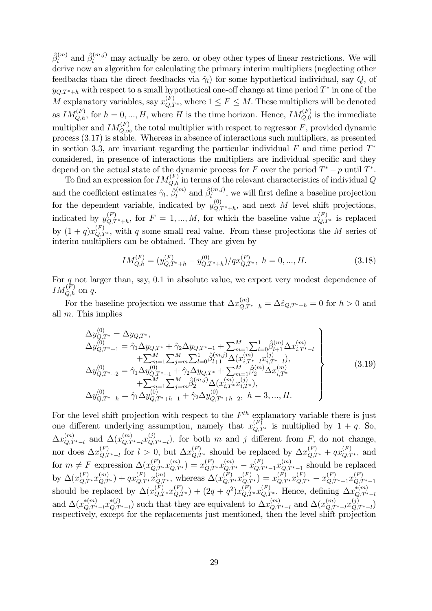$\hat{\beta}^{(m)}_l$  $\hat{\beta}_l^{(m)}$  and  $\hat{\beta}_l^{(m,j)}$  may actually be zero, or obey other types of linear restrictions. We will derive now an algorithm for calculating the primary interim multipliers (neglecting other feedbacks than the direct feedbacks via  $\hat{\gamma}_l$  for some hypothetical individual, say Q, of  $y_{Q,T^*+h}$  with respect to a small hypothetical one-off change at time period  $T^*$  in one of the M explanatory variables, say  $x_{Q,T^*}^{(F)}$ , where  $1 \leq F \leq M$ . These multipliers will be denoted as  $IM_{Q,h}^{(F)}$ , for  $h = 0, ..., H$ , where H is the time horizon. Hence,  $IM_{Q,0}^{(F)}$  is the immediate multiplier and  $IM_{Q,\infty}^{(F)}$  the total multiplier with respect to regressor F, provided dynamic process (3.17) is stable. Whereas in absence of interactions such multipliers, as presented in section 3.3, are invariant regarding the particular individual  $F$  and time period  $T^*$ considered, in presence of interactions the multipliers are individual specific and they depend on the actual state of the dynamic process for F over the period  $T^* - p$  until  $T^*$ .

To find an expression for  $IM_{Q,h}^{(F)}$  in terms of the relevant characteristics of individual Q and the coefficient estimates  $\hat{\gamma}_l$ ,  $\hat{\beta}_l^{(m)}$  $\hat{\beta}_l^{(m)}$  and  $\hat{\beta}_l^{(m,j)}$  $\prod_{l=0}^{(m,j)}$ , we will first define a baseline projection for the dependent variable, indicated by  $y_{Q,T^*+h}^{(0)}$ , and next M level shift projections, indicated by  $y_{Q,T^*+h}^{(F)}$ , for  $F = 1, ..., M$ , for which the baseline value  $x_{Q,T^*}^{(F)}$  is replaced by  $(1+q)x_{Q,T^*}^{(F)}$ , with q some small real value. From these projections the M series of interim multipliers can be obtained. They are given by

$$
IM_{Q,h}^{(F)} = (y_{Q,T^*+h}^{(F)} - y_{Q,T^*+h}^{(0)})/qx_{Q,T^*}^{(F)}, \quad h = 0, ..., H. \tag{3.18}
$$

For  $q$  not larger than, say, 0.1 in absolute value, we expect very modest dependence of  $IM_{Q,h}^{(F)}$  on q.

For the baseline projection we assume that  $\Delta x_{Q,T^*+h}^{(m)} = \Delta \hat{\varepsilon}_{Q,T^*+h} = 0$  for  $h > 0$  and all m: This implies

$$
\Delta y_{Q,T^*}^{(0)} = \Delta y_{Q,T^*},
$$
\n
$$
\Delta y_{Q,T^*+1}^{(0)} = \hat{\gamma}_1 \Delta y_{Q,T^*} + \hat{\gamma}_2 \Delta y_{Q,T^*-1} + \sum_{m=1}^M \sum_{l=0}^1 \hat{\beta}_{l+1}^{(m)} \Delta x_{i,T^*-l}^{(m)} + \sum_{m=1}^M \sum_{j=m}^M \sum_{l=0}^1 \hat{\beta}_{l+1}^{(m,j)} \Delta (x_{i,T^*-l}^{(m)} x_{i,T^*-l}^{(j)}),
$$
\n
$$
\Delta y_{Q,T^*+2}^{(0)} = \hat{\gamma}_1 \Delta y_{Q,T^*+1}^{(0)} + \hat{\gamma}_2 \Delta y_{Q,T^*} + \sum_{m=1}^M \hat{\beta}_2^{(m)} \Delta x_{i,T^*}^{(m)} + \sum_{m=1}^M \sum_{j=m}^M \hat{\beta}_2^{(m,j)} \Delta (x_{i,T^*}^{(m)} x_{i,T^*}^{(j)}),
$$
\n
$$
\Delta y_{Q,T^*+h}^{(0)} = \hat{\gamma}_1 \Delta y_{Q,T^*+h-1}^{(0)} + \hat{\gamma}_2 \Delta y_{Q,T^*+h-2}^{(0)}, \quad h = 3, ..., H.
$$
\n(3.19)

For the level shift projection with respect to the  $F<sup>th</sup>$  explanatory variable there is just one different underlying assumption, namely that  $x_{Q,T^*}^{(F)}$  is multiplied by  $1 + q$ . So,  $\Delta x_{Q,T^*-l}^{(m)}$  and  $\Delta(x_{Q,T^*-l}^{(m)}x_{Q,T^*-l}^{(j)})$ , for both m and j different from F, do not change, nor does  $\Delta x_{Q,T^*-l}^{(F)}$  for  $l>0$ , but  $\Delta x_{Q,T^*}^{(F)}$  should be replaced by  $\Delta x_{Q,T^*}^{(F)} + qx_{Q,T^*}^{(F)}$ , and for  $m \neq F$  expression  $\Delta(x_{Q,T}^{(F)}, x_{Q,T}^{(m)}) = x_{Q,T^*}^{(F)} x_{Q,T^*}^{(m)} - x_{Q,T^*-1}^{(F)} x_{Q,T^*-1}^{(m)}$  should be replaced by  $\Delta(x_{Q,T^*}^{(F)}x_{Q,T^*}^{(m)}) + qx_{Q,T^*}^{(F)}x_{Q,T^*}^{(m)}$ , whereas  $\Delta(x_{Q,T^*}^{(F)}x_{Q,T^*}^{(F)}) = x_{Q,T^*}^{(F)}x_{Q,T^*}^{(F)} - x_{Q,T^*-1}^{(F)}x_{Q,T^*-1}^{(F)}$ should be replaced by  $\Delta(x_{Q,T^*}^{(F)}x_{Q,T^*}^{(F)}) + (2q+q^2)x_{Q,T^*}^{(F)}x_{Q,T^*}^{(F)}$ . Hence, defining  $\Delta x_{Q,T^*-l}^{*(m)}$ and  $\Delta(x_{Q,T^*-l}^{*(m)}x_{Q,T^*-l}^{*(j)})$  such that they are equivalent to  $\Delta x_{Q,T^*-l}^{(m)}$  and  $\Delta(x_{Q,T^*-l}^{(m)}x_{Q,T^*-l}^{(j)})$ respectively, except for the replacements just mentioned, then the level shift projection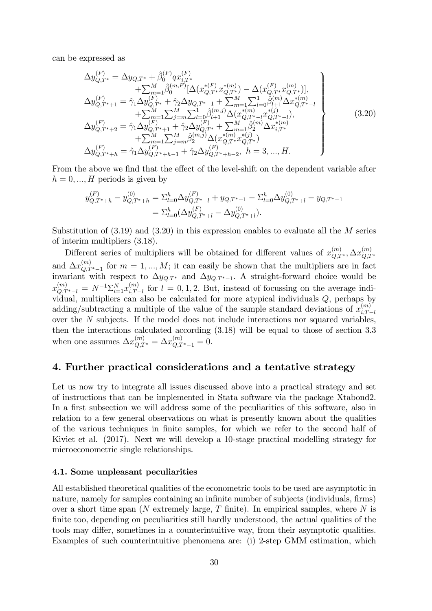can be expressed as

$$
\Delta y_{Q,T^{*}}^{(F)} = \Delta y_{Q,T^{*}} + \hat{\beta}_{0}^{(F)} q x_{i,T^{*}}^{(F)}
$$
\n
$$
+ \sum_{m=1}^{M} \hat{\beta}_{0}^{(m,F)} [\Delta (x_{Q,T^{*}}^{*(F)} x_{Q,T^{*}}^{*(m)}) - \Delta (x_{Q,T^{*}}^{(F)} x_{Q,T^{*}}^{(m)})],
$$
\n
$$
\Delta y_{Q,T^{*}+1}^{(F)} = \hat{\gamma}_{1} \Delta y_{Q,T^{*}}^{(F)} + \hat{\gamma}_{2} \Delta y_{Q,T^{*}-1} + \sum_{m=1}^{M} \sum_{l=0}^{1} \hat{\beta}_{l+1}^{(m)} \Delta x_{Q,T^{*}-l}^{*(m)}
$$
\n
$$
+ \sum_{m=1}^{M} \sum_{j=m}^{M} \sum_{l=0}^{1} \hat{\beta}_{l+1}^{(m,j)} \Delta (x_{Q,T^{*}-l}^{*(m)} x_{Q,T^{*}-l}^{*(j)}),
$$
\n
$$
\Delta y_{Q,T^{*}+2}^{(F)} = \hat{\gamma}_{1} \Delta y_{Q,T^{*}+1}^{(F)} + \hat{\gamma}_{2} \Delta y_{Q,T^{*}}^{(F)} + \sum_{m=1}^{M} \hat{\beta}_{2}^{(m)} \Delta x_{i,T^{*}}^{*(m)}
$$
\n
$$
+ \sum_{m=1}^{M} \sum_{j=m}^{M} \hat{\beta}_{2}^{(m,j)} \Delta (x_{Q,T^{*}}^{*(m)} x_{Q,T^{*}}^{*(j)})
$$
\n
$$
\Delta y_{Q,T^{*}+h}^{(F)} = \hat{\gamma}_{1} \Delta y_{Q,T^{*}+h-1}^{(F)} + \hat{\gamma}_{2} \Delta y_{Q,T^{*}+h-2}^{(F)}, \quad h = 3, ..., H.
$$
\n(3.20)

From the above we find that the effect of the level-shift on the dependent variable after  $h = 0, ..., H$  periods is given by

$$
y_{Q,T^*+h}^{(F)} - y_{Q,T^*+h}^{(0)} = \sum_{l=0}^h \Delta y_{Q,T^*+l}^{(F)} + y_{Q,T^*-1} - \sum_{l=0}^h \Delta y_{Q,T^*+l}^{(0)} - y_{Q,T^*-1}
$$
  
= 
$$
\sum_{l=0}^h (\Delta y_{Q,T^*+l}^{(F)} - \Delta y_{Q,T^*+l}^{(0)}).
$$

Substitution of  $(3.19)$  and  $(3.20)$  in this expression enables to evaluate all the M series of interim multipliers (3.18).

Different series of multipliers will be obtained for different values of  $x_{Q,T^*}^{(m)}$ ,  $\Delta x_{Q,T^*}^{(m)}$ and  $\Delta x_{Q,T^*-1}^{(m)}$  for  $m=1,...,M$ ; it can easily be shown that the multipliers are in fact invariant with respect to  $\Delta y_{Q:T^*}$  and  $\Delta y_{Q:T^*-1}$ . A straight-forward choice would be  $x_{Q,T^*-l}^{(m)} = N^{-1} \Sigma_{i=1}^N x_{i,T-l}^{(m)}$  $\sum_{i,T-l}^{(m)}$  for  $l = 0,1,2$ . But, instead of focussing on the average individual, multipliers can also be calculated for more atypical individuals  $Q$ , perhaps by adding/subtracting a multiple of the value of the sample standard deviations of  $x_{i,T}^{(m)}$ .  $i,T-l$ over the N subjects. If the model does not include interactions nor squared variables, then the interactions calculated according (3.18) will be equal to those of section 3.3 when one assumes  $\Delta x_{Q,T^*}^{(m)} = \Delta x_{Q,T^*-1}^{(m)} = 0.$ 

## 4. Further practical considerations and a tentative strategy

Let us now try to integrate all issues discussed above into a practical strategy and set of instructions that can be implemented in Stata software via the package Xtabond2. In a first subsection we will address some of the peculiarities of this software, also in relation to a few general observations on what is presently known about the qualities of the various techniques in Önite samples, for which we refer to the second half of Kiviet et al. (2017). Next we will develop a 10-stage practical modelling strategy for microeconometric single relationships.

#### 4.1. Some unpleasant peculiarities

All established theoretical qualities of the econometric tools to be used are asymptotic in nature, namely for samples containing an infinite number of subjects (individuals, firms) over a short time span (N extremely large, T finite). In empirical samples, where  $N$  is finite too, depending on peculiarities still hardly understood, the actual qualities of the tools may differ, sometimes in a counterintuitive way, from their asymptotic qualities. Examples of such counterintuitive phenomena are: (i) 2-step GMM estimation, which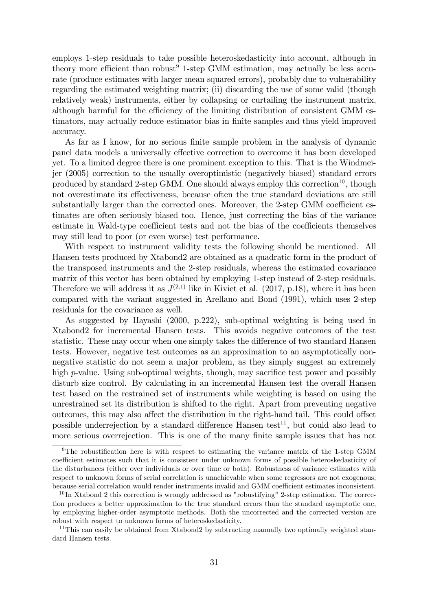employs 1-step residuals to take possible heteroskedasticity into account, although in theory more efficient than robust<sup>9</sup> 1-step GMM estimation, may actually be less accurate (produce estimates with larger mean squared errors), probably due to vulnerability regarding the estimated weighting matrix; (ii) discarding the use of some valid (though relatively weak) instruments, either by collapsing or curtailing the instrument matrix, although harmful for the efficiency of the limiting distribution of consistent GMM estimators, may actually reduce estimator bias in finite samples and thus yield improved accuracy.

As far as I know, for no serious finite sample problem in the analysis of dynamic panel data models a universally effective correction to overcome it has been developed yet. To a limited degree there is one prominent exception to this. That is the Windmeijer (2005) correction to the usually overoptimistic (negatively biased) standard errors produced by standard 2-step GMM. One should always employ this correction<sup>10</sup>, though not overestimate its effectiveness, because often the true standard deviations are still substantially larger than the corrected ones. Moreover, the 2-step GMM coefficient estimates are often seriously biased too. Hence, just correcting the bias of the variance estimate in Wald-type coefficient tests and not the bias of the coefficients themselves may still lead to poor (or even worse) test performance.

With respect to instrument validity tests the following should be mentioned. All Hansen tests produced by Xtabond2 are obtained as a quadratic form in the product of the transposed instruments and the 2-step residuals, whereas the estimated covariance matrix of this vector has been obtained by employing 1-step instead of 2-step residuals. Therefore we will address it as  $J^{(2,1)}$  like in Kiviet et al. (2017, p.18), where it has been compared with the variant suggested in Arellano and Bond (1991), which uses 2-step residuals for the covariance as well.

As suggested by Hayashi (2000, p.222), sub-optimal weighting is being used in Xtabond2 for incremental Hansen tests. This avoids negative outcomes of the test statistic. These may occur when one simply takes the difference of two standard Hansen tests. However, negative test outcomes as an approximation to an asymptotically nonnegative statistic do not seem a major problem, as they simply suggest an extremely high  $p$ -value. Using sub-optimal weights, though, may sacrifice test power and possibly disturb size control. By calculating in an incremental Hansen test the overall Hansen test based on the restrained set of instruments while weighting is based on using the unrestrained set its distribution is shifted to the right. Apart from preventing negative outcomes, this may also affect the distribution in the right-hand tail. This could offset possible underrejection by a standard difference Hansen test<sup>11</sup>, but could also lead to more serious overrejection. This is one of the many finite sample issues that has not

 $9$ The robustification here is with respect to estimating the variance matrix of the 1-step GMM coefficient estimates such that it is consistent under unknown forms of possible heteroskedasticity of the disturbances (either over individuals or over time or both). Robustness of variance estimates with respect to unknown forms of serial correlation is unachievable when some regressors are not exogenous, because serial correlation would render instruments invalid and GMM coefficient estimates inconsistent.

 $10 \text{ In } X$ tabond 2 this correction is wrongly addressed as "robustifying" 2-step estimation. The correction produces a better approximation to the true standard errors than the standard asymptotic one, by employing higher-order asymptotic methods. Both the uncorrected and the corrected version are robust with respect to unknown forms of heteroskedasticity.

<sup>&</sup>lt;sup>11</sup>This can easily be obtained from Xtabond2 by subtracting manually two optimally weighted standard Hansen tests.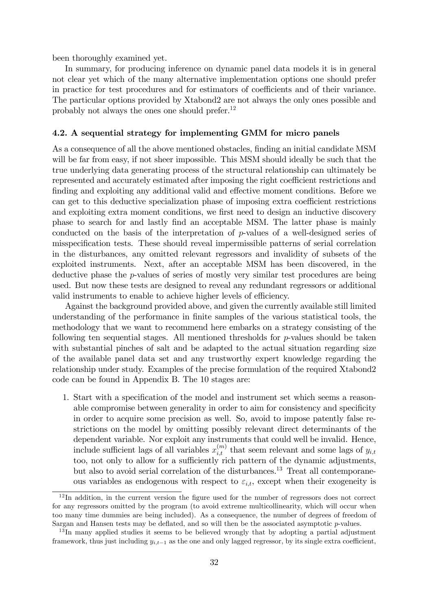been thoroughly examined yet.

In summary, for producing inference on dynamic panel data models it is in general not clear yet which of the many alternative implementation options one should prefer in practice for test procedures and for estimators of coefficients and of their variance. The particular options provided by Xtabond2 are not always the only ones possible and probably not always the ones one should prefer.<sup>12</sup>

#### 4.2. A sequential strategy for implementing GMM for micro panels

As a consequence of all the above mentioned obstacles, finding an initial candidate MSM will be far from easy, if not sheer impossible. This MSM should ideally be such that the true underlying data generating process of the structural relationship can ultimately be represented and accurately estimated after imposing the right coefficient restrictions and finding and exploiting any additional valid and effective moment conditions. Before we can get to this deductive specialization phase of imposing extra coefficient restrictions and exploiting extra moment conditions, we first need to design an inductive discovery phase to search for and lastly Önd an acceptable MSM. The latter phase is mainly conducted on the basis of the interpretation of p-values of a well-designed series of misspecification tests. These should reveal impermissible patterns of serial correlation in the disturbances, any omitted relevant regressors and invalidity of subsets of the exploited instruments. Next, after an acceptable MSM has been discovered, in the deductive phase the p-values of series of mostly very similar test procedures are being used. But now these tests are designed to reveal any redundant regressors or additional valid instruments to enable to achieve higher levels of efficiency.

Against the background provided above, and given the currently available still limited understanding of the performance in finite samples of the various statistical tools, the methodology that we want to recommend here embarks on a strategy consisting of the following ten sequential stages. All mentioned thresholds for  $p$ -values should be taken with substantial pinches of salt and be adapted to the actual situation regarding size of the available panel data set and any trustworthy expert knowledge regarding the relationship under study. Examples of the precise formulation of the required Xtabond2 code can be found in Appendix B. The 10 stages are:

1. Start with a specification of the model and instrument set which seems a reasonable compromise between generality in order to aim for consistency and specificity in order to acquire some precision as well. So, avoid to impose patently false restrictions on the model by omitting possibly relevant direct determinants of the dependent variable. Nor exploit any instruments that could well be invalid. Hence, include sufficient lags of all variables  $x_{i,t}^{(m)}$  that seem relevant and some lags of  $y_{i,t}$ too, not only to allow for a sufficiently rich pattern of the dynamic adjustments, but also to avoid serial correlation of the disturbances.<sup>13</sup> Treat all contemporaneous variables as endogenous with respect to  $\varepsilon_{i,t}$ , except when their exogeneity is

 $12$ In addition, in the current version the figure used for the number of regressors does not correct for any regressors omitted by the program (to avoid extreme multicollinearity, which will occur when too many time dummies are being included). As a consequence, the number of degrees of freedom of Sargan and Hansen tests may be deflated, and so will then be the associated asymptotic  $p$ -values.

<sup>&</sup>lt;sup>13</sup>In many applied studies it seems to be believed wrongly that by adopting a partial adjustment framework, thus just including  $y_{i,t-1}$  as the one and only lagged regressor, by its single extra coefficient,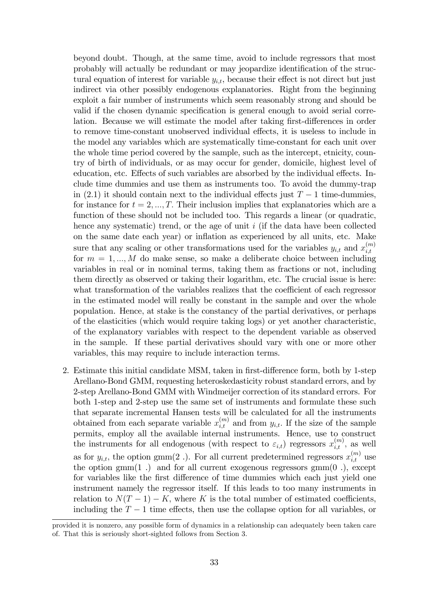beyond doubt. Though, at the same time, avoid to include regressors that most probably will actually be redundant or may jeopardize identification of the structural equation of interest for variable  $y_{i,t}$ , because their effect is not direct but just indirect via other possibly endogenous explanatories. Right from the beginning exploit a fair number of instruments which seem reasonably strong and should be valid if the chosen dynamic specification is general enough to avoid serial correlation. Because we will estimate the model after taking first-differences in order to remove time-constant unobserved individual effects, it is useless to include in the model any variables which are systematically time-constant for each unit over the whole time period covered by the sample, such as the intercept, etnicity, country of birth of individuals, or as may occur for gender, domicile, highest level of education, etc. Effects of such variables are absorbed by the individual effects. Include time dummies and use them as instruments too. To avoid the dummy-trap in (2.1) it should contain next to the individual effects just  $T-1$  time-dummies, for instance for  $t = 2, ..., T$ . Their inclusion implies that explanatories which are a function of these should not be included too. This regards a linear (or quadratic, hence any systematic) trend, or the age of unit  $i$  (if the data have been collected on the same date each year) or inflation as experienced by all units, etc. Make sure that any scaling or other transformations used for the variables  $y_{i,t}$  and  $x_{i,t}^{(m)}$  $_{i,t}$ for  $m = 1, ..., M$  do make sense, so make a deliberate choice between including variables in real or in nominal terms, taking them as fractions or not, including them directly as observed or taking their logarithm, etc. The crucial issue is here: what transformation of the variables realizes that the coefficient of each regressor in the estimated model will really be constant in the sample and over the whole population. Hence, at stake is the constancy of the partial derivatives, or perhaps of the elasticities (which would require taking logs) or yet another characteristic, of the explanatory variables with respect to the dependent variable as observed in the sample. If these partial derivatives should vary with one or more other variables, this may require to include interaction terms.

2. Estimate this initial candidate MSM, taken in first-difference form, both by 1-step Arellano-Bond GMM, requesting heteroskedasticity robust standard errors, and by 2-step Arellano-Bond GMM with Windmeijer correction of its standard errors. For both 1-step and 2-step use the same set of instruments and formulate these such that separate incremental Hansen tests will be calculated for all the instruments obtained from each separate variable  $x_{i,t}^{(m)}$  and from  $y_{i,t}$ . If the size of the sample permits, employ all the available internal instruments. Hence, use to construct the instruments for all endogenous (with respect to  $\varepsilon_{i,t}$ ) regressors  $x_{i,t}^{(m)}$ , as well as for  $y_{i,t}$ , the option gmm(2). For all current predetermined regressors  $x_{i,t}^{(m)}$  use the option gmm(1) and for all current exogenous regressors gmm(0), except for variables like the first difference of time dummies which each just yield one instrument namely the regressor itself. If this leads to too many instruments in relation to  $N(T-1) - K$ , where K is the total number of estimated coefficients, including the  $T-1$  time effects, then use the collapse option for all variables, or

provided it is nonzero, any possible form of dynamics in a relationship can adequately been taken care of. That this is seriously short-sighted follows from Section 3.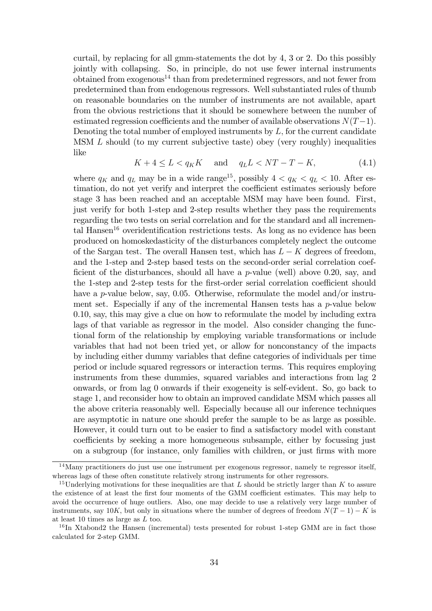curtail, by replacing for all gmm-statements the dot by 4, 3 or 2. Do this possibly jointly with collapsing. So, in principle, do not use fewer internal instruments obtained from exogenous<sup>14</sup> than from predetermined regressors, and not fewer from predetermined than from endogenous regressors. Well substantiated rules of thumb on reasonable boundaries on the number of instruments are not available, apart from the obvious restrictions that it should be somewhere between the number of estimated regression coefficients and the number of available observations  $N(T-1)$ . Denoting the total number of employed instruments by  $L$ , for the current candidate MSM L should (to my current subjective taste) obey (very roughly) inequalities like

$$
K + 4 \le L < q_K K \quad \text{and} \quad q_L L < NT - T - K,\tag{4.1}
$$

where  $q_K$  and  $q_L$  may be in a wide range<sup>15</sup>, possibly  $4 < q_K < q_L < 10$ . After estimation, do not yet verify and interpret the coefficient estimates seriously before stage 3 has been reached and an acceptable MSM may have been found. First, just verify for both 1-step and 2-step results whether they pass the requirements regarding the two tests on serial correlation and for the standard and all incremental Hansen<sup>16</sup> overidentification restrictions tests. As long as no evidence has been produced on homoskedasticity of the disturbances completely neglect the outcome of the Sargan test. The overall Hansen test, which has  $L - K$  degrees of freedom, and the 1-step and 2-step based tests on the second-order serial correlation coefficient of the disturbances, should all have a  $p$ -value (well) above 0.20, say, and the 1-step and 2-step tests for the first-order serial correlation coefficient should have a *p*-value below, say, 0.05. Otherwise, reformulate the model and/or instrument set. Especially if any of the incremental Hansen tests has a  $p$ -value below 0.10, say, this may give a clue on how to reformulate the model by including extra lags of that variable as regressor in the model. Also consider changing the functional form of the relationship by employing variable transformations or include variables that had not been tried yet, or allow for nonconstancy of the impacts by including either dummy variables that define categories of individuals per time period or include squared regressors or interaction terms. This requires employing instruments from these dummies, squared variables and interactions from lag 2 onwards, or from lag 0 onwards if their exogeneity is self-evident. So, go back to stage 1, and reconsider how to obtain an improved candidate MSM which passes all the above criteria reasonably well. Especially because all our inference techniques are asymptotic in nature one should prefer the sample to be as large as possible. However, it could turn out to be easier to find a satisfactory model with constant coefficients by seeking a more homogeneous subsample, either by focussing just on a subgroup (for instance, only families with children, or just firms with more

<sup>&</sup>lt;sup>14</sup>Many practitioners do just use one instrument per exogenous regressor, namely te regressor itself, whereas lags of these often constitute relatively strong instruments for other regressors.

<sup>&</sup>lt;sup>15</sup>Underlying motivations for these inequalities are that L should be strictly larger than K to assure the existence of at least the first four moments of the GMM coefficient estimates. This may help to avoid the occurrence of huge outliers. Also, one may decide to use a relatively very large number of instruments, say 10K, but only in situations where the number of degrees of freedom  $N(T-1) - K$  is at least 10 times as large as L too.

<sup>&</sup>lt;sup>16</sup>In Xtabond2 the Hansen (incremental) tests presented for robust 1-step GMM are in fact those calculated for 2-step GMM.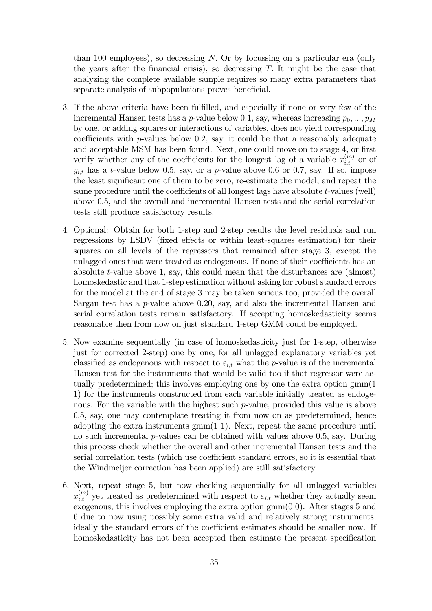than 100 employees), so decreasing  $N$ . Or by focussing on a particular era (only the years after the financial crisis), so decreasing  $T$ . It might be the case that analyzing the complete available sample requires so many extra parameters that separate analysis of subpopulations proves beneficial.

- 3. If the above criteria have been fulfilled, and especially if none or very few of the incremental Hansen tests has a p-value below 0.1, say, whereas increasing  $p_0, ..., p_M$ by one, or adding squares or interactions of variables, does not yield corresponding coefficients with  $p$ -values below 0.2, say, it could be that a reasonably adequate and acceptable MSM has been found. Next, one could move on to stage 4, or first verify whether any of the coefficients for the longest lag of a variable  $x_{i,t}^{(m)}$  or of  $y_{i,t}$  has a t-value below 0.5, say, or a p-value above 0.6 or 0.7, say. If so, impose the least significant one of them to be zero, re-estimate the model, and repeat the same procedure until the coefficients of all longest lags have absolute  $t$ -values (well) above 0.5, and the overall and incremental Hansen tests and the serial correlation tests still produce satisfactory results.
- 4. Optional: Obtain for both 1-step and 2-step results the level residuals and run regressions by LSDV (fixed effects or within least-squares estimation) for their squares on all levels of the regressors that remained after stage 3, except the unlagged ones that were treated as endogenous. If none of their coefficients has an absolute t-value above 1, say, this could mean that the disturbances are (almost) homoskedastic and that 1-step estimation without asking for robust standard errors for the model at the end of stage 3 may be taken serious too, provided the overall Sargan test has a  $p$ -value above 0.20, say, and also the incremental Hansen and serial correlation tests remain satisfactory. If accepting homoskedasticity seems reasonable then from now on just standard 1-step GMM could be employed.
- 5. Now examine sequentially (in case of homoskedasticity just for 1-step, otherwise just for corrected 2-step) one by one, for all unlagged explanatory variables yet classified as endogenous with respect to  $\varepsilon_{i,t}$  what the p-value is of the incremental Hansen test for the instruments that would be valid too if that regressor were actually predetermined; this involves employing one by one the extra option gmm(1 1) for the instruments constructed from each variable initially treated as endogenous. For the variable with the highest such  $p$ -value, provided this value is above 0.5, say, one may contemplate treating it from now on as predetermined, hence adopting the extra instruments  $gmm(1\ 1)$ . Next, repeat the same procedure until no such incremental  $p$ -values can be obtained with values above 0.5, say. During this process check whether the overall and other incremental Hansen tests and the serial correlation tests (which use coefficient standard errors, so it is essential that the Windmeijer correction has been applied) are still satisfactory.
- 6. Next, repeat stage 5, but now checking sequentially for all unlagged variables  $x_{i,t}^{(m)}$  yet treated as predetermined with respect to  $\varepsilon_{i,t}$  whether they actually seem exogenous; this involves employing the extra option gmm(0 0). After stages 5 and 6 due to now using possibly some extra valid and relatively strong instruments, ideally the standard errors of the coefficient estimates should be smaller now. If homoskedasticity has not been accepted then estimate the present specification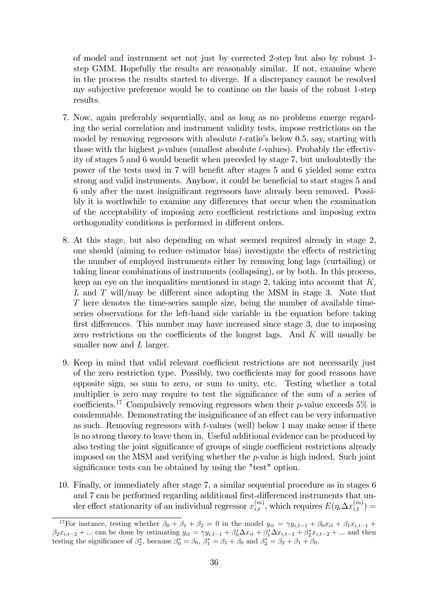of model and instrument set not just by corrected 2-step but also by robust 1 step GMM. Hopefully the results are reasonably similar. If not, examine where in the process the results started to diverge. If a discrepancy cannot be resolved my subjective preference would be to continue on the basis of the robust 1-step results.

- 7. Now, again preferably sequentially, and as long as no problems emerge regarding the serial correlation and instrument validity tests, impose restrictions on the model by removing regressors with absolute  $t$ -ratio's below 0.5, say, starting with those with the highest  $p$ -values (smallest absolute t-values). Probably the effectivity of stages 5 and 6 would benefit when preceded by stage 7, but undoubtedly the power of the tests used in 7 will benefit after stages 5 and 6 yielded some extra strong and valid instruments. Anyhow, it could be beneficial to start stages 5 and 6 only after the most insigniÖcant regressors have already been removed. Possibly it is worthwhile to examine any differences that occur when the examination of the acceptability of imposing zero coefficient restrictions and imposing extra orthogonality conditions is performed in different orders.
- 8. At this stage, but also depending on what seemed required already in stage 2, one should (aiming to reduce estimator bias) investigate the effects of restricting the number of employed instruments either by removing long lags (curtailing) or taking linear combinations of instruments (collapsing), or by both. In this process, keep an eye on the inequalities mentioned in stage 2, taking into account that  $K$ . L and T will/may be different since adopting the MSM in stage 3. Note that T here denotes the time-series sample size, being the number of available timeseries observations for the left-hand side variable in the equation before taking first differences. This number may have increased since stage 3, due to imposing zero restrictions on the coefficients of the longest lags. And  $K$  will usually be smaller now and L larger.
- 9. Keep in mind that valid relevant coefficient restrictions are not necessarily just of the zero restriction type. Possibly, two coefficients may for good reasons have opposite sign, so sum to zero, or sum to unity, etc. Testing whether a total multiplier is zero may require to test the significance of the sum of a series of coefficients.<sup>17</sup> Compulsively removing regressors when their p-value exceeds 5% is condemnable. Demonstrating the insignificance of an effect can be very informative as such. Removing regressors with t-values (well) below 1 may make sense if there is no strong theory to leave them in. Useful additional evidence can be produced by also testing the joint significance of groups of single coefficient restrictions already imposed on the MSM and verifying whether the p-value is high indeed. Such joint significance tests can be obtained by using the "test" option.
- 10. Finally, or immediately after stage 7, a similar sequential procedure as in stages 6 and 7 can be performed regarding additional first-differenced instruments that under effect stationarity of an individual regressor  $x_{i,t}^{(m)}$ , which requires  $E(\eta_i \Delta x_{i,t}^{(m)}) =$

<sup>&</sup>lt;sup>17</sup>For instance, testing whether  $\beta_0 + \beta_1 + \beta_2 = 0$  in the model  $y_{it} = \gamma y_{i,t-1} + \beta_0 x_{it} + \beta_1 x_{i,t-1} + \beta_2 x_{i,t-1}$  $\beta_2 x_{i,t-2} + ...$  can be done by estimating  $y_{it} = \gamma y_{i,t-1} + \beta_0^* \Delta x_{it} + \beta_1^* \Delta x_{i,t-1} + \beta_2^* x_{i,t-2} + ...$  and then testing the significance of  $\beta_2^*$ , because  $\beta_0^* = \beta_0$ ,  $\beta_1^* = \beta_1 + \beta_0$  and  $\beta_2^* = \beta_2 + \beta_1 + \beta_0$ .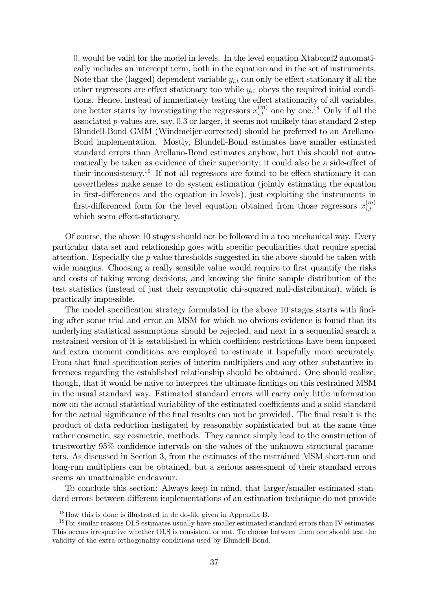0; would be valid for the model in levels. In the level equation Xtabond2 automatically includes an intercept term, both in the equation and in the set of instruments. Note that the (lagged) dependent variable  $y_{i,t}$  can only be effect stationary if all the other regressors are effect stationary too while  $y_{i0}$  obeys the required initial conditions. Hence, instead of immediately testing the effect stationarity of all variables, one better starts by investigating the regressors  $x_{i,t}^{(m)}$  one by one.<sup>18</sup> Only if all the associated  $p$ -values are, say,  $0.3$  or larger, it seems not unlikely that standard 2-step Blundell-Bond GMM (Windmeijer-corrected) should be preferred to an Arellano-Bond implementation. Mostly, Blundell-Bond estimates have smaller estimated standard errors than Arellano-Bond estimates anyhow, but this should not automatically be taken as evidence of their superiority; it could also be a side-effect of their inconsistency.<sup>19</sup> If not all regressors are found to be effect stationary it can nevertheless make sense to do system estimation (jointly estimating the equation in first-differences and the equation in levels), just exploiting the instruments in first-differenced form for the level equation obtained from those regressors  $x_{i,t}^{(m)}$  $_{i,t}$ which seem effect-stationary.

Of course, the above 10 stages should not be followed in a too mechanical way. Every particular data set and relationship goes with specific peculiarities that require special attention. Especially the p-value thresholds suggested in the above should be taken with wide margins. Choosing a really sensible value would require to first quantify the risks and costs of taking wrong decisions, and knowing the finite sample distribution of the test statistics (instead of just their asymptotic chi-squared null-distribution), which is practically impossible.

The model specification strategy formulated in the above 10 stages starts with finding after some trial and error an MSM for which no obvious evidence is found that its underlying statistical assumptions should be rejected, and next in a sequential search a restrained version of it is established in which coefficient restrictions have been imposed and extra moment conditions are employed to estimate it hopefully more accurately. From that final specification series of interim multipliers and any other substantive inferences regarding the established relationship should be obtained. One should realize, though, that it would be naive to interpret the ultimate findings on this restrained MSM in the usual standard way. Estimated standard errors will carry only little information now on the actual statistical variability of the estimated coefficients and a solid standard for the actual significance of the final results can not be provided. The final result is the product of data reduction instigated by reasonably sophisticated but at the same time rather cosmetic, say cosmetric, methods. They cannot simply lead to the construction of trustworthy 95% confidence intervals on the values of the unknown structural parameters. As discussed in Section 3, from the estimates of the restrained MSM short-run and long-run multipliers can be obtained, but a serious assessment of their standard errors seems an unattainable endeavour.

To conclude this section: Always keep in mind, that larger/smaller estimated standard errors between different implementations of an estimation technique do not provide

 $18$  How this is done is illustrated in de do-file given in Appendix B.

<sup>&</sup>lt;sup>19</sup>For similar reasons OLS estimates usually have smaller estimated standard errors than IV estimates. This occurs irrespective whether OLS is consistent or not. To choose between them one should test the validity of the extra orthogonality conditions used by Blundell-Bond.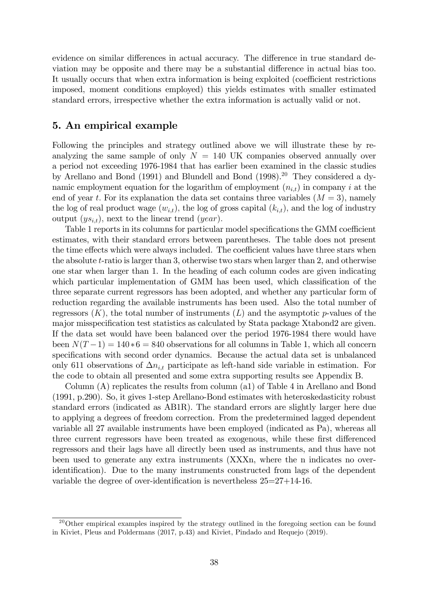evidence on similar differences in actual accuracy. The difference in true standard deviation may be opposite and there may be a substantial difference in actual bias too. It usually occurs that when extra information is being exploited (coefficient restrictions imposed, moment conditions employed) this yields estimates with smaller estimated standard errors, irrespective whether the extra information is actually valid or not.

## 5. An empirical example

Following the principles and strategy outlined above we will illustrate these by reanalyzing the same sample of only  $N = 140$  UK companies observed annually over a period not exceeding 1976-1984 that has earlier been examined in the classic studies by Arellano and Bond (1991) and Blundell and Bond (1998).<sup>20</sup> They considered a dynamic employment equation for the logarithm of employment  $(n_{i,t})$  in company i at the end of year t. For its explanation the data set contains three variables  $(M = 3)$ , namely the log of real product wage  $(w_{i,t})$ , the log of gross capital  $(k_{i,t})$ , and the log of industry output  $(ys_{i,t})$ , next to the linear trend  $(year)$ .

Table 1 reports in its columns for particular model specifications the GMM coefficient estimates, with their standard errors between parentheses. The table does not present the time effects which were always included. The coefficient values have three stars when the absolute t-ratio is larger than 3, otherwise two stars when larger than 2, and otherwise one star when larger than 1. In the heading of each column codes are given indicating which particular implementation of GMM has been used, which classification of the three separate current regressors has been adopted, and whether any particular form of reduction regarding the available instruments has been used. Also the total number of regressors  $(K)$ , the total number of instruments  $(L)$  and the asymptotic p-values of the major misspecification test statistics as calculated by Stata package Xtabond2 are given. If the data set would have been balanced over the period 1976-1984 there would have been  $N(T-1) = 140*6 = 840$  observations for all columns in Table 1, which all concern specifications with second order dynamics. Because the actual data set is unbalanced only 611 observations of  $\Delta n_{i,t}$  participate as left-hand side variable in estimation. For the code to obtain all presented and some extra supporting results see Appendix B.

Column (A) replicates the results from column (a1) of Table 4 in Arellano and Bond (1991, p.290). So, it gives 1-step Arellano-Bond estimates with heteroskedasticity robust standard errors (indicated as AB1R). The standard errors are slightly larger here due to applying a degrees of freedom correction. From the predetermined lagged dependent variable all 27 available instruments have been employed (indicated as Pa), whereas all three current regressors have been treated as exogenous, while these first differenced regressors and their lags have all directly been used as instruments, and thus have not been used to generate any extra instruments (XXXn, where the n indicates no overidentification). Due to the many instruments constructed from lags of the dependent variable the degree of over-identification is nevertheless  $25=27+14-16$ .

<sup>&</sup>lt;sup>20</sup>Other empirical examples inspired by the strategy outlined in the foregoing section can be found in Kiviet, Pleus and Poldermans (2017, p.43) and Kiviet, Pindado and Requejo (2019).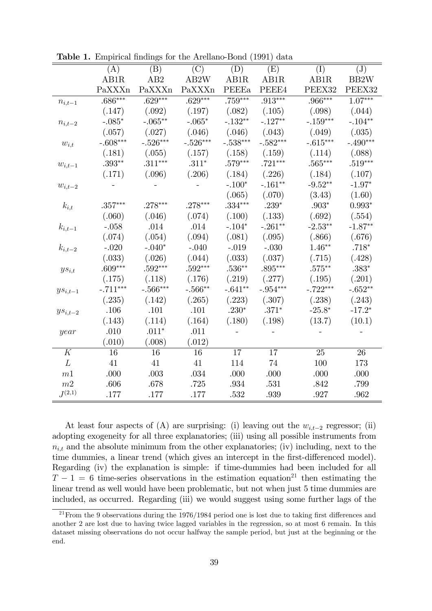|                          | (A)        | $\overline{(B)}$ | $\overline{(\mathrm{C})}$ | $\overline{(\mathrm{D})}$ | $\overline{(\text{E})}$ | (I)                | $\overline{J}$       |
|--------------------------|------------|------------------|---------------------------|---------------------------|-------------------------|--------------------|----------------------|
|                          | AB1R       | AB2              | AB2W                      | AB1R                      | AB1R                    | AB1R               | BB2W                 |
|                          | PaXXXn     | PaXXXn           | PaXXXn                    | PEEEa                     | PEEE4                   | PEEX32             | PEEX32               |
| $n_{i,t-1}$              | $.686***$  | $.629***$        | $.629***$                 | $.759***$                 | $.913***$               | $.966***$          | $1.\overline{07***}$ |
|                          | (.147)     | (.092)           | (.197)                    | (.082)                    | (.105)                  | (.098)             | (.044)               |
| $n_{i,t-2}$              | $-.085*$   | $-.065**$        | $-.065*$                  | $-.132**$                 | $-.127**$               | $-.159***$         | $-.104**$            |
|                          | (.057)     | (.027)           | (.046)                    | (.046)                    | (.043)                  | (.049)             | (.035)               |
| $w_{i,t}$                | $-.608***$ | $-.526***$       | $-.526***$                | $-.538***$                | $-.582***$              | $-.615***$         | $-.490***$           |
|                          | (.181)     | (.055)           | (.157)                    | (.158)                    | (.159)                  | (.114)             | (.088)               |
| $\boldsymbol{w}_{i,t-1}$ | $.393**$   | $.311***$        | $.311^{\ast}$             | $.579***$                 | $.721***$               | $.565***$          | $.519***$            |
|                          | (.171)     | (.096)           | (.206)                    | (.184)                    | (.226)                  | (.184)             | (.107)               |
| $\boldsymbol{w}_{i,t-2}$ |            |                  |                           | $-.100*$                  | $-.161**$               | $-9.52**$          | $-1.97*$             |
|                          |            |                  |                           | (.065)                    | (.070)                  | (3.43)             | (1.60)               |
| $k_{i,t}$                | $.357***$  | $.278***$        | $.278***$                 | $.334***$                 | $.239^{\ast}$           | $.903*$            | $0.993*$             |
|                          | (.060)     | (.046)           | (.074)                    | (.100)                    | (.133)                  | (.692)             | (.554)               |
| $k_{i,t-1}$              | $-.058$    | .014             | .014                      | $-.104*$                  | $-.261**$               | $-2.53**$          | $-1.87**$            |
|                          | (.074)     | (.054)           | (.094)                    | (.081)                    | (.095)                  | (.866)             | (.676)               |
| $k_{i,t-2}$              | $-.020$    | $-.040^{\ast}$   | $-.040$                   | $-.019$                   | $-.030$                 | $1.46**$           | $.718^{\ast}$        |
|                          | (.033)     | (.026)           | (.044)                    | (.033)                    | (.037)                  | (.715)             | (.428)               |
| $ys_{i,t}$               | $.609***$  | $.592***$        | $.592***$                 | $.536**$                  | $.895***$               | $.575^{\ast\ast}$  | $.383^{\ast}$        |
|                          | (.175)     | (.118)           | (.176)                    | (.219)                    | (.277)                  | (.195)             | (.201)               |
| $y s_{i,t-1}$            | $-.711***$ | $-.566***$       | $-.566**$                 | $-.641**$                 | $-.954***$              | $-.722***$         | $-.652**$            |
|                          | (.235)     | (.142)           | (.265)                    | (.223)                    | (.307)                  | (.238)             | (.243)               |
| $ys_{i,t-2}$             | .106       | .101             | $.101\,$                  | $.230*$                   | $.371*$                 | $\textbf{-25.8}^*$ | $-17.2*$             |
|                          | (.143)     | (.114)           | (.164)                    | (.180)                    | (.198)                  | (13.7)             | (10.1)               |
| year                     | .010       | $.011*$          | .011                      |                           |                         |                    |                      |
|                          | (.010)     | (.008)           | (.012)                    |                           |                         |                    |                      |
| K                        | 16         | 16               | 16                        | $\overline{17}$           | 17                      | 25                 | 26                   |
| L                        | 41         | 41               | 41                        | 114                       | 74                      | 100                | 173                  |
| m1                       | .000       | .003             | .034                      | .000                      | .000                    | .000               | .000                 |
| m2                       | .606       | .678             | .725                      | .934                      | .531                    | .842               | .799                 |
| $J^{(2,1)}$              | .177       | .177             | .177                      | .532                      | .939                    | .927               | .962                 |

**Table 1.** Empirical findings for the Arellano-Bond (1991) data

At least four aspects of (A) are surprising: (i) leaving out the  $w_{i,t-2}$  regressor; (ii) adopting exogeneity for all three explanatories; (iii) using all possible instruments from  $n_{i,t}$  and the absolute minimum from the other explanatories; (iv) including, next to the time dummies, a linear trend (which gives an intercept in the first-differenced model). Regarding (iv) the explanation is simple: if time-dummies had been included for all  $T-1=6$  time-series observations in the estimation equation<sup>21</sup> then estimating the linear trend as well would have been problematic, but not when just 5 time dummies are included, as occurred. Regarding (iii) we would suggest using some further lags of the

<sup>&</sup>lt;sup>21</sup> From the 9 observations during the  $1976/1984$  period one is lost due to taking first differences and another 2 are lost due to having twice lagged variables in the regression, so at most 6 remain. In this dataset missing observations do not occur halfway the sample period, but just at the beginning or the end.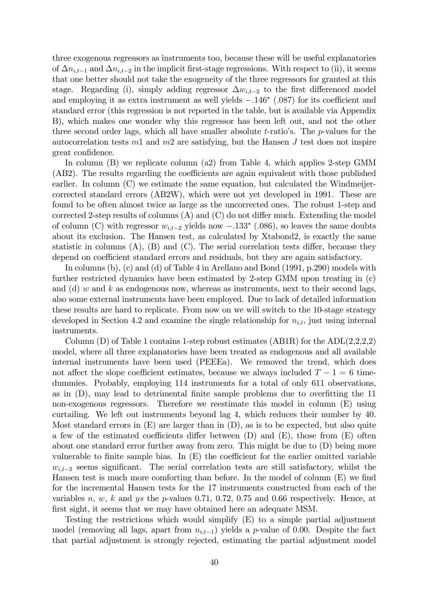three exogenous regressors as instruments too, because these will be useful explanatories of  $\Delta n_{i,t-1}$  and  $\Delta n_{i,t-2}$  in the implicit first-stage regressions. With respect to (ii), it seems that one better should not take the exogeneity of the three regressors for granted at this stage. Regarding (i), simply adding regressor  $\Delta w_{i,t-2}$  to the first differenced model and employing it as extra instrument as well yields  $-.146*$  (.087) for its coefficient and standard error (this regression is not reported in the table, but is available via Appendix B), which makes one wonder why this regressor has been left out, and not the other three second order lags, which all have smaller absolute  $t$ -ratio's. The  $p$ -values for the autocorrelation tests  $m_1$  and  $m_2$  are satisfying, but the Hansen J test does not inspire great confidence.

In column (B) we replicate column (a2) from Table 4, which applies 2-step GMM  $(AB2)$ . The results regarding the coefficients are again equivalent with those published earlier. In column (C) we estimate the same equation, but calculated the Windmeijercorrected standard errors (AB2W), which were not yet developed in 1991. These are found to be often almost twice as large as the uncorrected ones. The robust 1-step and corrected 2-step results of columns  $(A)$  and  $(C)$  do not differ much. Extending the model of column (C) with regressor  $w_{i,t-2}$  yields now  $-.133$ <sup>\*</sup> (.086), so leaves the same doubts about its exclusion. The Hansen test, as calculated by Xtabond2, is exactly the same statistic in columns  $(A)$ ,  $(B)$  and  $(C)$ . The serial correlation tests differ, because they depend on coefficient standard errors and residuals, but they are again satisfactory.

In columns (b), (c) and (d) of Table 4 in Arellano and Bond (1991, p.290) models with further restricted dynamics have been estimated by 2-step GMM upon treating in (c) and (d) w and k as endogenous now, whereas as instruments, next to their second lags, also some external instruments have been employed. Due to lack of detailed information these results are hard to replicate. From now on we will switch to the 10-stage strategy developed in Section 4.2 and examine the single relationship for  $n_{i,t}$ , just using internal instruments.

Column  $(D)$  of Table 1 contains 1-step robust estimates  $(AB1R)$  for the  $ADL(2,2,2,2)$ model, where all three explanatories have been treated as endogenous and all available internal instruments have been used (PEEEa). We removed the trend, which does not affect the slope coefficient estimates, because we always included  $T - 1 = 6$  timedummies. Probably, employing 114 instruments for a total of only 611 observations, as in  $(D)$ , may lead to detrimental finite sample problems due to overfitting the 11 non-exogenous regressors. Therefore we reestimate this model in column (E) using curtailing. We left out instruments beyond lag 4, which reduces their number by 40. Most standard errors in (E) are larger than in (D), as is to be expected, but also quite a few of the estimated coefficients differ between  $(D)$  and  $(E)$ , those from  $(E)$  often about one standard error further away from zero. This might be due to (D) being more vulnerable to finite sample bias. In  $(E)$  the coefficient for the earlier omitted variable  $w_{i,t-2}$  seems significant. The serial correlation tests are still satisfactory, whilst the Hansen test is much more comforting than before. In the model of column  $(E)$  we find for the incremental Hansen tests for the 17 instruments constructed from each of the variables n, w, k and ys the p-values 0.71, 0.72, 0.75 and 0.66 respectively. Hence, at first sight, it seems that we may have obtained here an adequate MSM.

Testing the restrictions which would simplify (E) to a simple partial adjustment model (removing all lags, apart from  $n_{i,t-1}$ ) yields a p-value of 0.00. Despite the fact that partial adjustment is strongly rejected, estimating the partial adjustment model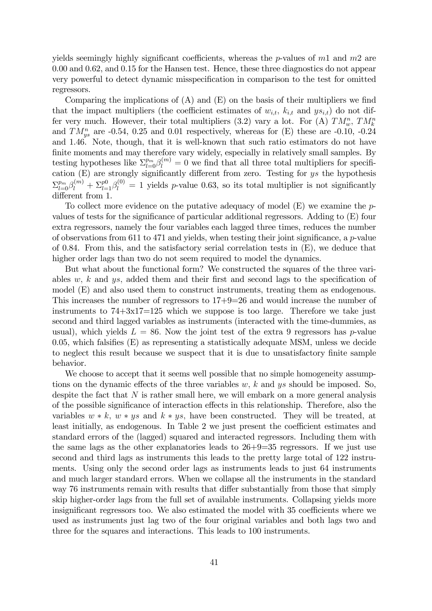yields seemingly highly significant coefficients, whereas the p-values of  $m_1$  and  $m_2$  are 0.00 and 0.62, and 0.15 for the Hansen test. Hence, these three diagnostics do not appear very powerful to detect dynamic misspecification in comparison to the test for omitted regressors.

Comparing the implications of  $(A)$  and  $(E)$  on the basis of their multipliers we find that the impact multipliers (the coefficient estimates of  $w_{i,t}$ ,  $k_{i,t}$  and  $ys_{i,t}$ ) do not differ very much. However, their total multipliers (3.2) vary a lot. For (A)  $TM_w^n$ ,  $TM_k^n$ and  $TM_{ys}^n$  are -0.54, 0.25 and 0.01 respectively, whereas for (E) these are -0.10, -0.24 and 1.46. Note, though, that it is well-known that such ratio estimators do not have finite moments and may therefore vary widely, especially in relatively small samples. By testing hypotheses like  $\Sigma_{l=0}^{p_m}\beta_l^{(m)}=0$  we find that all three total multipliers for specification  $(E)$  are strongly significantly different from zero. Testing for ys the hypothesis  $\sum_{l=0}^{p_m} \beta_l^{(m)} + \sum_{l=1}^{p_0} \beta_l^{(0)} = 1$  yields p-value 0.63, so its total multiplier is not significantly different from 1.

To collect more evidence on the putative adequacy of model (E) we examine the pvalues of tests for the significance of particular additional regressors. Adding to  $(E)$  four extra regressors, namely the four variables each lagged three times, reduces the number of observations from 611 to 471 and yields, when testing their joint significance, a  $p$ -value of 0.84. From this, and the satisfactory serial correlation tests in  $(E)$ , we deduce that higher order lags than two do not seem required to model the dynamics.

But what about the functional form? We constructed the squares of the three variables w, k and ys, added them and their first and second lags to the specification of model (E) and also used them to construct instruments, treating them as endogenous. This increases the number of regressors to 17+9=26 and would increase the number of instruments to  $74+3x17=125$  which we suppose is too large. Therefore we take just second and third lagged variables as instruments (interacted with the time-dummies, as usual), which yields  $L = 86$ . Now the joint test of the extra 9 regressors has p-value 0.05, which falsifies  $(E)$  as representing a statistically adequate MSM, unless we decide to neglect this result because we suspect that it is due to unsatisfactory finite sample behavior.

We choose to accept that it seems well possible that no simple homogeneity assumptions on the dynamic effects of the three variables w, k and ys should be imposed. So, despite the fact that  $N$  is rather small here, we will embark on a more general analysis of the possible significance of interaction effects in this relationship. Therefore, also the variables  $w * k$ ,  $w * ys$  and  $k * ys$ , have been constructed. They will be treated, at least initially, as endogenous. In Table 2 we just present the coefficient estimates and standard errors of the (lagged) squared and interacted regressors. Including them with the same lags as the other explanatories leads to 26+9=35 regressors. If we just use second and third lags as instruments this leads to the pretty large total of 122 instruments. Using only the second order lags as instruments leads to just 64 instruments and much larger standard errors. When we collapse all the instruments in the standard way 76 instruments remain with results that differ substantially from those that simply skip higher-order lags from the full set of available instruments. Collapsing yields more insignificant regressors too. We also estimated the model with 35 coefficients where we used as instruments just lag two of the four original variables and both lags two and three for the squares and interactions. This leads to 100 instruments.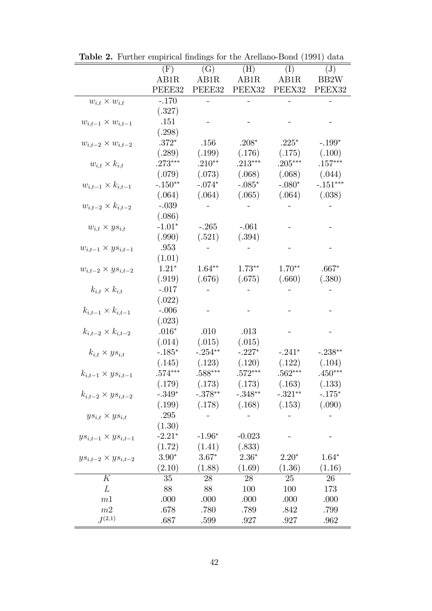|                                | $(\mathrm{F})$ | (G)       | (H)       | (I)       | $(\mathrm{J})$ |
|--------------------------------|----------------|-----------|-----------|-----------|----------------|
|                                | AB1R           | AB1R      | AB1R      | AB1R      | BB2W           |
|                                | PEEE32         | PEEE32    | PEEX32    | PEEX32    | PEEX32         |
| $w_{i,t} \times w_{i,t}$       | $-.170$        | ÷,        |           |           |                |
|                                | (.327)         |           |           |           |                |
| $w_{i,t-1} \times w_{i,t-1}$   | .151           |           |           |           |                |
|                                | (.298)         |           |           |           |                |
| $w_{i,t-2} \times w_{i,t-2}$   | $.372*$        | .156      | $.208*$   | $.225*$   | $-.199*$       |
|                                | (.289)         | (.199)    | (.176)    | (.175)    | (.100)         |
| $w_{i,t} \times k_{i,t}$       | $.273***$      | $.210**$  | $.213***$ | $.205***$ | $.157***$      |
|                                | (.079)         | (.073)    | (.068)    | (.068)    | (.044)         |
| $w_{i,t-1} \times k_{i,t-1}$   | $-.150**$      | $-.074*$  | $-.085*$  | $-.080*$  | $-.151***$     |
|                                | (.064)         | (.064)    | (.065)    | (.064)    | (.038)         |
| $w_{i,t-2} \times k_{i,t-2}$   | $-.039$        |           |           |           |                |
|                                | (.086)         |           |           |           |                |
| $w_{i,t} \times ys_{i,t}$      | $-1.01*$       | $-.265$   | $-.061$   |           |                |
|                                | (.990)         | (.521)    | (.394)    |           |                |
| $w_{i,t-1} \times ys_{i,t-1}$  | $.953\,$       |           |           |           |                |
|                                | (1.01)         |           |           |           |                |
| $w_{i,t-2} \times ys_{i,t-2}$  | $1.21*$        | $1.64**$  | $1.73**$  | $1.70**$  | $.667*$        |
|                                | (.919)         | (.676)    | (.675)    | (.660)    | (.380)         |
| $k_{i,t} \times k_{i,t}$       | $-.017$        |           |           |           |                |
|                                | (.022)         |           |           |           |                |
| $k_{i,t-1} \times k_{i,t-1}$   | $-.006$        |           |           |           |                |
|                                | (.023)         |           |           |           |                |
| $k_{i,t-2} \times k_{i,t-2}$   | $.016*$        | .010      | .013      |           |                |
|                                | (.014)         | (.015)    | (.015)    |           |                |
| $k_{i,t} \times ys_{i,t}$      | $-.185*$       | $-.254**$ | $-.227*$  | $-.241*$  | $-.238**$      |
|                                | (.145)         | (.123)    | (.120)    | (.122)    | (.104)         |
| $k_{i,t-1} \times ys_{i,t-1}$  | $.574***$      | $588***$  | $.572***$ | $562***$  | $.450***$      |
|                                | (.179)         | (.173)    | (.173)    | (.163)    | (.133)         |
| $k_{i,t-2} \times ys_{i,t-2}$  | $-.349*$       | $-.378**$ | $-.348**$ | $-.321**$ | $-.175*$       |
|                                | (.199)         | (.178)    | (.168)    | (.153)    | (.090)         |
| $ys_{i,t} \times ys_{i,t}$     | .295           |           |           |           |                |
|                                | (1.30)         |           |           |           |                |
| $ys_{i,t-1} \times ys_{i,t-1}$ | $-2.21*$       | $-1.96*$  | $-0.023$  |           |                |
|                                | (1.72)         | (1.41)    | (.833)    |           |                |
| $ys_{i,t-2} \times ys_{i,t-2}$ | $3.90*$        | $3.67*$   | $2.36*$   | $2.20*$   | $1.64*$        |
|                                | (2.10)         | (1.88)    | (1.69)    | (1.36)    | (1.16)         |
| K                              | 35             | 28        | 28        | 25        | 26             |
| L                              | 88             | 88        | 100       | 100       | 173            |
| m1                             | .000           | .000      | .000      | .000      | .000           |
| m2                             | .678           | .780      | .789      | .842      | .799           |
| $J^{(2,1)}$                    | .687           | .599      | .927      | .927      | .962           |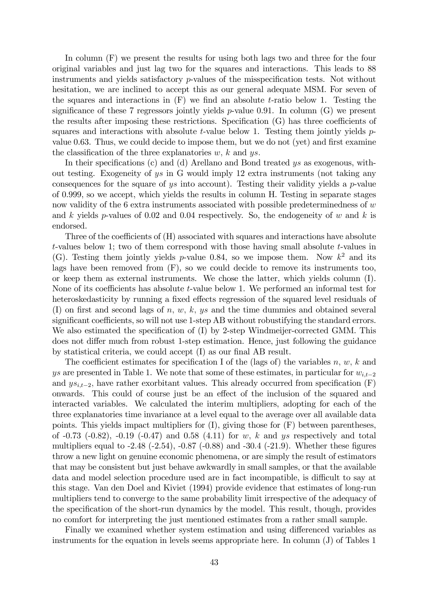In column (F) we present the results for using both lags two and three for the four original variables and just lag two for the squares and interactions. This leads to 88 instruments and yields satisfactory  $p$ -values of the misspecification tests. Not without hesitation, we are inclined to accept this as our general adequate MSM. For seven of the squares and interactions in  $(F)$  we find an absolute t-ratio below 1. Testing the significance of these 7 regressors jointly yields  $p$ -value 0.91. In column (G) we present the results after imposing these restrictions. Specification  $(G)$  has three coefficients of squares and interactions with absolute t-value below 1. Testing them jointly yields  $p$ value 0.63. Thus, we could decide to impose them, but we do not (yet) and first examine the classification of the three explanatories  $w, k$  and  $ys.$ 

In their specifications (c) and (d) Arellano and Bond treated  $ys$  as exogenous, without testing. Exogeneity of ys in G would imply 12 extra instruments (not taking any consequences for the square of ys into account). Testing their validity yields a p-value of 0.999, so we accept, which yields the results in column H. Testing in separate stages now validity of the 6 extra instruments associated with possible predeterminedness of w and k yields p-values of 0.02 and 0.04 respectively. So, the endogeneity of w and k is endorsed.

Three of the coefficients of  $(H)$  associated with squares and interactions have absolute t-values below 1; two of them correspond with those having small absolute t-values in (G). Testing them jointly yields p-value 0.84, so we impose them. Now  $k^2$  and its lags have been removed from (F), so we could decide to remove its instruments too, or keep them as external instruments. We chose the latter, which yields column (I). None of its coefficients has absolute  $t$ -value below 1. We performed an informal test for heteroskedasticity by running a fixed effects regression of the squared level residuals of (I) on first and second lags of n, w, k, ys and the time dummies and obtained several significant coefficients, so will not use 1-step AB without robustifying the standard errors. We also estimated the specification of  $(I)$  by 2-step Windmeijer-corrected GMM. This does not differ much from robust 1-step estimation. Hence, just following the guidance by statistical criteria, we could accept  $(I)$  as our final AB result.

The coefficient estimates for specification I of the (lags of) the variables n, w, k and ys are presented in Table 1. We note that some of these estimates, in particular for  $w_{i,t-2}$ and  $ys_{i,t-2}$ , have rather exorbitant values. This already occurred from specification (F) onwards. This could of course just be an effect of the inclusion of the squared and interacted variables. We calculated the interim multipliers, adopting for each of the three explanatories time invariance at a level equal to the average over all available data points. This yields impact multipliers for (I), giving those for (F) between parentheses, of  $-0.73$   $(-0.82)$ ,  $-0.19$   $(-0.47)$  and  $0.58$   $(4.11)$  for w, k and ys respectively and total multipliers equal to  $-2.48$  ( $-2.54$ ),  $-0.87$  ( $-0.88$ ) and  $-30.4$  ( $-21.9$ ). Whether these figures throw a new light on genuine economic phenomena, or are simply the result of estimators that may be consistent but just behave awkwardly in small samples, or that the available data and model selection procedure used are in fact incompatible, is difficult to say at this stage. Van den Doel and Kiviet (1994) provide evidence that estimates of long-run multipliers tend to converge to the same probability limit irrespective of the adequacy of the specification of the short-run dynamics by the model. This result, though, provides no comfort for interpreting the just mentioned estimates from a rather small sample.

Finally we examined whether system estimation and using differenced variables as instruments for the equation in levels seems appropriate here. In column (J) of Tables 1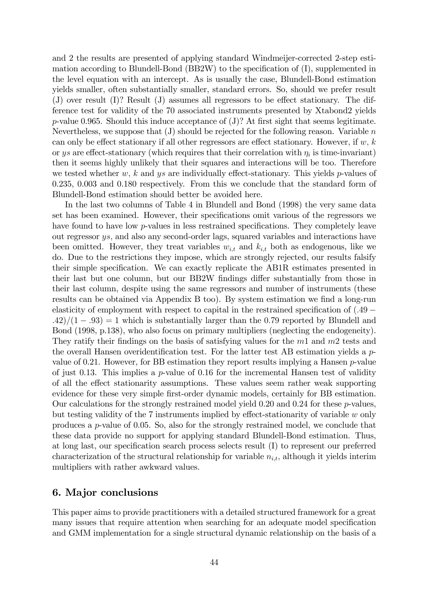and 2 the results are presented of applying standard Windmeijer-corrected 2-step estimation according to Blundell-Bond (BB2W) to the specification of  $(I)$ , supplemented in the level equation with an intercept. As is usually the case, Blundell-Bond estimation yields smaller, often substantially smaller, standard errors. So, should we prefer result (J) over result  $(I)$ ? Result  $(J)$  assumes all regressors to be effect stationary. The difference test for validity of the 70 associated instruments presented by Xtabond2 yields p-value 0.965. Should this induce acceptance of  $(J)$ ? At first sight that seems legitimate. Nevertheless, we suppose that  $(J)$  should be rejected for the following reason. Variable n can only be effect stationary if all other regressors are effect stationary. However, if  $w, k$ or ys are effect-stationary (which requires that their correlation with  $\eta_i$  is time-invariant) then it seems highly unlikely that their squares and interactions will be too. Therefore we tested whether w, k and ys are individually effect-stationary. This yields p-values of 0.235, 0.003 and 0.180 respectively. From this we conclude that the standard form of Blundell-Bond estimation should better be avoided here.

In the last two columns of Table 4 in Blundell and Bond (1998) the very same data set has been examined. However, their specifications omit various of the regressors we have found to have low  $p$ -values in less restrained specifications. They completely leave out regressor ys; and also any second-order lags, squared variables and interactions have been omitted. However, they treat variables  $w_{i,t}$  and  $k_{i,t}$  both as endogenous, like we do. Due to the restrictions they impose, which are strongly rejected, our results falsify their simple specification. We can exactly replicate the AB1R estimates presented in their last but one column, but our BB2W findings differ substantially from those in their last column, despite using the same regressors and number of instruments (these results can be obtained via Appendix B too). By system estimation we find a long-run elasticity of employment with respect to capital in the restrained specification of  $(.49 \cdot$ .42)/(1 - .93) = 1 which is substantially larger than the 0.79 reported by Blundell and Bond (1998, p.138), who also focus on primary multipliers (neglecting the endogeneity). They ratify their findings on the basis of satisfying values for the  $m1$  and  $m2$  tests and the overall Hansen overidentification test. For the latter test AB estimation yields a  $p$ value of 0.21. However, for BB estimation they report results implying a Hansen p-value of just 0.13. This implies a p-value of 0.16 for the incremental Hansen test of validity of all the effect stationarity assumptions. These values seem rather weak supporting evidence for these very simple first-order dynamic models, certainly for BB estimation. Our calculations for the strongly restrained model yield  $0.20$  and  $0.24$  for these p-values, but testing validity of the 7 instruments implied by effect-stationarity of variable  $w$  only produces a p-value of 0.05. So, also for the strongly restrained model, we conclude that these data provide no support for applying standard Blundell-Bond estimation. Thus, at long last, our specification search process selects result (I) to represent our preferred characterization of the structural relationship for variable  $n_{i,t}$ , although it yields interim multipliers with rather awkward values.

#### 6. Major conclusions

This paper aims to provide practitioners with a detailed structured framework for a great many issues that require attention when searching for an adequate model specification and GMM implementation for a single structural dynamic relationship on the basis of a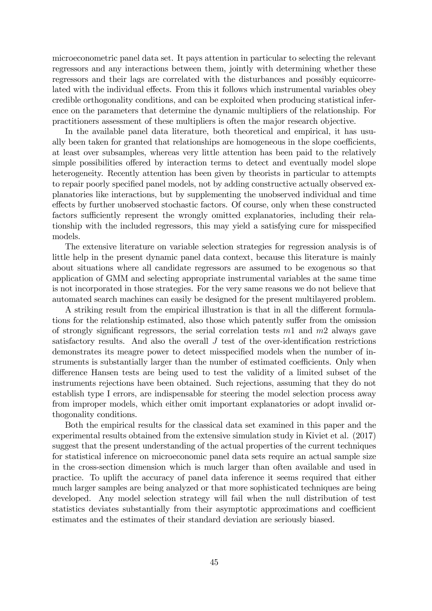microeconometric panel data set. It pays attention in particular to selecting the relevant regressors and any interactions between them, jointly with determining whether these regressors and their lags are correlated with the disturbances and possibly equicorrelated with the individual effects. From this it follows which instrumental variables obey credible orthogonality conditions, and can be exploited when producing statistical inference on the parameters that determine the dynamic multipliers of the relationship. For practitioners assessment of these multipliers is often the major research objective.

In the available panel data literature, both theoretical and empirical, it has usually been taken for granted that relationships are homogeneous in the slope coefficients, at least over subsamples, whereas very little attention has been paid to the relatively simple possibilities offered by interaction terms to detect and eventually model slope heterogeneity. Recently attention has been given by theorists in particular to attempts to repair poorly specified panel models, not by adding constructive actually observed explanatories like interactions, but by supplementing the unobserved individual and time effects by further unobserved stochastic factors. Of course, only when these constructed factors sufficiently represent the wrongly omitted explanatories, including their relationship with the included regressors, this may yield a satisfying cure for misspecified models.

The extensive literature on variable selection strategies for regression analysis is of little help in the present dynamic panel data context, because this literature is mainly about situations where all candidate regressors are assumed to be exogenous so that application of GMM and selecting appropriate instrumental variables at the same time is not incorporated in those strategies. For the very same reasons we do not believe that automated search machines can easily be designed for the present multilayered problem.

A striking result from the empirical illustration is that in all the different formulations for the relationship estimated, also those which patently suffer from the omission of strongly significant regressors, the serial correlation tests  $m1$  and  $m2$  always gave satisfactory results. And also the overall  $J$  test of the over-identification restrictions demonstrates its meagre power to detect misspecified models when the number of instruments is substantially larger than the number of estimated coefficients. Only when difference Hansen tests are being used to test the validity of a limited subset of the instruments rejections have been obtained. Such rejections, assuming that they do not establish type I errors, are indispensable for steering the model selection process away from improper models, which either omit important explanatories or adopt invalid orthogonality conditions.

Both the empirical results for the classical data set examined in this paper and the experimental results obtained from the extensive simulation study in Kiviet et al. (2017) suggest that the present understanding of the actual properties of the current techniques for statistical inference on microeconomic panel data sets require an actual sample size in the cross-section dimension which is much larger than often available and used in practice. To uplift the accuracy of panel data inference it seems required that either much larger samples are being analyzed or that more sophisticated techniques are being developed. Any model selection strategy will fail when the null distribution of test statistics deviates substantially from their asymptotic approximations and coefficient estimates and the estimates of their standard deviation are seriously biased.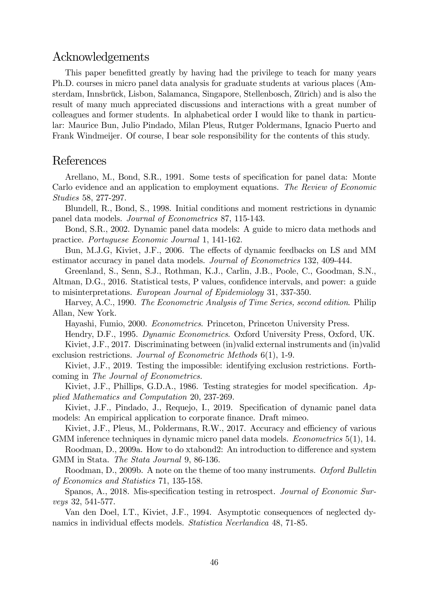## Acknowledgements

This paper benefitted greatly by having had the privilege to teach for many years Ph.D. courses in micro panel data analysis for graduate students at various places (Amsterdam, Innsbrück, Lisbon, Salamanca, Singapore, Stellenbosch, Zürich) and is also the result of many much appreciated discussions and interactions with a great number of colleagues and former students. In alphabetical order I would like to thank in particular: Maurice Bun, Julio Pindado, Milan Pleus, Rutger Poldermans, Ignacio Puerto and Frank Windmeijer. Of course, I bear sole responsibility for the contents of this study.

## References

Arellano, M., Bond, S.R., 1991. Some tests of specification for panel data: Monte Carlo evidence and an application to employment equations. The Review of Economic Studies 58, 277-297.

Blundell, R., Bond, S., 1998. Initial conditions and moment restrictions in dynamic panel data models. Journal of Econometrics 87, 115-143.

Bond, S.R., 2002. Dynamic panel data models: A guide to micro data methods and practice. Portuguese Economic Journal 1, 141-162.

Bun, M.J.G, Kiviet, J.F., 2006. The effects of dynamic feedbacks on LS and MM estimator accuracy in panel data models. Journal of Econometrics 132, 409-444.

Greenland, S., Senn, S.J., Rothman, K.J., Carlin, J.B., Poole, C., Goodman, S.N., Altman, D.G., 2016. Statistical tests, P values, confidence intervals, and power: a guide to misinterpretations. European Journal of Epidemiology 31, 337-350.

Harvey, A.C., 1990. The Econometric Analysis of Time Series, second edition. Philip Allan, New York.

Hayashi, Fumio, 2000. Econometrics. Princeton, Princeton University Press.

Hendry, D.F., 1995. Dynamic Econometrics. Oxford University Press, Oxford, UK.

Kiviet, J.F., 2017. Discriminating between (in)valid external instruments and (in)valid exclusion restrictions. Journal of Econometric Methods 6(1), 1-9.

Kiviet, J.F., 2019. Testing the impossible: identifying exclusion restrictions. Forthcoming in The Journal of Econometrics.

Kiviet, J.F., Phillips, G.D.A., 1986. Testing strategies for model specification.  $Ap$ plied Mathematics and Computation 20, 237-269.

Kiviet, J.F., Pindado, J., Requejo, I., 2019. Specification of dynamic panel data models: An empirical application to corporate finance. Draft mimeo.

Kiviet, J.F., Pleus, M., Poldermans, R.W., 2017. Accuracy and efficiency of various GMM inference techniques in dynamic micro panel data models. *Econometrics* 5(1), 14.

Roodman, D., 2009a. How to do xtabond2: An introduction to difference and system GMM in Stata. The Stata Journal 9, 86-136.

Roodman, D., 2009b. A note on the theme of too many instruments. Oxford Bulletin of Economics and Statistics 71, 135-158.

Spanos, A., 2018. Mis-specification testing in retrospect. *Journal of Economic Sur*veys 32, 541-577.

Van den Doel, I.T., Kiviet, J.F., 1994. Asymptotic consequences of neglected dynamics in individual effects models. Statistica Neerlandica 48, 71-85.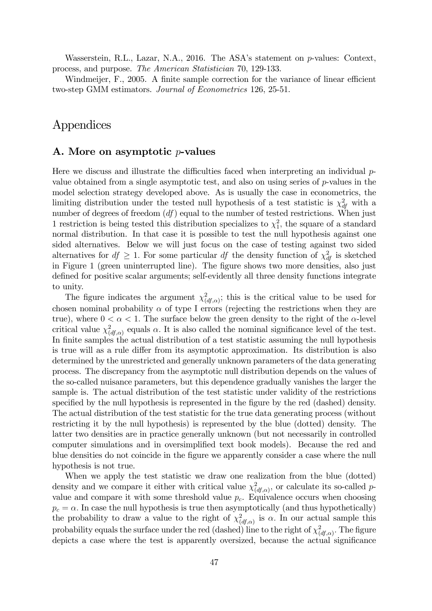Wasserstein, R.L., Lazar, N.A., 2016. The ASA's statement on p-values: Context, process, and purpose. The American Statistician 70, 129-133.

Windmeijer,  $F_{\cdot}$ , 2005. A finite sample correction for the variance of linear efficient two-step GMM estimators. Journal of Econometrics 126, 25-51.

## Appendices

### A. More on asymptotic  $p$ -values

Here we discuss and illustrate the difficulties faced when interpreting an individual  $p$ value obtained from a single asymptotic test, and also on using series of  $p$ -values in the model selection strategy developed above. As is usually the case in econometrics, the limiting distribution under the tested null hypothesis of a test statistic is  $\chi^2_{df}$  with a number of degrees of freedom  $(df)$  equal to the number of tested restrictions. When just 1 restriction is being tested this distribution specializes to  $\chi_1^2$ , the square of a standard normal distribution. In that case it is possible to test the null hypothesis against one sided alternatives. Below we will just focus on the case of testing against two sided alternatives for  $df \geq 1$ . For some particular df the density function of  $\chi^2_{df}$  is sketched in Figure 1 (green uninterrupted line). The figure shows two more densities, also just defined for positive scalar arguments; self-evidently all three density functions integrate to unity.

The figure indicates the argument  $\chi^2_{(df,\alpha)}$ ; this is the critical value to be used for chosen nominal probability  $\alpha$  of type I errors (rejecting the restrictions when they are true), where  $0 < \alpha < 1$ . The surface below the green density to the right of the  $\alpha$ -level critical value  $\chi^2_{(df,\alpha)}$  equals  $\alpha$ . It is also called the nominal significance level of the test. In finite samples the actual distribution of a test statistic assuming the null hypothesis is true will as a rule differ from its asymptotic approximation. Its distribution is also determined by the unrestricted and generally unknown parameters of the data generating process. The discrepancy from the asymptotic null distribution depends on the values of the so-called nuisance parameters, but this dependence gradually vanishes the larger the sample is. The actual distribution of the test statistic under validity of the restrictions specified by the null hypothesis is represented in the figure by the red (dashed) density. The actual distribution of the test statistic for the true data generating process (without restricting it by the null hypothesis) is represented by the blue (dotted) density. The latter two densities are in practice generally unknown (but not necessarily in controlled computer simulations and in oversimplified text book models). Because the red and blue densities do not coincide in the Ögure we apparently consider a case where the null hypothesis is not true.

When we apply the test statistic we draw one realization from the blue (dotted) density and we compare it either with critical value  $\chi^2_{(df,\alpha)}$ , or calculate its so-called pvalue and compare it with some threshold value  $p_c$ . Equivalence occurs when choosing  $p_c = \alpha$ . In case the null hypothesis is true then asymptotically (and thus hypothetically) the probability to draw a value to the right of  $\chi^2_{(df,\alpha)}$  is  $\alpha$ . In our actual sample this probability equals the surface under the red (dashed) line to the right of  $\chi^2_{(df,\alpha)}$ . The figure depicts a case where the test is apparently oversized, because the actual significance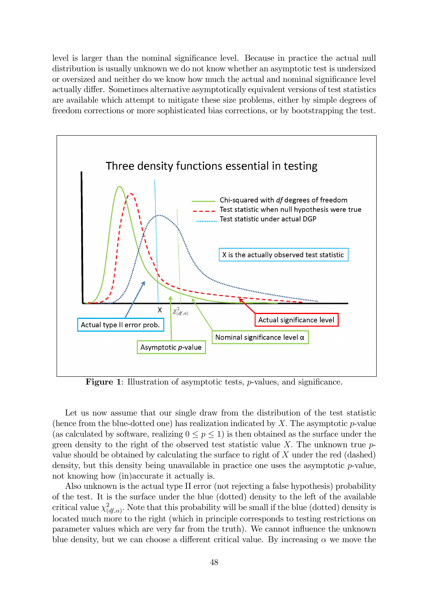level is larger than the nominal significance level. Because in practice the actual null distribution is usually unknown we do not know whether an asymptotic test is undersized or oversized and neither do we know how much the actual and nominal significance level actually differ. Sometimes alternative asymptotically equivalent versions of test statistics are available which attempt to mitigate these size problems, either by simple degrees of freedom corrections or more sophisticated bias corrections, or by bootstrapping the test.



Figure 1: Illustration of asymptotic tests,  $p$ -values, and significance.

Let us now assume that our single draw from the distribution of the test statistic (hence from the blue-dotted one) has realization indicated by  $X$ . The asymptotic  $p$ -value (as calculated by software, realizing  $0 \le p \le 1$ ) is then obtained as the surface under the green density to the right of the observed test statistic value X. The unknown true  $p$ value should be obtained by calculating the surface to right of X under the red (dashed) density, but this density being unavailable in practice one uses the asymptotic  $p$ -value, not knowing how (in)accurate it actually is.

Also unknown is the actual type II error (not rejecting a false hypothesis) probability of the test. It is the surface under the blue (dotted) density to the left of the available critical value  $\chi^2_{(df,\alpha)}$ . Note that this probability will be small if the blue (dotted) density is located much more to the right (which in principle corresponds to testing restrictions on parameter values which are very far from the truth). We cannot ináuence the unknown blue density, but we can choose a different critical value. By increasing  $\alpha$  we move the